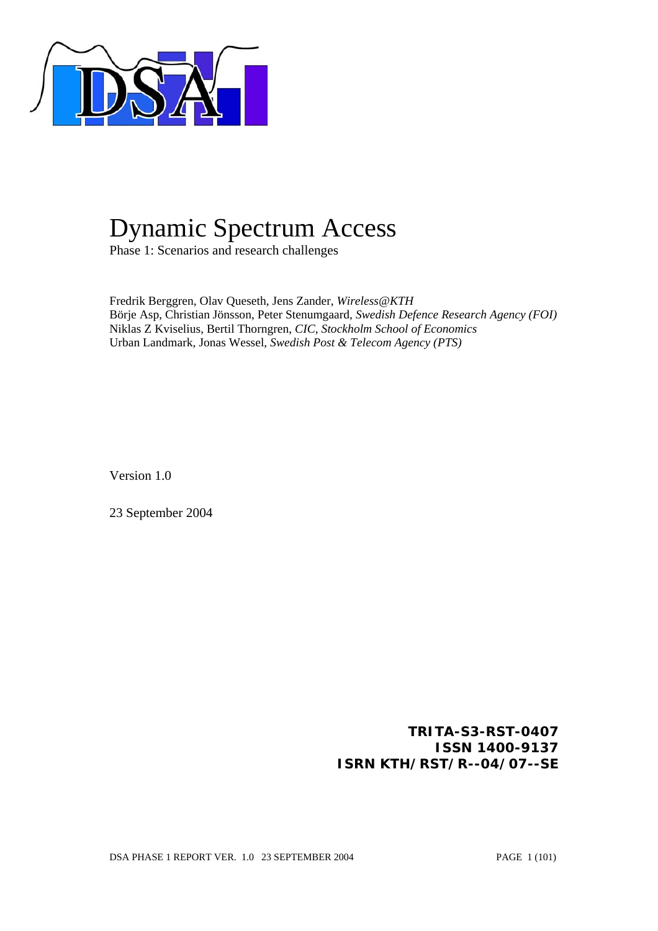

# Dynamic Spectrum Access

Phase 1: Scenarios and research challenges

Fredrik Berggren, Olav Queseth, Jens Zander, *Wireless@KTH* Börje Asp, Christian Jönsson, Peter Stenumgaard, *Swedish Defence Research Agency (FOI)* Niklas Z Kviselius, Bertil Thorngren, *CIC, Stockholm School of Economics*  Urban Landmark, Jonas Wessel, *Swedish Post & Telecom Agency (PTS)* 

Version 1.0

23 September 2004

**TRITA-S3-RST-0407 ISSN 1400-9137 ISRN KTH/RST/R--04/07--SE**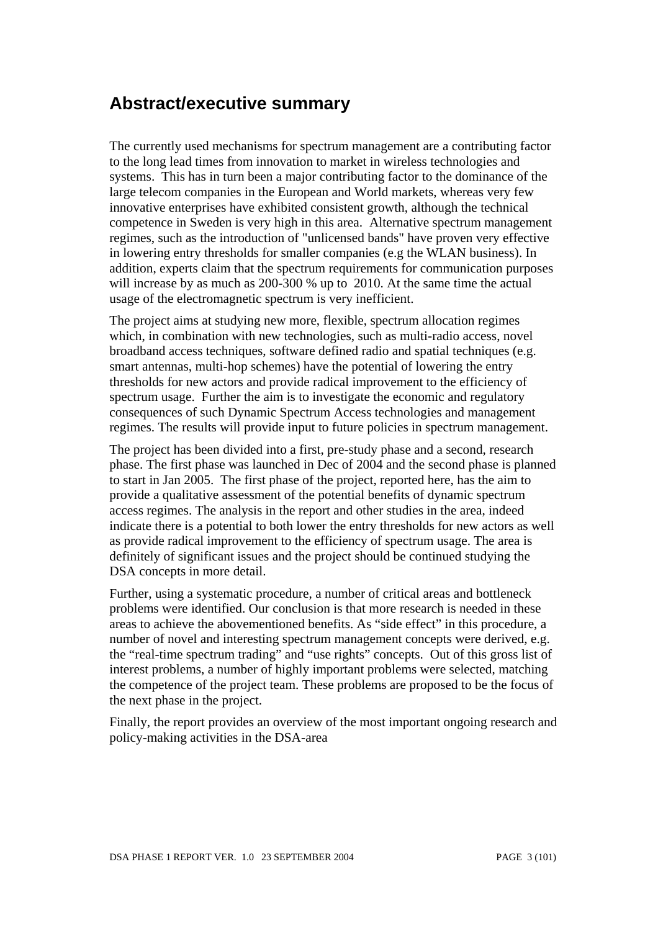# **Abstract/executive summary**

The currently used mechanisms for spectrum management are a contributing factor to the long lead times from innovation to market in wireless technologies and systems. This has in turn been a major contributing factor to the dominance of the large telecom companies in the European and World markets, whereas very few innovative enterprises have exhibited consistent growth, although the technical competence in Sweden is very high in this area. Alternative spectrum management regimes, such as the introduction of "unlicensed bands" have proven very effective in lowering entry thresholds for smaller companies (e.g the WLAN business). In addition, experts claim that the spectrum requirements for communication purposes will increase by as much as 200-300 % up to 2010. At the same time the actual usage of the electromagnetic spectrum is very inefficient.

The project aims at studying new more, flexible, spectrum allocation regimes which, in combination with new technologies, such as multi-radio access, novel broadband access techniques, software defined radio and spatial techniques (e.g. smart antennas, multi-hop schemes) have the potential of lowering the entry thresholds for new actors and provide radical improvement to the efficiency of spectrum usage. Further the aim is to investigate the economic and regulatory consequences of such Dynamic Spectrum Access technologies and management regimes. The results will provide input to future policies in spectrum management.

The project has been divided into a first, pre-study phase and a second, research phase. The first phase was launched in Dec of 2004 and the second phase is planned to start in Jan 2005. The first phase of the project, reported here, has the aim to provide a qualitative assessment of the potential benefits of dynamic spectrum access regimes. The analysis in the report and other studies in the area, indeed indicate there is a potential to both lower the entry thresholds for new actors as well as provide radical improvement to the efficiency of spectrum usage. The area is definitely of significant issues and the project should be continued studying the DSA concepts in more detail.

Further, using a systematic procedure, a number of critical areas and bottleneck problems were identified. Our conclusion is that more research is needed in these areas to achieve the abovementioned benefits. As "side effect" in this procedure, a number of novel and interesting spectrum management concepts were derived, e.g. the "real-time spectrum trading" and "use rights" concepts. Out of this gross list of interest problems, a number of highly important problems were selected, matching the competence of the project team. These problems are proposed to be the focus of the next phase in the project.

Finally, the report provides an overview of the most important ongoing research and policy-making activities in the DSA-area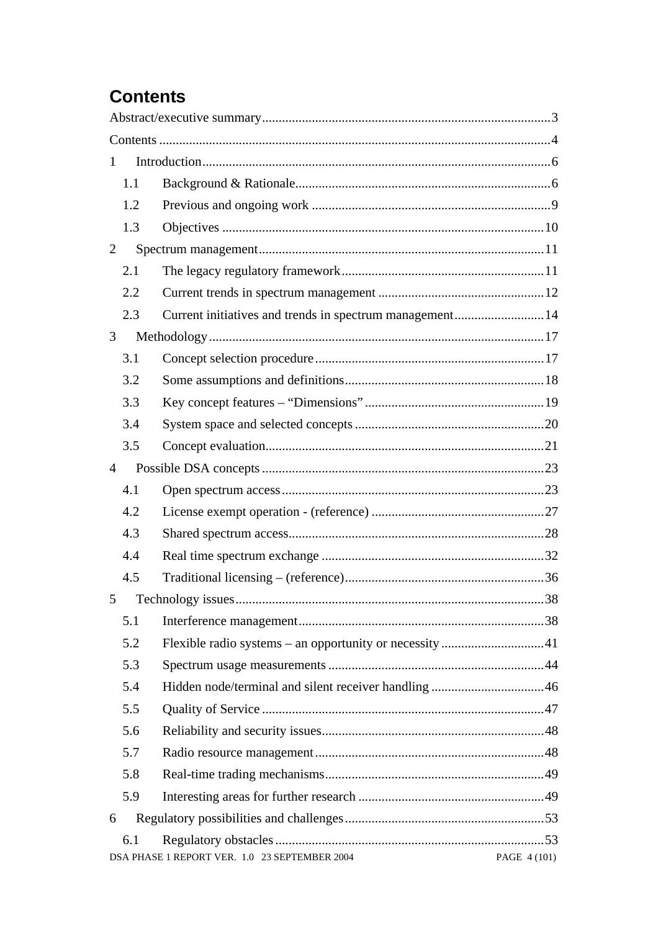# **Contents**

| 1              |                                                               |  |  |
|----------------|---------------------------------------------------------------|--|--|
| 1.1            |                                                               |  |  |
| 1.2            |                                                               |  |  |
| 1.3            |                                                               |  |  |
| 2              |                                                               |  |  |
| 2.1            |                                                               |  |  |
| 2.2            |                                                               |  |  |
| 2.3            | Current initiatives and trends in spectrum management14       |  |  |
| 3              |                                                               |  |  |
| 3.1            |                                                               |  |  |
| 3.2            |                                                               |  |  |
| 3.3            |                                                               |  |  |
| 3.4            |                                                               |  |  |
| 3.5            |                                                               |  |  |
| $\overline{4}$ |                                                               |  |  |
| 4.1            |                                                               |  |  |
| 4.2            |                                                               |  |  |
| 4.3            |                                                               |  |  |
| 4.4            |                                                               |  |  |
| 4.5            |                                                               |  |  |
| 5              |                                                               |  |  |
| 5.1            |                                                               |  |  |
| 5.2            |                                                               |  |  |
| 5.3            |                                                               |  |  |
| 5.4            |                                                               |  |  |
| 5.5            |                                                               |  |  |
| 5.6            |                                                               |  |  |
| 5.7            |                                                               |  |  |
| 5.8            |                                                               |  |  |
| 5.9            |                                                               |  |  |
| 6              |                                                               |  |  |
| 6.1            |                                                               |  |  |
|                | DSA PHASE 1 REPORT VER. 1.0 23 SEPTEMBER 2004<br>PAGE 4 (101) |  |  |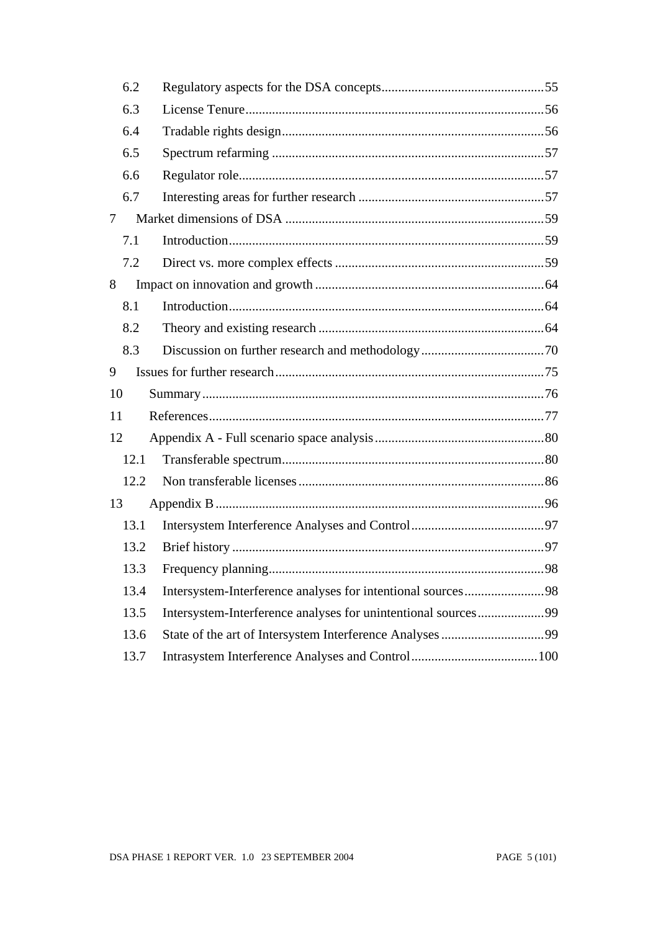| 6.2  |                                                               |
|------|---------------------------------------------------------------|
| 6.3  |                                                               |
| 6.4  |                                                               |
| 6.5  |                                                               |
| 6.6  |                                                               |
| 6.7  |                                                               |
| 7    |                                                               |
| 7.1  |                                                               |
| 7.2  |                                                               |
| 8    |                                                               |
| 8.1  |                                                               |
| 8.2  |                                                               |
| 8.3  |                                                               |
| 9    |                                                               |
| 10   |                                                               |
| 11   |                                                               |
| 12   |                                                               |
| 12.1 |                                                               |
| 12.2 |                                                               |
| 13   |                                                               |
| 13.1 |                                                               |
| 13.2 |                                                               |
| 13.3 |                                                               |
| 13.4 |                                                               |
| 13.5 | Intersystem-Interference analyses for unintentional sources99 |
| 13.6 |                                                               |
| 13.7 |                                                               |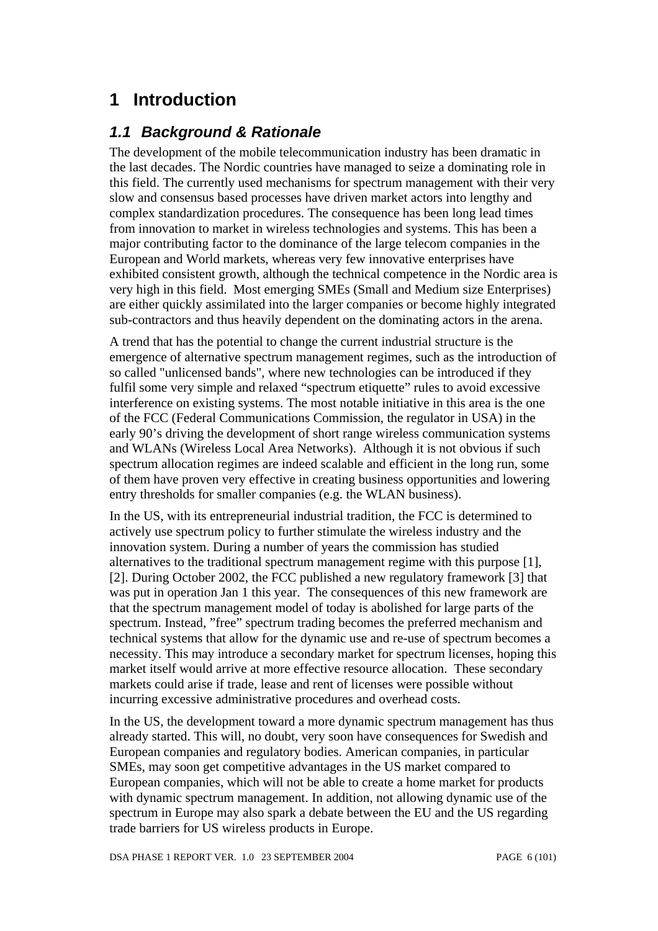# **1 Introduction**

### *1.1 Background & Rationale*

The development of the mobile telecommunication industry has been dramatic in the last decades. The Nordic countries have managed to seize a dominating role in this field. The currently used mechanisms for spectrum management with their very slow and consensus based processes have driven market actors into lengthy and complex standardization procedures. The consequence has been long lead times from innovation to market in wireless technologies and systems. This has been a major contributing factor to the dominance of the large telecom companies in the European and World markets, whereas very few innovative enterprises have exhibited consistent growth, although the technical competence in the Nordic area is very high in this field. Most emerging SMEs (Small and Medium size Enterprises) are either quickly assimilated into the larger companies or become highly integrated sub-contractors and thus heavily dependent on the dominating actors in the arena.

A trend that has the potential to change the current industrial structure is the emergence of alternative spectrum management regimes, such as the introduction of so called "unlicensed bands", where new technologies can be introduced if they fulfil some very simple and relaxed "spectrum etiquette" rules to avoid excessive interference on existing systems. The most notable initiative in this area is the one of the FCC (Federal Communications Commission, the regulator in USA) in the early 90's driving the development of short range wireless communication systems and WLANs (Wireless Local Area Networks). Although it is not obvious if such spectrum allocation regimes are indeed scalable and efficient in the long run, some of them have proven very effective in creating business opportunities and lowering entry thresholds for smaller companies (e.g. the WLAN business).

In the US, with its entrepreneurial industrial tradition, the FCC is determined to actively use spectrum policy to further stimulate the wireless industry and the innovation system. During a number of years the commission has studied alternatives to the traditional spectrum management regime with this purpose [1], [2]. During October 2002, the FCC published a new regulatory framework [3] that was put in operation Jan 1 this year. The consequences of this new framework are that the spectrum management model of today is abolished for large parts of the spectrum. Instead, "free" spectrum trading becomes the preferred mechanism and technical systems that allow for the dynamic use and re-use of spectrum becomes a necessity. This may introduce a secondary market for spectrum licenses, hoping this market itself would arrive at more effective resource allocation. These secondary markets could arise if trade, lease and rent of licenses were possible without incurring excessive administrative procedures and overhead costs.

In the US, the development toward a more dynamic spectrum management has thus already started. This will, no doubt, very soon have consequences for Swedish and European companies and regulatory bodies. American companies, in particular SMEs, may soon get competitive advantages in the US market compared to European companies, which will not be able to create a home market for products with dynamic spectrum management. In addition, not allowing dynamic use of the spectrum in Europe may also spark a debate between the EU and the US regarding trade barriers for US wireless products in Europe.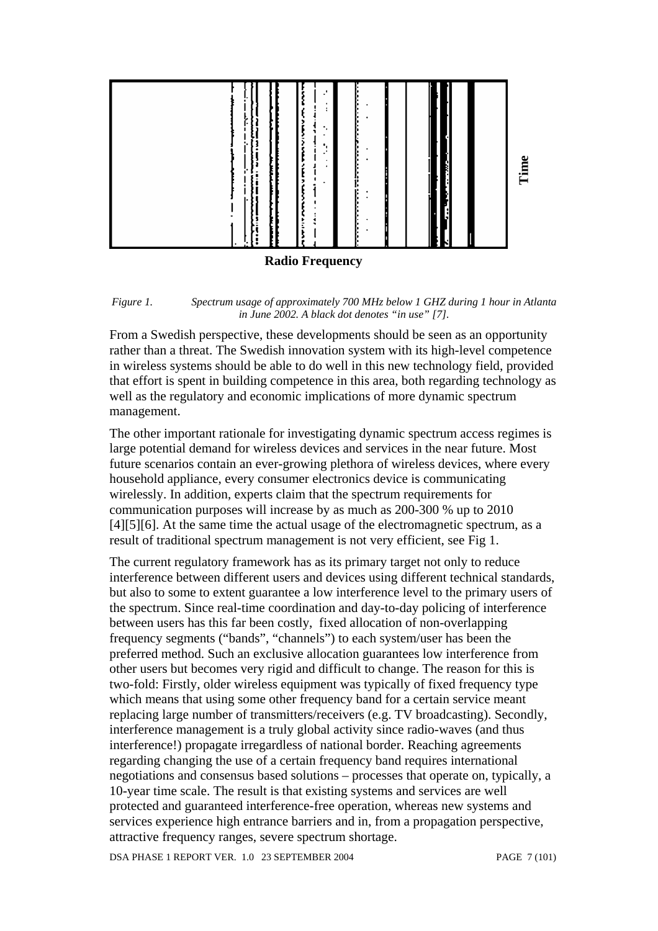

**Radio Frequency** 

```
Figure 1. Spectrum usage of approximately 700 MHz below 1 GHZ during 1 hour in Atlanta 
              in June 2002. A black dot denotes "in use" [7].
```
From a Swedish perspective, these developments should be seen as an opportunity rather than a threat. The Swedish innovation system with its high-level competence in wireless systems should be able to do well in this new technology field, provided that effort is spent in building competence in this area, both regarding technology as well as the regulatory and economic implications of more dynamic spectrum management.

The other important rationale for investigating dynamic spectrum access regimes is large potential demand for wireless devices and services in the near future. Most future scenarios contain an ever-growing plethora of wireless devices, where every household appliance, every consumer electronics device is communicating wirelessly. In addition, experts claim that the spectrum requirements for communication purposes will increase by as much as 200-300 % up to 2010 [4][5][6]. At the same time the actual usage of the electromagnetic spectrum, as a result of traditional spectrum management is not very efficient, see Fig 1.

The current regulatory framework has as its primary target not only to reduce interference between different users and devices using different technical standards, but also to some to extent guarantee a low interference level to the primary users of the spectrum. Since real-time coordination and day-to-day policing of interference between users has this far been costly, fixed allocation of non-overlapping frequency segments ("bands", "channels") to each system/user has been the preferred method. Such an exclusive allocation guarantees low interference from other users but becomes very rigid and difficult to change. The reason for this is two-fold: Firstly, older wireless equipment was typically of fixed frequency type which means that using some other frequency band for a certain service meant replacing large number of transmitters/receivers (e.g. TV broadcasting). Secondly, interference management is a truly global activity since radio-waves (and thus interference!) propagate irregardless of national border. Reaching agreements regarding changing the use of a certain frequency band requires international negotiations and consensus based solutions – processes that operate on, typically, a 10-year time scale. The result is that existing systems and services are well protected and guaranteed interference-free operation, whereas new systems and services experience high entrance barriers and in, from a propagation perspective, attractive frequency ranges, severe spectrum shortage.

DSA PHASE 1 REPORT VER. 1.0 23 SEPTEMBER 2004 PAGE 7 (101)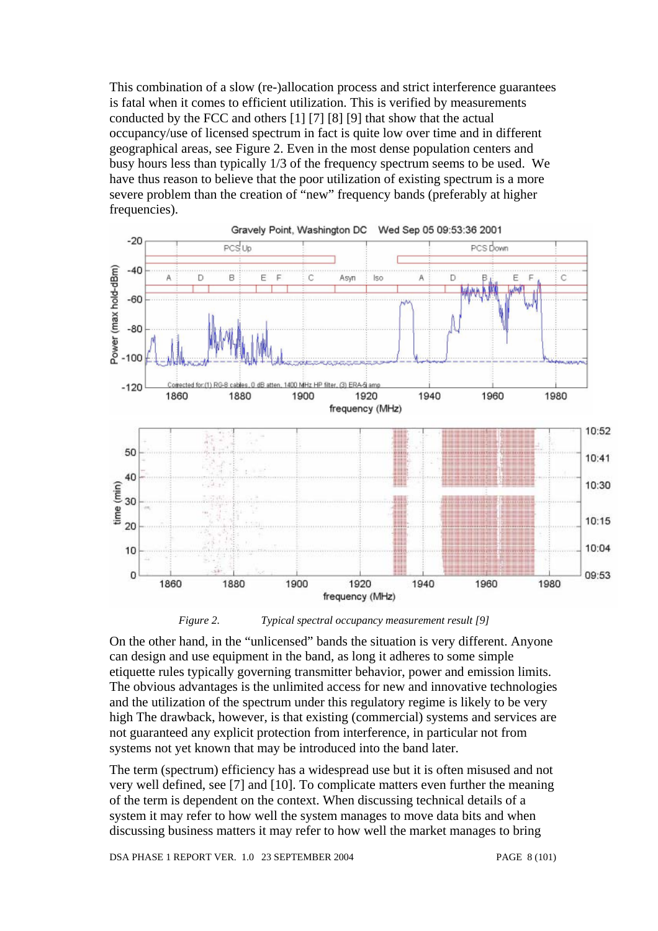This combination of a slow (re-)allocation process and strict interference guarantees is fatal when it comes to efficient utilization. This is verified by measurements conducted by the FCC and others [1] [7] [8] [9] that show that the actual occupancy/use of licensed spectrum in fact is quite low over time and in different geographical areas, see Figure 2. Even in the most dense population centers and busy hours less than typically 1/3 of the frequency spectrum seems to be used. We have thus reason to believe that the poor utilization of existing spectrum is a more severe problem than the creation of "new" frequency bands (preferably at higher frequencies).



*Figure 2. Typical spectral occupancy measurement result [9]* 

On the other hand, in the "unlicensed" bands the situation is very different. Anyone can design and use equipment in the band, as long it adheres to some simple etiquette rules typically governing transmitter behavior, power and emission limits. The obvious advantages is the unlimited access for new and innovative technologies and the utilization of the spectrum under this regulatory regime is likely to be very high The drawback, however, is that existing (commercial) systems and services are not guaranteed any explicit protection from interference, in particular not from systems not yet known that may be introduced into the band later.

The term (spectrum) efficiency has a widespread use but it is often misused and not very well defined, see [7] and [10]. To complicate matters even further the meaning of the term is dependent on the context. When discussing technical details of a system it may refer to how well the system manages to move data bits and when discussing business matters it may refer to how well the market manages to bring

DSA PHASE 1 REPORT VER. 1.0 23 SEPTEMBER 2004 PAGE 8 (101)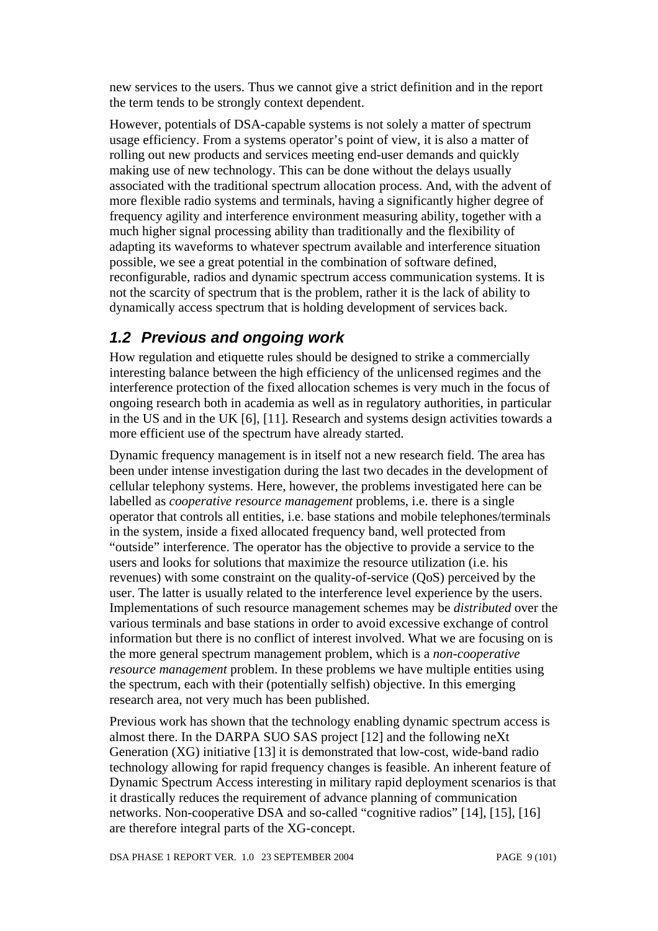new services to the users. Thus we cannot give a strict definition and in the report the term tends to be strongly context dependent.

However, potentials of DSA-capable systems is not solely a matter of spectrum usage efficiency. From a systems operator's point of view, it is also a matter of rolling out new products and services meeting end-user demands and quickly making use of new technology. This can be done without the delays usually associated with the traditional spectrum allocation process. And, with the advent of more flexible radio systems and terminals, having a significantly higher degree of frequency agility and interference environment measuring ability, together with a much higher signal processing ability than traditionally and the flexibility of adapting its waveforms to whatever spectrum available and interference situation possible, we see a great potential in the combination of software defined, reconfigurable, radios and dynamic spectrum access communication systems. It is not the scarcity of spectrum that is the problem, rather it is the lack of ability to dynamically access spectrum that is holding development of services back.

## *1.2 Previous and ongoing work*

How regulation and etiquette rules should be designed to strike a commercially interesting balance between the high efficiency of the unlicensed regimes and the interference protection of the fixed allocation schemes is very much in the focus of ongoing research both in academia as well as in regulatory authorities, in particular in the US and in the UK [6], [11]. Research and systems design activities towards a more efficient use of the spectrum have already started.

Dynamic frequency management is in itself not a new research field. The area has been under intense investigation during the last two decades in the development of cellular telephony systems. Here, however, the problems investigated here can be labelled as *cooperative resource management* problems, i.e. there is a single operator that controls all entities, i.e. base stations and mobile telephones/terminals in the system, inside a fixed allocated frequency band, well protected from "outside" interference. The operator has the objective to provide a service to the users and looks for solutions that maximize the resource utilization (i.e. his revenues) with some constraint on the quality-of-service (QoS) perceived by the user. The latter is usually related to the interference level experience by the users. Implementations of such resource management schemes may be *distributed* over the various terminals and base stations in order to avoid excessive exchange of control information but there is no conflict of interest involved. What we are focusing on is the more general spectrum management problem, which is a *non-cooperative resource management* problem. In these problems we have multiple entities using the spectrum, each with their (potentially selfish) objective. In this emerging research area, not very much has been published.

Previous work has shown that the technology enabling dynamic spectrum access is almost there. In the DARPA SUO SAS project [12] and the following neXt Generation (XG) initiative [13] it is demonstrated that low-cost, wide-band radio technology allowing for rapid frequency changes is feasible. An inherent feature of Dynamic Spectrum Access interesting in military rapid deployment scenarios is that it drastically reduces the requirement of advance planning of communication networks. Non-cooperative DSA and so-called "cognitive radios" [14], [15], [16] are therefore integral parts of the XG-concept.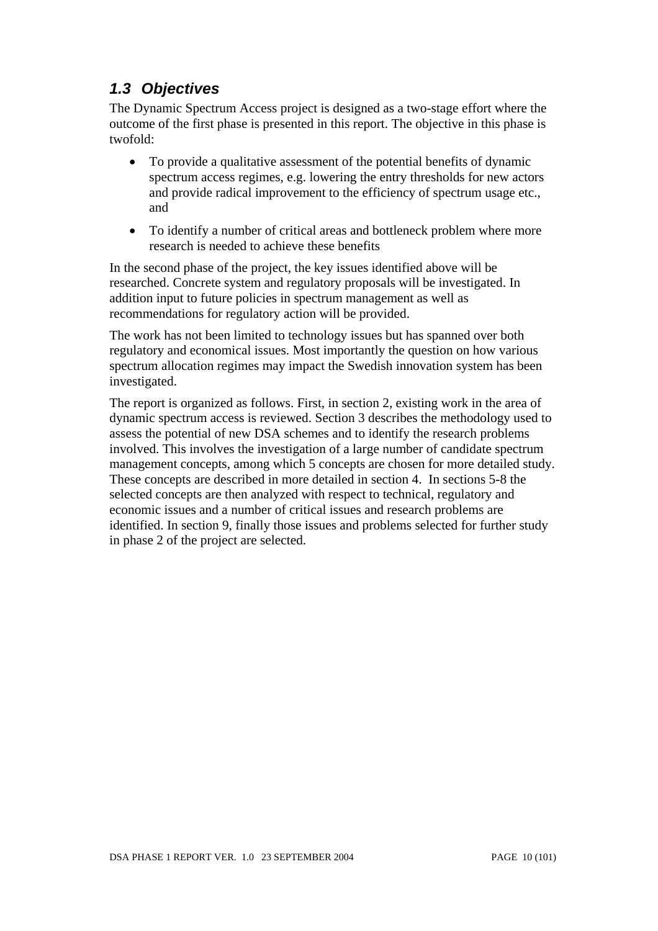# *1.3 Objectives*

The Dynamic Spectrum Access project is designed as a two-stage effort where the outcome of the first phase is presented in this report. The objective in this phase is twofold:

- To provide a qualitative assessment of the potential benefits of dynamic spectrum access regimes, e.g. lowering the entry thresholds for new actors and provide radical improvement to the efficiency of spectrum usage etc., and
- To identify a number of critical areas and bottleneck problem where more research is needed to achieve these benefits

In the second phase of the project, the key issues identified above will be researched. Concrete system and regulatory proposals will be investigated. In addition input to future policies in spectrum management as well as recommendations for regulatory action will be provided.

The work has not been limited to technology issues but has spanned over both regulatory and economical issues. Most importantly the question on how various spectrum allocation regimes may impact the Swedish innovation system has been investigated.

The report is organized as follows. First, in section 2, existing work in the area of dynamic spectrum access is reviewed. Section 3 describes the methodology used to assess the potential of new DSA schemes and to identify the research problems involved. This involves the investigation of a large number of candidate spectrum management concepts, among which 5 concepts are chosen for more detailed study. These concepts are described in more detailed in section 4. In sections 5-8 the selected concepts are then analyzed with respect to technical, regulatory and economic issues and a number of critical issues and research problems are identified. In section 9, finally those issues and problems selected for further study in phase 2 of the project are selected.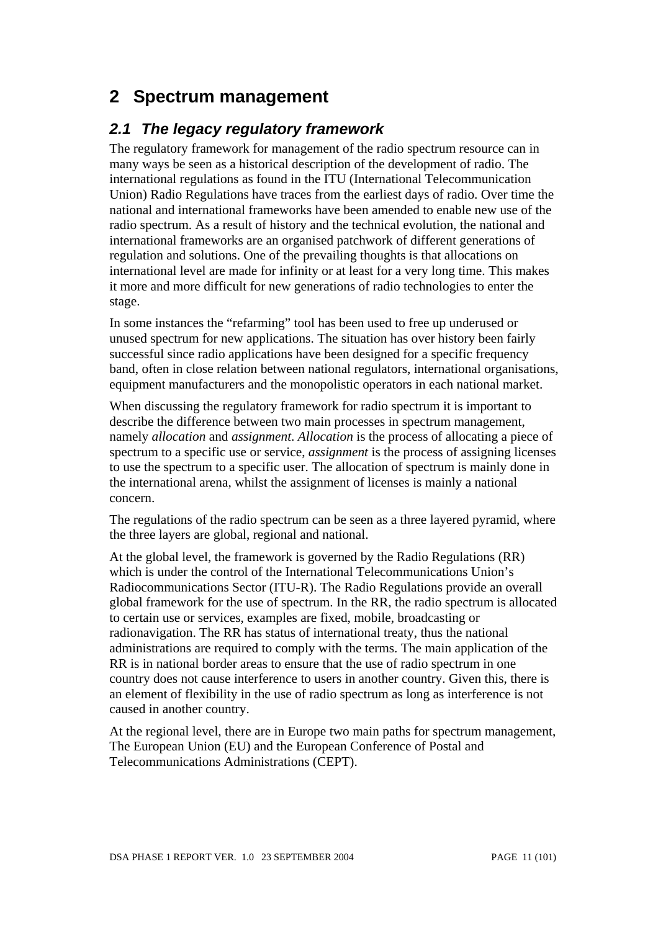# **2 Spectrum management**

# *2.1 The legacy regulatory framework*

The regulatory framework for management of the radio spectrum resource can in many ways be seen as a historical description of the development of radio. The international regulations as found in the ITU (International Telecommunication Union) Radio Regulations have traces from the earliest days of radio. Over time the national and international frameworks have been amended to enable new use of the radio spectrum. As a result of history and the technical evolution, the national and international frameworks are an organised patchwork of different generations of regulation and solutions. One of the prevailing thoughts is that allocations on international level are made for infinity or at least for a very long time. This makes it more and more difficult for new generations of radio technologies to enter the stage.

In some instances the "refarming" tool has been used to free up underused or unused spectrum for new applications. The situation has over history been fairly successful since radio applications have been designed for a specific frequency band, often in close relation between national regulators, international organisations, equipment manufacturers and the monopolistic operators in each national market.

When discussing the regulatory framework for radio spectrum it is important to describe the difference between two main processes in spectrum management, namely *allocation* and *assignment*. *Allocation* is the process of allocating a piece of spectrum to a specific use or service, *assignment* is the process of assigning licenses to use the spectrum to a specific user. The allocation of spectrum is mainly done in the international arena, whilst the assignment of licenses is mainly a national concern.

The regulations of the radio spectrum can be seen as a three layered pyramid, where the three layers are global, regional and national.

At the global level, the framework is governed by the Radio Regulations (RR) which is under the control of the International Telecommunications Union's Radiocommunications Sector (ITU-R). The Radio Regulations provide an overall global framework for the use of spectrum. In the RR, the radio spectrum is allocated to certain use or services, examples are fixed, mobile, broadcasting or radionavigation. The RR has status of international treaty, thus the national administrations are required to comply with the terms. The main application of the RR is in national border areas to ensure that the use of radio spectrum in one country does not cause interference to users in another country. Given this, there is an element of flexibility in the use of radio spectrum as long as interference is not caused in another country.

At the regional level, there are in Europe two main paths for spectrum management, The European Union (EU) and the European Conference of Postal and Telecommunications Administrations (CEPT).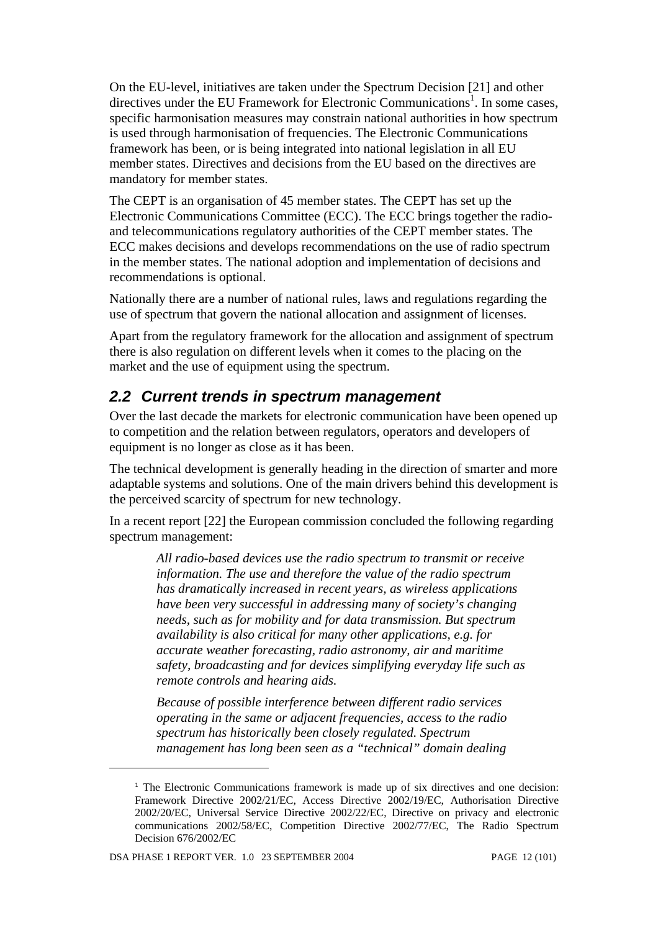On the EU-level, initiatives are taken under the Spectrum Decision [21] and other directives under the EU Framework for Electronic Communications<sup>1</sup>. In some cases, specific harmonisation measures may constrain national authorities in how spectrum is used through harmonisation of frequencies. The Electronic Communications framework has been, or is being integrated into national legislation in all EU member states. Directives and decisions from the EU based on the directives are mandatory for member states.

The CEPT is an organisation of 45 member states. The CEPT has set up the Electronic Communications Committee (ECC). The ECC brings together the radioand telecommunications regulatory authorities of the CEPT member states. The ECC makes decisions and develops recommendations on the use of radio spectrum in the member states. The national adoption and implementation of decisions and recommendations is optional.

Nationally there are a number of national rules, laws and regulations regarding the use of spectrum that govern the national allocation and assignment of licenses.

Apart from the regulatory framework for the allocation and assignment of spectrum there is also regulation on different levels when it comes to the placing on the market and the use of equipment using the spectrum.

## *2.2 Current trends in spectrum management*

Over the last decade the markets for electronic communication have been opened up to competition and the relation between regulators, operators and developers of equipment is no longer as close as it has been.

The technical development is generally heading in the direction of smarter and more adaptable systems and solutions. One of the main drivers behind this development is the perceived scarcity of spectrum for new technology.

In a recent report [22] the European commission concluded the following regarding spectrum management:

> *All radio-based devices use the radio spectrum to transmit or receive information. The use and therefore the value of the radio spectrum has dramatically increased in recent years, as wireless applications have been very successful in addressing many of society's changing needs, such as for mobility and for data transmission. But spectrum availability is also critical for many other applications, e.g. for accurate weather forecasting, radio astronomy, air and maritime safety, broadcasting and for devices simplifying everyday life such as remote controls and hearing aids.*

*Because of possible interference between different radio services operating in the same or adjacent frequencies, access to the radio spectrum has historically been closely regulated. Spectrum management has long been seen as a "technical" domain dealing* 

 $\overline{a}$ 

<sup>&</sup>lt;sup>1</sup> The Electronic Communications framework is made up of six directives and one decision: Framework Directive 2002/21/EC, Access Directive 2002/19/EC, Authorisation Directive 2002/20/EC, Universal Service Directive 2002/22/EC, Directive on privacy and electronic communications 2002/58/EC, Competition Directive 2002/77/EC, The Radio Spectrum Decision 676/2002/EC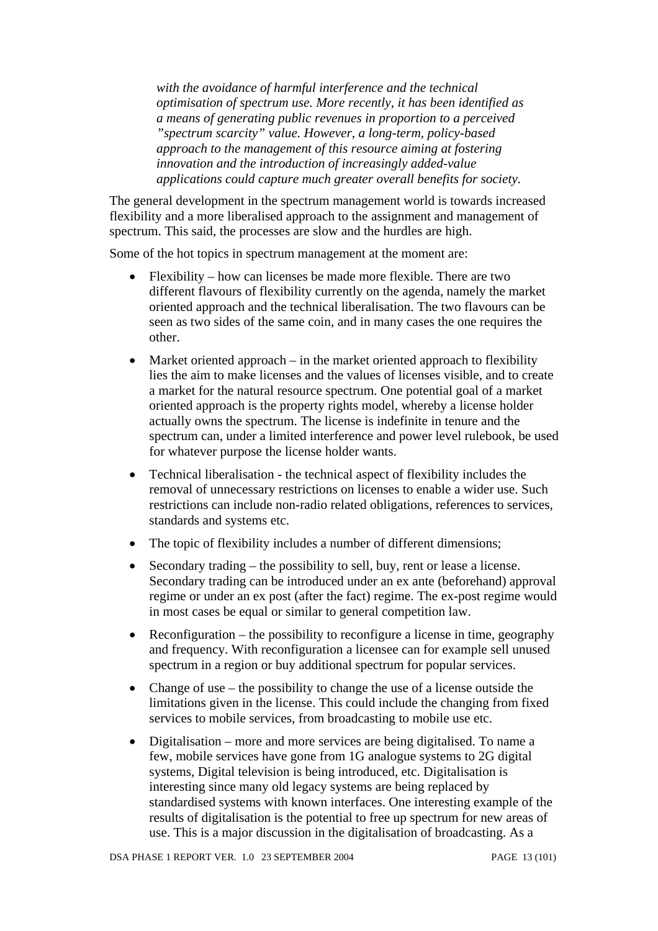*with the avoidance of harmful interference and the technical optimisation of spectrum use. More recently, it has been identified as a means of generating public revenues in proportion to a perceived "spectrum scarcity" value. However, a long-term, policy-based approach to the management of this resource aiming at fostering innovation and the introduction of increasingly added-value applications could capture much greater overall benefits for society.* 

The general development in the spectrum management world is towards increased flexibility and a more liberalised approach to the assignment and management of spectrum. This said, the processes are slow and the hurdles are high.

Some of the hot topics in spectrum management at the moment are:

- Flexibility how can licenses be made more flexible. There are two different flavours of flexibility currently on the agenda, namely the market oriented approach and the technical liberalisation. The two flavours can be seen as two sides of the same coin, and in many cases the one requires the other.
- Market oriented approach in the market oriented approach to flexibility lies the aim to make licenses and the values of licenses visible, and to create a market for the natural resource spectrum. One potential goal of a market oriented approach is the property rights model, whereby a license holder actually owns the spectrum. The license is indefinite in tenure and the spectrum can, under a limited interference and power level rulebook, be used for whatever purpose the license holder wants.
- Technical liberalisation the technical aspect of flexibility includes the removal of unnecessary restrictions on licenses to enable a wider use. Such restrictions can include non-radio related obligations, references to services, standards and systems etc.
- The topic of flexibility includes a number of different dimensions:
- Secondary trading the possibility to sell, buy, rent or lease a license. Secondary trading can be introduced under an ex ante (beforehand) approval regime or under an ex post (after the fact) regime. The ex-post regime would in most cases be equal or similar to general competition law.
- Reconfiguration the possibility to reconfigure a license in time, geography and frequency. With reconfiguration a licensee can for example sell unused spectrum in a region or buy additional spectrum for popular services.
- Change of use the possibility to change the use of a license outside the limitations given in the license. This could include the changing from fixed services to mobile services, from broadcasting to mobile use etc.
- Digitalisation more and more services are being digitalised. To name a few, mobile services have gone from 1G analogue systems to 2G digital systems, Digital television is being introduced, etc. Digitalisation is interesting since many old legacy systems are being replaced by standardised systems with known interfaces. One interesting example of the results of digitalisation is the potential to free up spectrum for new areas of use. This is a major discussion in the digitalisation of broadcasting. As a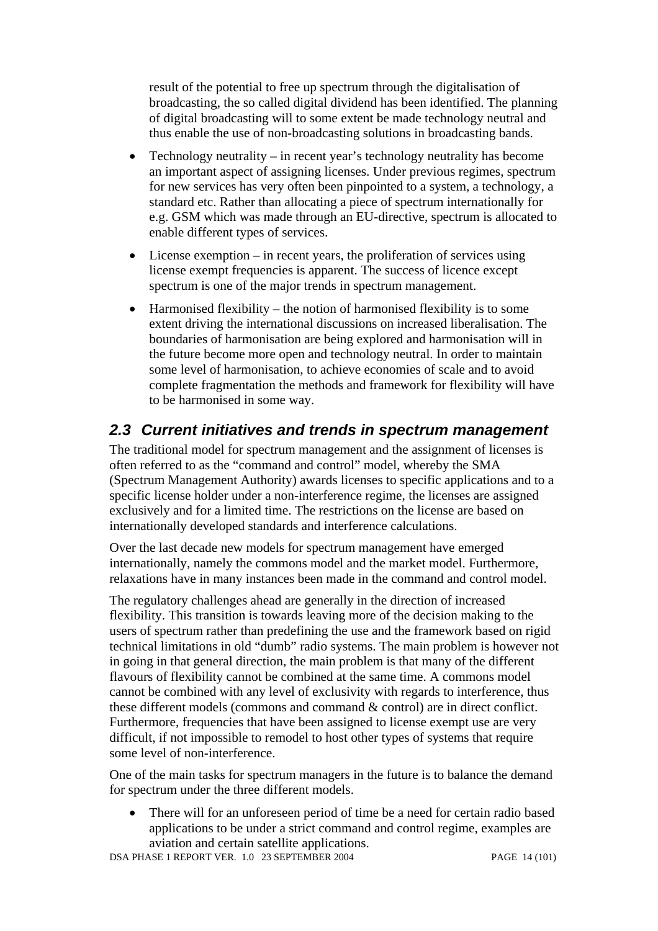result of the potential to free up spectrum through the digitalisation of broadcasting, the so called digital dividend has been identified. The planning of digital broadcasting will to some extent be made technology neutral and thus enable the use of non-broadcasting solutions in broadcasting bands.

- Technology neutrality in recent year's technology neutrality has become an important aspect of assigning licenses. Under previous regimes, spectrum for new services has very often been pinpointed to a system, a technology, a standard etc. Rather than allocating a piece of spectrum internationally for e.g. GSM which was made through an EU-directive, spectrum is allocated to enable different types of services.
- License exemption in recent years, the proliferation of services using license exempt frequencies is apparent. The success of licence except spectrum is one of the major trends in spectrum management.
- Harmonised flexibility the notion of harmonised flexibility is to some extent driving the international discussions on increased liberalisation. The boundaries of harmonisation are being explored and harmonisation will in the future become more open and technology neutral. In order to maintain some level of harmonisation, to achieve economies of scale and to avoid complete fragmentation the methods and framework for flexibility will have to be harmonised in some way.

## *2.3 Current initiatives and trends in spectrum management*

The traditional model for spectrum management and the assignment of licenses is often referred to as the "command and control" model, whereby the SMA (Spectrum Management Authority) awards licenses to specific applications and to a specific license holder under a non-interference regime, the licenses are assigned exclusively and for a limited time. The restrictions on the license are based on internationally developed standards and interference calculations.

Over the last decade new models for spectrum management have emerged internationally, namely the commons model and the market model. Furthermore, relaxations have in many instances been made in the command and control model.

The regulatory challenges ahead are generally in the direction of increased flexibility. This transition is towards leaving more of the decision making to the users of spectrum rather than predefining the use and the framework based on rigid technical limitations in old "dumb" radio systems. The main problem is however not in going in that general direction, the main problem is that many of the different flavours of flexibility cannot be combined at the same time. A commons model cannot be combined with any level of exclusivity with regards to interference, thus these different models (commons and command & control) are in direct conflict. Furthermore, frequencies that have been assigned to license exempt use are very difficult, if not impossible to remodel to host other types of systems that require some level of non-interference.

One of the main tasks for spectrum managers in the future is to balance the demand for spectrum under the three different models.

• There will for an unforeseen period of time be a need for certain radio based applications to be under a strict command and control regime, examples are aviation and certain satellite applications.

DSA PHASE 1 REPORT VER. 1.0 23 SEPTEMBER 2004 PAGE 14 (101)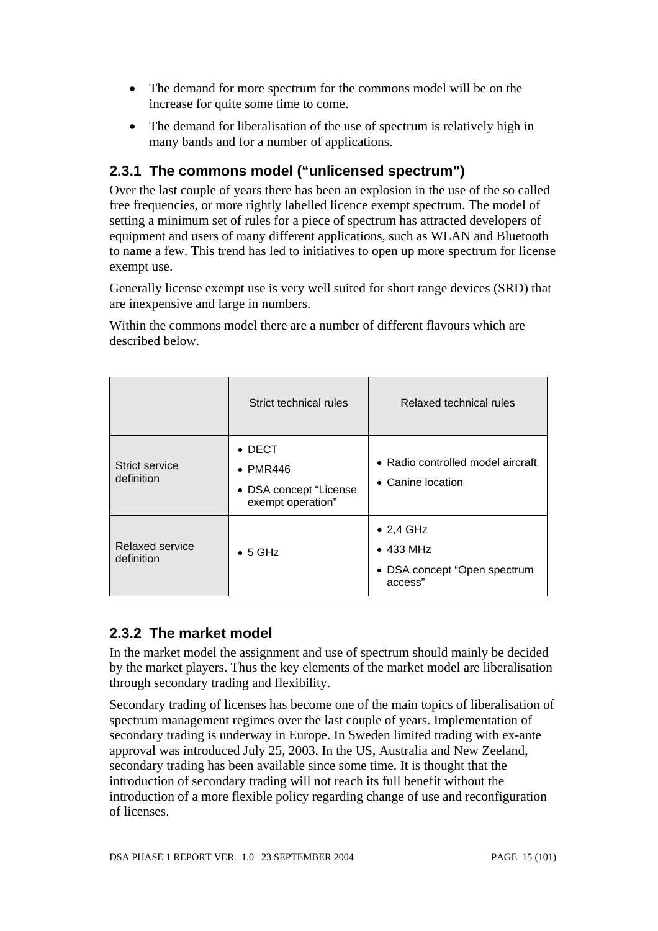- The demand for more spectrum for the commons model will be on the increase for quite some time to come.
- The demand for liberalisation of the use of spectrum is relatively high in many bands and for a number of applications.

## **2.3.1 The commons model ("unlicensed spectrum")**

Over the last couple of years there has been an explosion in the use of the so called free frequencies, or more rightly labelled licence exempt spectrum. The model of setting a minimum set of rules for a piece of spectrum has attracted developers of equipment and users of many different applications, such as WLAN and Bluetooth to name a few. This trend has led to initiatives to open up more spectrum for license exempt use.

Generally license exempt use is very well suited for short range devices (SRD) that are inexpensive and large in numbers.

Within the commons model there are a number of different flavours which are described below.

|                               | Strict technical rules                                                            | Relaxed technical rules                                                           |
|-------------------------------|-----------------------------------------------------------------------------------|-----------------------------------------------------------------------------------|
| Strict service<br>definition  | $\bullet$ DECT<br>$\bullet$ PMR446<br>• DSA concept "License<br>exempt operation" | • Radio controlled model aircraft<br>• Canine location                            |
| Relaxed service<br>definition | $\bullet$ 5 GHz                                                                   | $\bullet$ 2,4 GHz<br>$\bullet$ 433 MHz<br>• DSA concept "Open spectrum<br>access" |

### **2.3.2 The market model**

In the market model the assignment and use of spectrum should mainly be decided by the market players. Thus the key elements of the market model are liberalisation through secondary trading and flexibility.

Secondary trading of licenses has become one of the main topics of liberalisation of spectrum management regimes over the last couple of years. Implementation of secondary trading is underway in Europe. In Sweden limited trading with ex-ante approval was introduced July 25, 2003. In the US, Australia and New Zeeland, secondary trading has been available since some time. It is thought that the introduction of secondary trading will not reach its full benefit without the introduction of a more flexible policy regarding change of use and reconfiguration of licenses.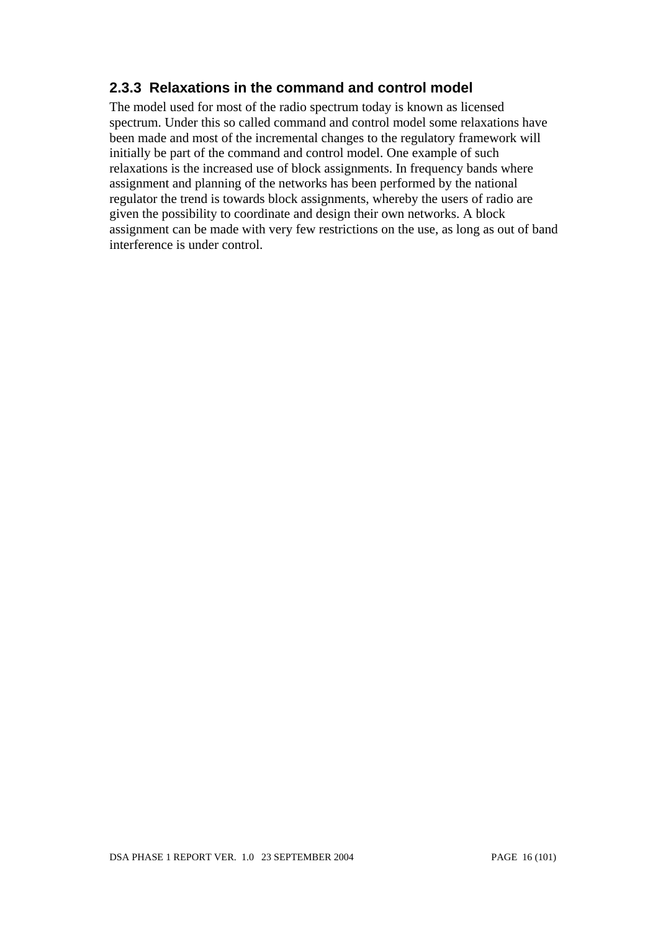## **2.3.3 Relaxations in the command and control model**

The model used for most of the radio spectrum today is known as licensed spectrum. Under this so called command and control model some relaxations have been made and most of the incremental changes to the regulatory framework will initially be part of the command and control model. One example of such relaxations is the increased use of block assignments. In frequency bands where assignment and planning of the networks has been performed by the national regulator the trend is towards block assignments, whereby the users of radio are given the possibility to coordinate and design their own networks. A block assignment can be made with very few restrictions on the use, as long as out of band interference is under control.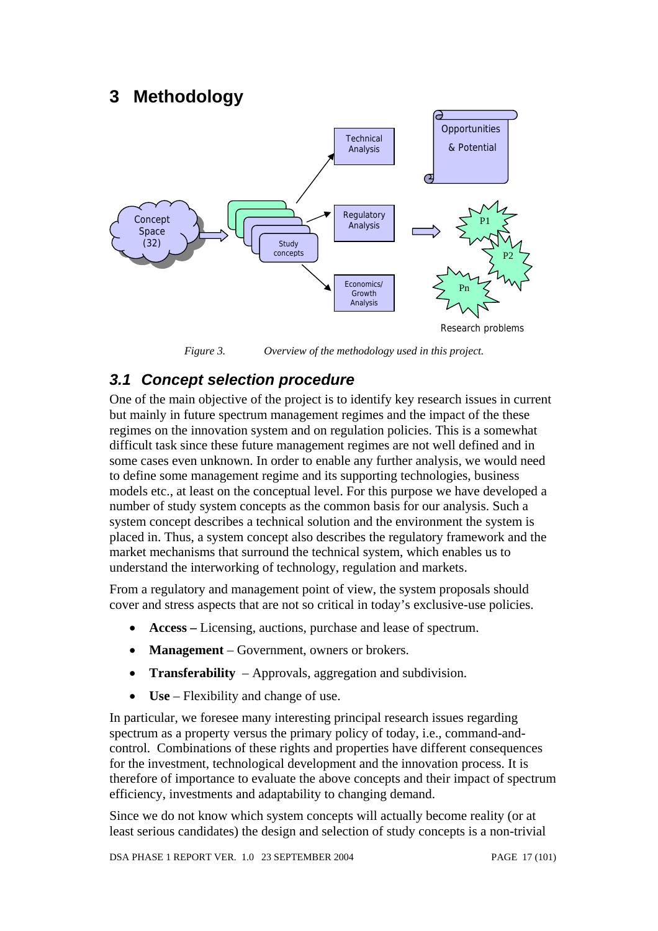# **3 Methodology**



*Figure 3. Overview of the methodology used in this project.* 

# *3.1 Concept selection procedure*

One of the main objective of the project is to identify key research issues in current but mainly in future spectrum management regimes and the impact of the these regimes on the innovation system and on regulation policies. This is a somewhat difficult task since these future management regimes are not well defined and in some cases even unknown. In order to enable any further analysis, we would need to define some management regime and its supporting technologies, business models etc., at least on the conceptual level. For this purpose we have developed a number of study system concepts as the common basis for our analysis. Such a system concept describes a technical solution and the environment the system is placed in. Thus, a system concept also describes the regulatory framework and the market mechanisms that surround the technical system, which enables us to understand the interworking of technology, regulation and markets.

From a regulatory and management point of view, the system proposals should cover and stress aspects that are not so critical in today's exclusive-use policies.

- **Access** Licensing, auctions, purchase and lease of spectrum.
- **Management**  Government, owners or brokers.
- **Transferability**  Approvals, aggregation and subdivision.
- Use Flexibility and change of use.

In particular, we foresee many interesting principal research issues regarding spectrum as a property versus the primary policy of today, i.e., command-andcontrol. Combinations of these rights and properties have different consequences for the investment, technological development and the innovation process. It is therefore of importance to evaluate the above concepts and their impact of spectrum efficiency, investments and adaptability to changing demand.

Since we do not know which system concepts will actually become reality (or at least serious candidates) the design and selection of study concepts is a non-trivial

DSA PHASE 1 REPORT VER. 1.0 23 SEPTEMBER 2004 PAGE 17 (101)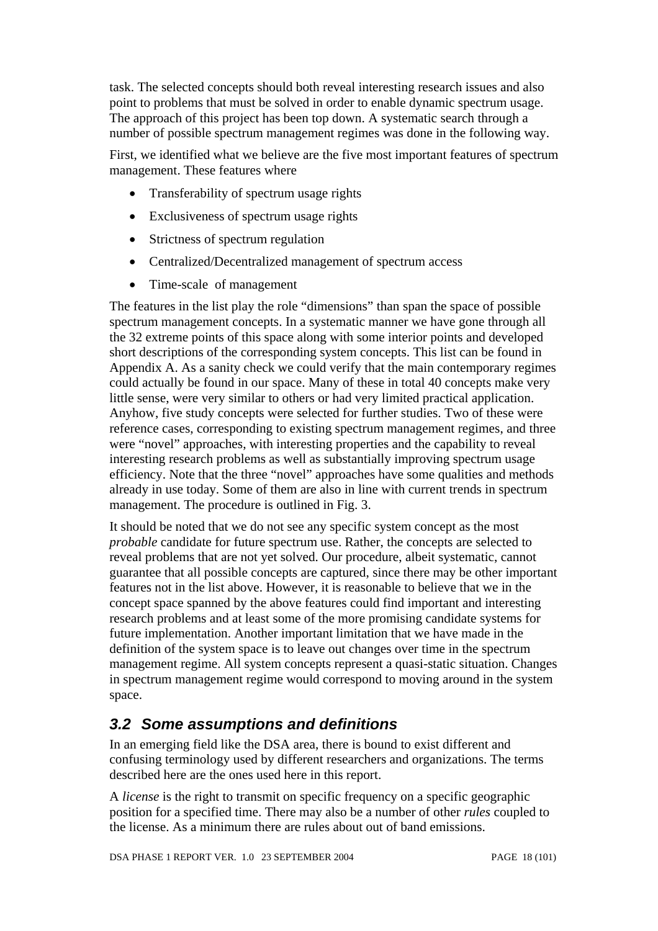task. The selected concepts should both reveal interesting research issues and also point to problems that must be solved in order to enable dynamic spectrum usage. The approach of this project has been top down. A systematic search through a number of possible spectrum management regimes was done in the following way.

First, we identified what we believe are the five most important features of spectrum management. These features where

- Transferability of spectrum usage rights
- Exclusiveness of spectrum usage rights
- Strictness of spectrum regulation
- Centralized/Decentralized management of spectrum access
- Time-scale of management

The features in the list play the role "dimensions" than span the space of possible spectrum management concepts. In a systematic manner we have gone through all the 32 extreme points of this space along with some interior points and developed short descriptions of the corresponding system concepts. This list can be found in Appendix A. As a sanity check we could verify that the main contemporary regimes could actually be found in our space. Many of these in total 40 concepts make very little sense, were very similar to others or had very limited practical application. Anyhow, five study concepts were selected for further studies. Two of these were reference cases, corresponding to existing spectrum management regimes, and three were "novel" approaches, with interesting properties and the capability to reveal interesting research problems as well as substantially improving spectrum usage efficiency. Note that the three "novel" approaches have some qualities and methods already in use today. Some of them are also in line with current trends in spectrum management. The procedure is outlined in Fig. 3.

It should be noted that we do not see any specific system concept as the most *probable* candidate for future spectrum use. Rather, the concepts are selected to reveal problems that are not yet solved. Our procedure, albeit systematic, cannot guarantee that all possible concepts are captured, since there may be other important features not in the list above. However, it is reasonable to believe that we in the concept space spanned by the above features could find important and interesting research problems and at least some of the more promising candidate systems for future implementation. Another important limitation that we have made in the definition of the system space is to leave out changes over time in the spectrum management regime. All system concepts represent a quasi-static situation. Changes in spectrum management regime would correspond to moving around in the system space.

# *3.2 Some assumptions and definitions*

In an emerging field like the DSA area, there is bound to exist different and confusing terminology used by different researchers and organizations. The terms described here are the ones used here in this report.

A *license* is the right to transmit on specific frequency on a specific geographic position for a specified time. There may also be a number of other *rules* coupled to the license. As a minimum there are rules about out of band emissions.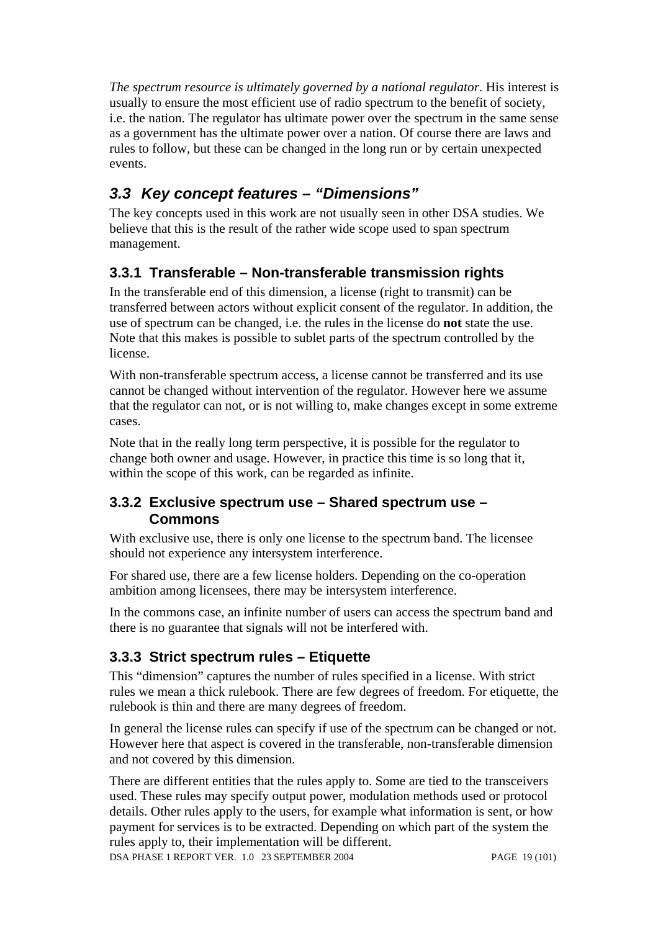*The spectrum resource is ultimately governed by a national regulator*. His interest is usually to ensure the most efficient use of radio spectrum to the benefit of society, i.e. the nation. The regulator has ultimate power over the spectrum in the same sense as a government has the ultimate power over a nation. Of course there are laws and rules to follow, but these can be changed in the long run or by certain unexpected events.

# *3.3 Key concept features – "Dimensions"*

The key concepts used in this work are not usually seen in other DSA studies. We believe that this is the result of the rather wide scope used to span spectrum management.

# **3.3.1 Transferable – Non-transferable transmission rights**

In the transferable end of this dimension, a license (right to transmit) can be transferred between actors without explicit consent of the regulator. In addition, the use of spectrum can be changed, i.e. the rules in the license do **not** state the use. Note that this makes is possible to sublet parts of the spectrum controlled by the license.

With non-transferable spectrum access, a license cannot be transferred and its use cannot be changed without intervention of the regulator. However here we assume that the regulator can not, or is not willing to, make changes except in some extreme cases.

Note that in the really long term perspective, it is possible for the regulator to change both owner and usage. However, in practice this time is so long that it, within the scope of this work, can be regarded as infinite.

### **3.3.2 Exclusive spectrum use – Shared spectrum use – Commons**

With exclusive use, there is only one license to the spectrum band. The licensee should not experience any intersystem interference.

For shared use, there are a few license holders. Depending on the co-operation ambition among licensees, there may be intersystem interference.

In the commons case, an infinite number of users can access the spectrum band and there is no guarantee that signals will not be interfered with.

# **3.3.3 Strict spectrum rules – Etiquette**

This "dimension" captures the number of rules specified in a license. With strict rules we mean a thick rulebook. There are few degrees of freedom. For etiquette, the rulebook is thin and there are many degrees of freedom.

In general the license rules can specify if use of the spectrum can be changed or not. However here that aspect is covered in the transferable, non-transferable dimension and not covered by this dimension.

There are different entities that the rules apply to. Some are tied to the transceivers used. These rules may specify output power, modulation methods used or protocol details. Other rules apply to the users, for example what information is sent, or how payment for services is to be extracted. Depending on which part of the system the rules apply to, their implementation will be different.

DSA PHASE 1 REPORT VER. 1.0 23 SEPTEMBER 2004 PAGE 19 (101)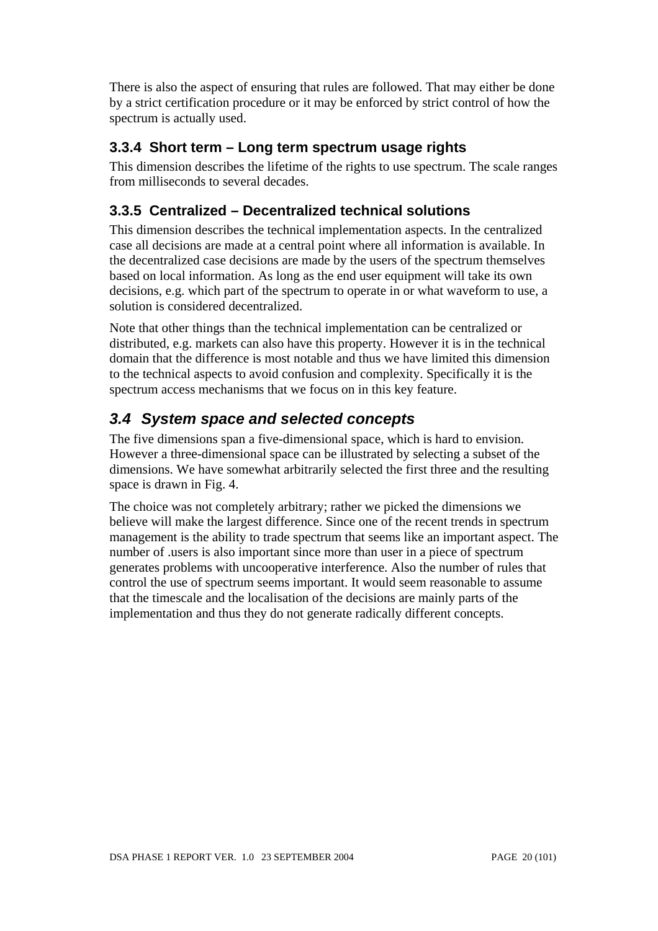There is also the aspect of ensuring that rules are followed. That may either be done by a strict certification procedure or it may be enforced by strict control of how the spectrum is actually used.

#### **3.3.4 Short term – Long term spectrum usage rights**

This dimension describes the lifetime of the rights to use spectrum. The scale ranges from milliseconds to several decades.

### **3.3.5 Centralized – Decentralized technical solutions**

This dimension describes the technical implementation aspects. In the centralized case all decisions are made at a central point where all information is available. In the decentralized case decisions are made by the users of the spectrum themselves based on local information. As long as the end user equipment will take its own decisions, e.g. which part of the spectrum to operate in or what waveform to use, a solution is considered decentralized.

Note that other things than the technical implementation can be centralized or distributed, e.g. markets can also have this property. However it is in the technical domain that the difference is most notable and thus we have limited this dimension to the technical aspects to avoid confusion and complexity. Specifically it is the spectrum access mechanisms that we focus on in this key feature.

# *3.4 System space and selected concepts*

The five dimensions span a five-dimensional space, which is hard to envision. However a three-dimensional space can be illustrated by selecting a subset of the dimensions. We have somewhat arbitrarily selected the first three and the resulting space is drawn in Fig. 4.

The choice was not completely arbitrary; rather we picked the dimensions we believe will make the largest difference. Since one of the recent trends in spectrum management is the ability to trade spectrum that seems like an important aspect. The number of .users is also important since more than user in a piece of spectrum generates problems with uncooperative interference. Also the number of rules that control the use of spectrum seems important. It would seem reasonable to assume that the timescale and the localisation of the decisions are mainly parts of the implementation and thus they do not generate radically different concepts.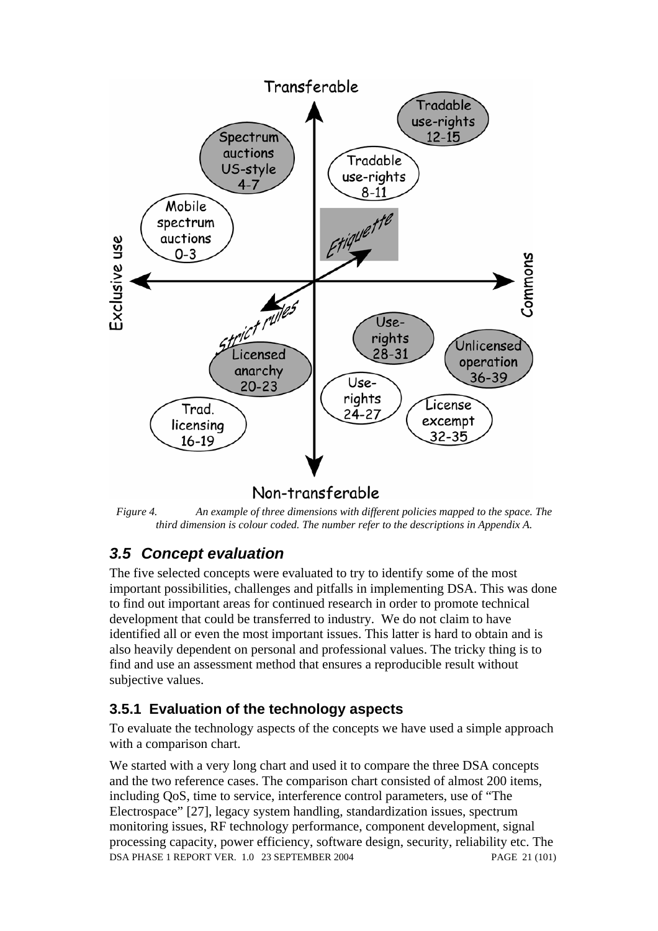

Non-transferable

*Figure 4. An example of three dimensions with different policies mapped to the space. The third dimension is colour coded. The number refer to the descriptions in Appendix A.* 

# *3.5 Concept evaluation*

The five selected concepts were evaluated to try to identify some of the most important possibilities, challenges and pitfalls in implementing DSA. This was done to find out important areas for continued research in order to promote technical development that could be transferred to industry. We do not claim to have identified all or even the most important issues. This latter is hard to obtain and is also heavily dependent on personal and professional values. The tricky thing is to find and use an assessment method that ensures a reproducible result without subjective values.

### **3.5.1 Evaluation of the technology aspects**

To evaluate the technology aspects of the concepts we have used a simple approach with a comparison chart.

DSA PHASE 1 REPORT VER. 1.0 23 SEPTEMBER 2004 PAGE 21 (101) We started with a very long chart and used it to compare the three DSA concepts and the two reference cases. The comparison chart consisted of almost 200 items, including QoS, time to service, interference control parameters, use of "The Electrospace" [27], legacy system handling, standardization issues, spectrum monitoring issues, RF technology performance, component development, signal processing capacity, power efficiency, software design, security, reliability etc. The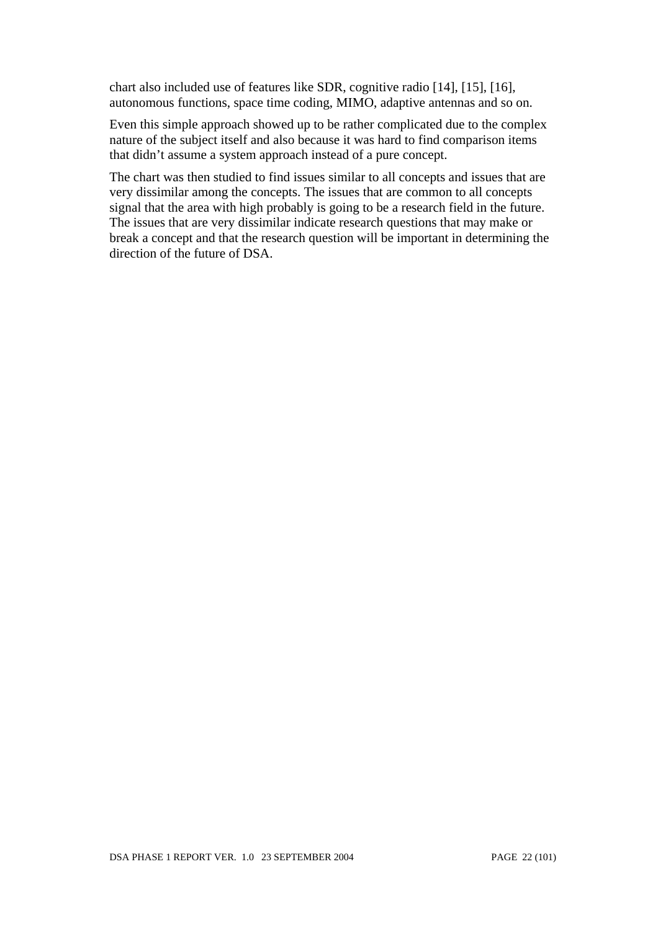chart also included use of features like SDR, cognitive radio [14], [15], [16], autonomous functions, space time coding, MIMO, adaptive antennas and so on.

Even this simple approach showed up to be rather complicated due to the complex nature of the subject itself and also because it was hard to find comparison items that didn't assume a system approach instead of a pure concept.

The chart was then studied to find issues similar to all concepts and issues that are very dissimilar among the concepts. The issues that are common to all concepts signal that the area with high probably is going to be a research field in the future. The issues that are very dissimilar indicate research questions that may make or break a concept and that the research question will be important in determining the direction of the future of DSA.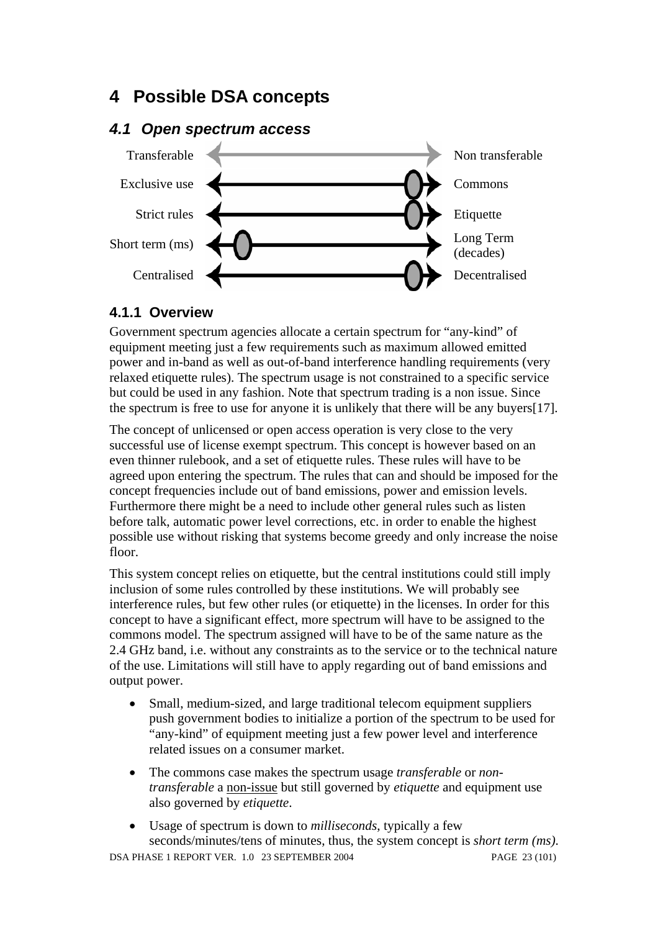# **4 Possible DSA concepts**

#### *4.1 Open spectrum access*



#### **4.1.1 Overview**

Government spectrum agencies allocate a certain spectrum for "any-kind" of equipment meeting just a few requirements such as maximum allowed emitted power and in-band as well as out-of-band interference handling requirements (very relaxed etiquette rules). The spectrum usage is not constrained to a specific service but could be used in any fashion. Note that spectrum trading is a non issue. Since the spectrum is free to use for anyone it is unlikely that there will be any buyers[17].

The concept of unlicensed or open access operation is very close to the very successful use of license exempt spectrum. This concept is however based on an even thinner rulebook, and a set of etiquette rules. These rules will have to be agreed upon entering the spectrum. The rules that can and should be imposed for the concept frequencies include out of band emissions, power and emission levels. Furthermore there might be a need to include other general rules such as listen before talk, automatic power level corrections, etc. in order to enable the highest possible use without risking that systems become greedy and only increase the noise floor.

This system concept relies on etiquette, but the central institutions could still imply inclusion of some rules controlled by these institutions. We will probably see interference rules, but few other rules (or etiquette) in the licenses. In order for this concept to have a significant effect, more spectrum will have to be assigned to the commons model. The spectrum assigned will have to be of the same nature as the 2.4 GHz band, i.e. without any constraints as to the service or to the technical nature of the use. Limitations will still have to apply regarding out of band emissions and output power.

- Small, medium-sized, and large traditional telecom equipment suppliers push government bodies to initialize a portion of the spectrum to be used for "any-kind" of equipment meeting just a few power level and interference related issues on a consumer market.
- The commons case makes the spectrum usage *transferable* or *nontransferable* a non-issue but still governed by *etiquette* and equipment use also governed by *etiquette*.
- DSA PHASE 1 REPORT VER. 1.0 23 SEPTEMBER 2004 PAGE 23 (101) • Usage of spectrum is down to *milliseconds*, typically a few seconds/minutes/tens of minutes, thus, the system concept is *short term (ms)*.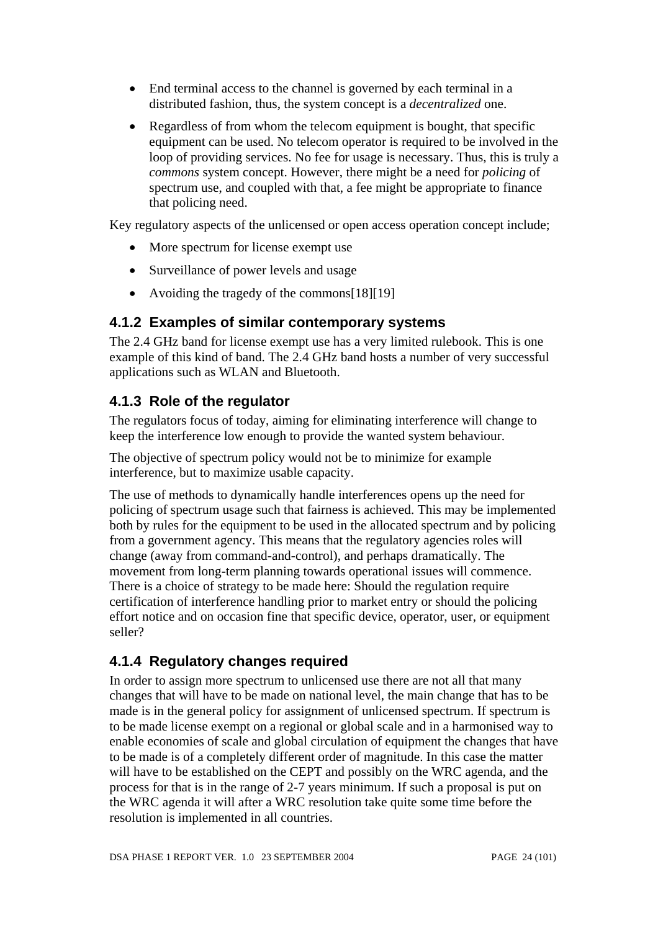- End terminal access to the channel is governed by each terminal in a distributed fashion, thus, the system concept is a *decentralized* one.
- Regardless of from whom the telecom equipment is bought, that specific equipment can be used. No telecom operator is required to be involved in the loop of providing services. No fee for usage is necessary. Thus, this is truly a *commons* system concept. However, there might be a need for *policing* of spectrum use, and coupled with that, a fee might be appropriate to finance that policing need.

Key regulatory aspects of the unlicensed or open access operation concept include;

- More spectrum for license exempt use
- Surveillance of power levels and usage
- Avoiding the tragedy of the commons[18][19]

#### **4.1.2 Examples of similar contemporary systems**

The 2.4 GHz band for license exempt use has a very limited rulebook. This is one example of this kind of band. The 2.4 GHz band hosts a number of very successful applications such as WLAN and Bluetooth.

## **4.1.3 Role of the regulator**

The regulators focus of today, aiming for eliminating interference will change to keep the interference low enough to provide the wanted system behaviour.

The objective of spectrum policy would not be to minimize for example interference, but to maximize usable capacity.

The use of methods to dynamically handle interferences opens up the need for policing of spectrum usage such that fairness is achieved. This may be implemented both by rules for the equipment to be used in the allocated spectrum and by policing from a government agency. This means that the regulatory agencies roles will change (away from command-and-control), and perhaps dramatically. The movement from long-term planning towards operational issues will commence. There is a choice of strategy to be made here: Should the regulation require certification of interference handling prior to market entry or should the policing effort notice and on occasion fine that specific device, operator, user, or equipment seller?

### **4.1.4 Regulatory changes required**

In order to assign more spectrum to unlicensed use there are not all that many changes that will have to be made on national level, the main change that has to be made is in the general policy for assignment of unlicensed spectrum. If spectrum is to be made license exempt on a regional or global scale and in a harmonised way to enable economies of scale and global circulation of equipment the changes that have to be made is of a completely different order of magnitude. In this case the matter will have to be established on the CEPT and possibly on the WRC agenda, and the process for that is in the range of 2-7 years minimum. If such a proposal is put on the WRC agenda it will after a WRC resolution take quite some time before the resolution is implemented in all countries.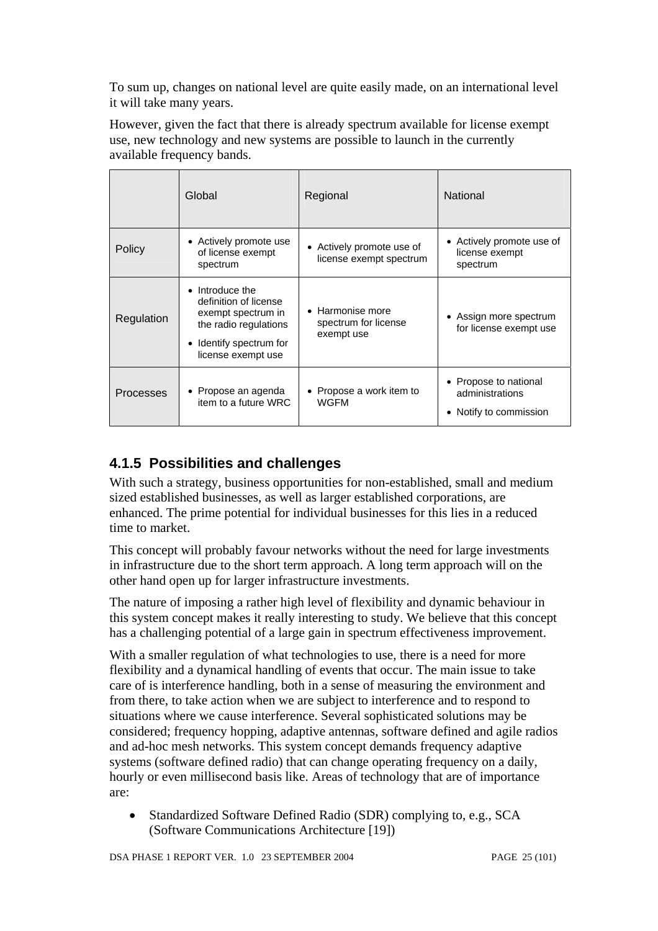To sum up, changes on national level are quite easily made, on an international level it will take many years.

However, given the fact that there is already spectrum available for license exempt use, new technology and new systems are possible to launch in the currently available frequency bands.

|                  | Global                                                                                                                               | Regional                                               | National                                                         |
|------------------|--------------------------------------------------------------------------------------------------------------------------------------|--------------------------------------------------------|------------------------------------------------------------------|
| Policy           | • Actively promote use<br>of license exempt<br>spectrum                                                                              | • Actively promote use of<br>license exempt spectrum   | • Actively promote use of<br>license exempt<br>spectrum          |
| Regulation       | Introduce the<br>definition of license<br>exempt spectrum in<br>the radio regulations<br>Identify spectrum for<br>license exempt use | • Harmonise more<br>spectrum for license<br>exempt use | • Assign more spectrum<br>for license exempt use                 |
| <b>Processes</b> | • Propose an agenda<br>item to a future WRC                                                                                          | Propose a work item to<br>WGFM                         | • Propose to national<br>administrations<br>Notify to commission |

# **4.1.5 Possibilities and challenges**

With such a strategy, business opportunities for non-established, small and medium sized established businesses, as well as larger established corporations, are enhanced. The prime potential for individual businesses for this lies in a reduced time to market.

This concept will probably favour networks without the need for large investments in infrastructure due to the short term approach. A long term approach will on the other hand open up for larger infrastructure investments.

The nature of imposing a rather high level of flexibility and dynamic behaviour in this system concept makes it really interesting to study. We believe that this concept has a challenging potential of a large gain in spectrum effectiveness improvement.

With a smaller regulation of what technologies to use, there is a need for more flexibility and a dynamical handling of events that occur. The main issue to take care of is interference handling, both in a sense of measuring the environment and from there, to take action when we are subject to interference and to respond to situations where we cause interference. Several sophisticated solutions may be considered; frequency hopping, adaptive antennas, software defined and agile radios and ad-hoc mesh networks. This system concept demands frequency adaptive systems (software defined radio) that can change operating frequency on a daily, hourly or even millisecond basis like. Areas of technology that are of importance are:

• Standardized Software Defined Radio (SDR) complying to, e.g., SCA (Software Communications Architecture [19])

DSA PHASE 1 REPORT VER. 1.0 23 SEPTEMBER 2004 PAGE 25 (101)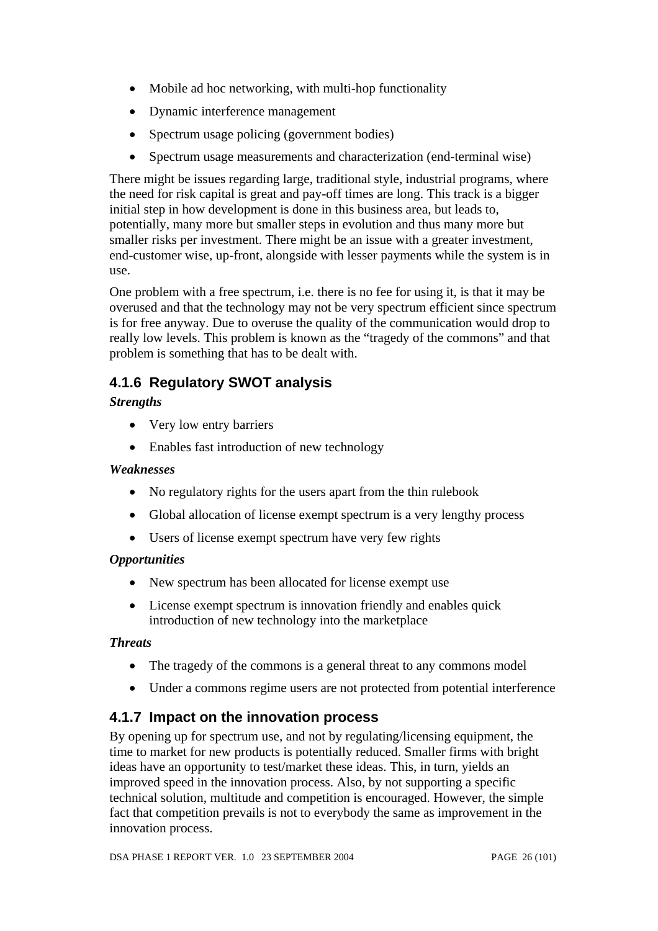- Mobile ad hoc networking, with multi-hop functionality
- Dynamic interference management
- Spectrum usage policing (government bodies)
- Spectrum usage measurements and characterization (end-terminal wise)

There might be issues regarding large, traditional style, industrial programs, where the need for risk capital is great and pay-off times are long. This track is a bigger initial step in how development is done in this business area, but leads to, potentially, many more but smaller steps in evolution and thus many more but smaller risks per investment. There might be an issue with a greater investment, end-customer wise, up-front, alongside with lesser payments while the system is in use.

One problem with a free spectrum, i.e. there is no fee for using it, is that it may be overused and that the technology may not be very spectrum efficient since spectrum is for free anyway. Due to overuse the quality of the communication would drop to really low levels. This problem is known as the "tragedy of the commons" and that problem is something that has to be dealt with.

# **4.1.6 Regulatory SWOT analysis**

#### *Strengths*

- Very low entry barriers
- Enables fast introduction of new technology

#### *Weaknesses*

- No regulatory rights for the users apart from the thin rulebook
- Global allocation of license exempt spectrum is a very lengthy process
- Users of license exempt spectrum have very few rights

#### *Opportunities*

- New spectrum has been allocated for license exempt use
- License exempt spectrum is innovation friendly and enables quick introduction of new technology into the marketplace

#### *Threats*

- The tragedy of the commons is a general threat to any commons model
- Under a commons regime users are not protected from potential interference

#### **4.1.7 Impact on the innovation process**

By opening up for spectrum use, and not by regulating/licensing equipment, the time to market for new products is potentially reduced. Smaller firms with bright ideas have an opportunity to test/market these ideas. This, in turn, yields an improved speed in the innovation process. Also, by not supporting a specific technical solution, multitude and competition is encouraged. However, the simple fact that competition prevails is not to everybody the same as improvement in the innovation process.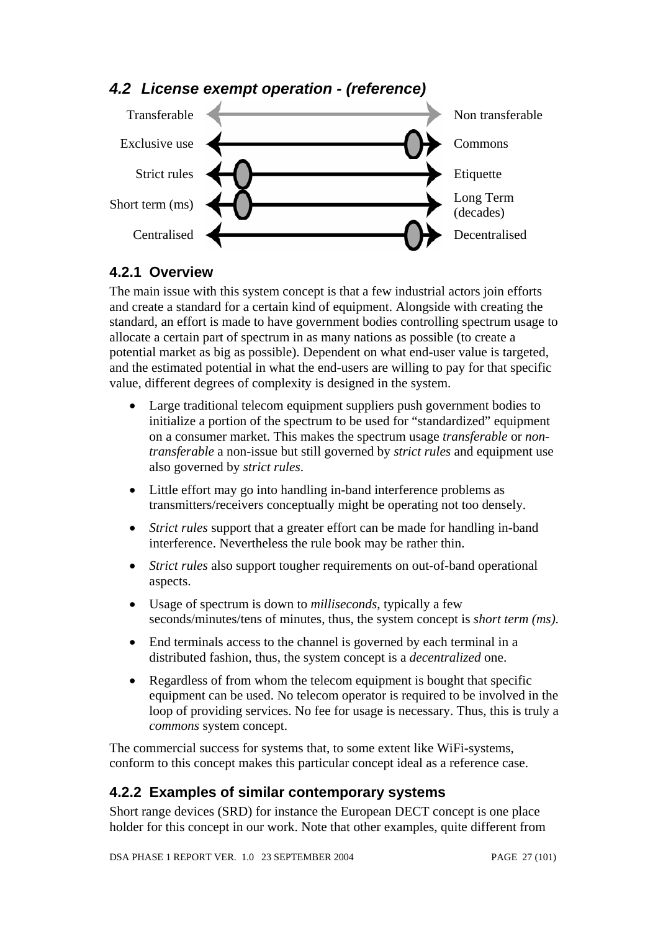#### *4.2 License exempt operation - (reference)*



### **4.2.1 Overview**

The main issue with this system concept is that a few industrial actors join efforts and create a standard for a certain kind of equipment. Alongside with creating the standard, an effort is made to have government bodies controlling spectrum usage to allocate a certain part of spectrum in as many nations as possible (to create a potential market as big as possible). Dependent on what end-user value is targeted, and the estimated potential in what the end-users are willing to pay for that specific value, different degrees of complexity is designed in the system.

- Large traditional telecom equipment suppliers push government bodies to initialize a portion of the spectrum to be used for "standardized" equipment on a consumer market. This makes the spectrum usage *transferable* or *nontransferable* a non-issue but still governed by *strict rules* and equipment use also governed by *strict rules*.
- Little effort may go into handling in-band interference problems as transmitters/receivers conceptually might be operating not too densely.
- *Strict rules* support that a greater effort can be made for handling in-band interference. Nevertheless the rule book may be rather thin.
- *Strict rules* also support tougher requirements on out-of-band operational aspects.
- Usage of spectrum is down to *milliseconds*, typically a few seconds/minutes/tens of minutes, thus, the system concept is *short term (ms)*.
- End terminals access to the channel is governed by each terminal in a distributed fashion, thus, the system concept is a *decentralized* one.
- Regardless of from whom the telecom equipment is bought that specific equipment can be used. No telecom operator is required to be involved in the loop of providing services. No fee for usage is necessary. Thus, this is truly a *commons* system concept.

The commercial success for systems that, to some extent like WiFi-systems, conform to this concept makes this particular concept ideal as a reference case.

#### **4.2.2 Examples of similar contemporary systems**

Short range devices (SRD) for instance the European DECT concept is one place holder for this concept in our work. Note that other examples, quite different from

DSA PHASE 1 REPORT VER. 1.0 23 SEPTEMBER 2004 PAGE 27 (101)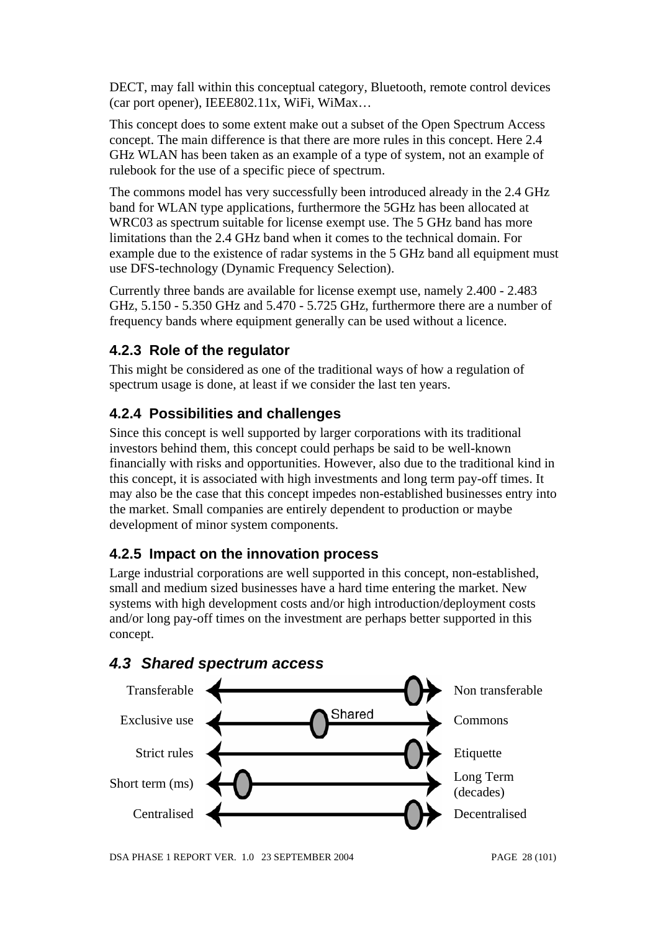DECT, may fall within this conceptual category, Bluetooth, remote control devices (car port opener), IEEE802.11x, WiFi, WiMax…

This concept does to some extent make out a subset of the Open Spectrum Access concept. The main difference is that there are more rules in this concept. Here 2.4 GHz WLAN has been taken as an example of a type of system, not an example of rulebook for the use of a specific piece of spectrum.

The commons model has very successfully been introduced already in the 2.4 GHz band for WLAN type applications, furthermore the 5GHz has been allocated at WRC03 as spectrum suitable for license exempt use. The 5 GHz band has more limitations than the 2.4 GHz band when it comes to the technical domain. For example due to the existence of radar systems in the 5 GHz band all equipment must use DFS-technology (Dynamic Frequency Selection).

Currently three bands are available for license exempt use, namely 2.400 - 2.483 GHz, 5.150 - 5.350 GHz and 5.470 - 5.725 GHz, furthermore there are a number of frequency bands where equipment generally can be used without a licence.

## **4.2.3 Role of the regulator**

This might be considered as one of the traditional ways of how a regulation of spectrum usage is done, at least if we consider the last ten years.

## **4.2.4 Possibilities and challenges**

Since this concept is well supported by larger corporations with its traditional investors behind them, this concept could perhaps be said to be well-known financially with risks and opportunities. However, also due to the traditional kind in this concept, it is associated with high investments and long term pay-off times. It may also be the case that this concept impedes non-established businesses entry into the market. Small companies are entirely dependent to production or maybe development of minor system components.

### **4.2.5 Impact on the innovation process**

Large industrial corporations are well supported in this concept, non-established, small and medium sized businesses have a hard time entering the market. New systems with high development costs and/or high introduction/deployment costs and/or long pay-off times on the investment are perhaps better supported in this concept.



# *4.3 Shared spectrum access*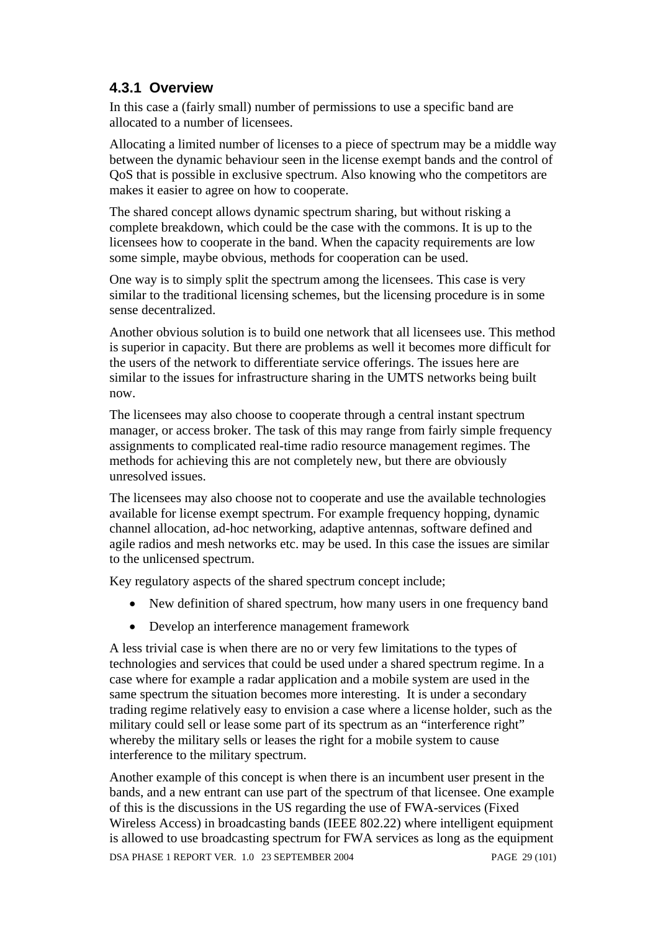## **4.3.1 Overview**

In this case a (fairly small) number of permissions to use a specific band are allocated to a number of licensees.

Allocating a limited number of licenses to a piece of spectrum may be a middle way between the dynamic behaviour seen in the license exempt bands and the control of QoS that is possible in exclusive spectrum. Also knowing who the competitors are makes it easier to agree on how to cooperate.

The shared concept allows dynamic spectrum sharing, but without risking a complete breakdown, which could be the case with the commons. It is up to the licensees how to cooperate in the band. When the capacity requirements are low some simple, maybe obvious, methods for cooperation can be used.

One way is to simply split the spectrum among the licensees. This case is very similar to the traditional licensing schemes, but the licensing procedure is in some sense decentralized.

Another obvious solution is to build one network that all licensees use. This method is superior in capacity. But there are problems as well it becomes more difficult for the users of the network to differentiate service offerings. The issues here are similar to the issues for infrastructure sharing in the UMTS networks being built now.

The licensees may also choose to cooperate through a central instant spectrum manager, or access broker. The task of this may range from fairly simple frequency assignments to complicated real-time radio resource management regimes. The methods for achieving this are not completely new, but there are obviously unresolved issues.

The licensees may also choose not to cooperate and use the available technologies available for license exempt spectrum. For example frequency hopping, dynamic channel allocation, ad-hoc networking, adaptive antennas, software defined and agile radios and mesh networks etc. may be used. In this case the issues are similar to the unlicensed spectrum.

Key regulatory aspects of the shared spectrum concept include;

- New definition of shared spectrum, how many users in one frequency band
- Develop an interference management framework

A less trivial case is when there are no or very few limitations to the types of technologies and services that could be used under a shared spectrum regime. In a case where for example a radar application and a mobile system are used in the same spectrum the situation becomes more interesting. It is under a secondary trading regime relatively easy to envision a case where a license holder, such as the military could sell or lease some part of its spectrum as an "interference right" whereby the military sells or leases the right for a mobile system to cause interference to the military spectrum.

DSA PHASE 1 REPORT VER. 1.0 23 SEPTEMBER 2004 PAGE 29 (101) Another example of this concept is when there is an incumbent user present in the bands, and a new entrant can use part of the spectrum of that licensee. One example of this is the discussions in the US regarding the use of FWA-services (Fixed Wireless Access) in broadcasting bands (IEEE 802.22) where intelligent equipment is allowed to use broadcasting spectrum for FWA services as long as the equipment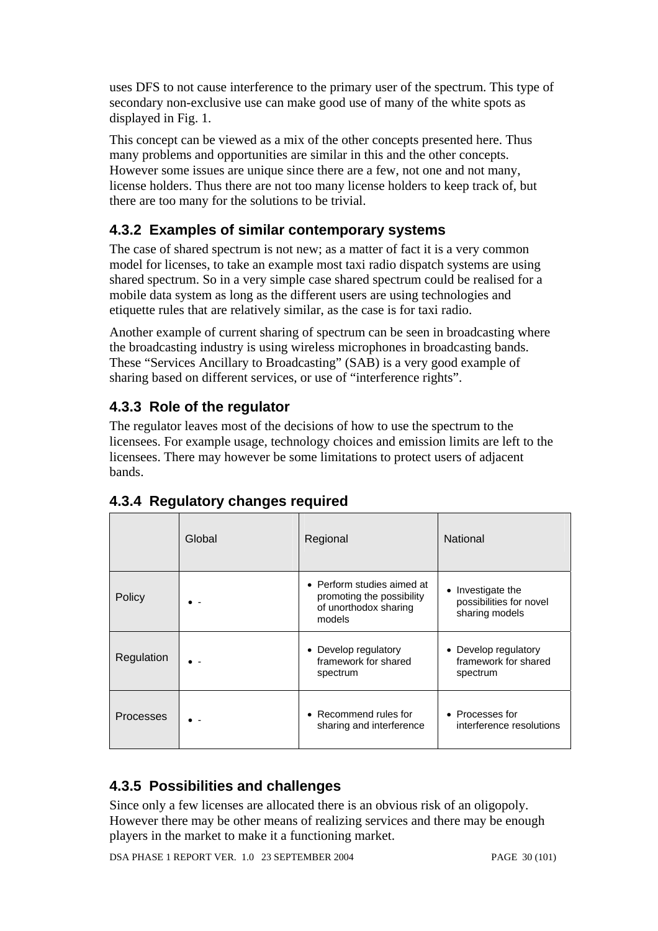uses DFS to not cause interference to the primary user of the spectrum. This type of secondary non-exclusive use can make good use of many of the white spots as displayed in Fig. 1*.* 

This concept can be viewed as a mix of the other concepts presented here. Thus many problems and opportunities are similar in this and the other concepts. However some issues are unique since there are a few, not one and not many, license holders. Thus there are not too many license holders to keep track of, but there are too many for the solutions to be trivial.

## **4.3.2 Examples of similar contemporary systems**

The case of shared spectrum is not new; as a matter of fact it is a very common model for licenses, to take an example most taxi radio dispatch systems are using shared spectrum. So in a very simple case shared spectrum could be realised for a mobile data system as long as the different users are using technologies and etiquette rules that are relatively similar, as the case is for taxi radio.

Another example of current sharing of spectrum can be seen in broadcasting where the broadcasting industry is using wireless microphones in broadcasting bands. These "Services Ancillary to Broadcasting" (SAB) is a very good example of sharing based on different services, or use of "interference rights".

## **4.3.3 Role of the regulator**

The regulator leaves most of the decisions of how to use the spectrum to the licensees. For example usage, technology choices and emission limits are left to the licensees. There may however be some limitations to protect users of adjacent bands.

|                  | Global | Regional                                                                                   | <b>National</b>                                                |
|------------------|--------|--------------------------------------------------------------------------------------------|----------------------------------------------------------------|
| Policy           |        | • Perform studies aimed at<br>promoting the possibility<br>of unorthodox sharing<br>models | • Investigate the<br>possibilities for novel<br>sharing models |
| Regulation       |        | • Develop regulatory<br>framework for shared<br>spectrum                                   | • Develop regulatory<br>framework for shared<br>spectrum       |
| <b>Processes</b> |        | Recommend rules for<br>$\bullet$<br>sharing and interference                               | • Processes for<br>interference resolutions                    |

# **4.3.4 Regulatory changes required**

# **4.3.5 Possibilities and challenges**

Since only a few licenses are allocated there is an obvious risk of an oligopoly. However there may be other means of realizing services and there may be enough players in the market to make it a functioning market.

DSA PHASE 1 REPORT VER. 1.0 23 SEPTEMBER 2004 PAGE 30 (101)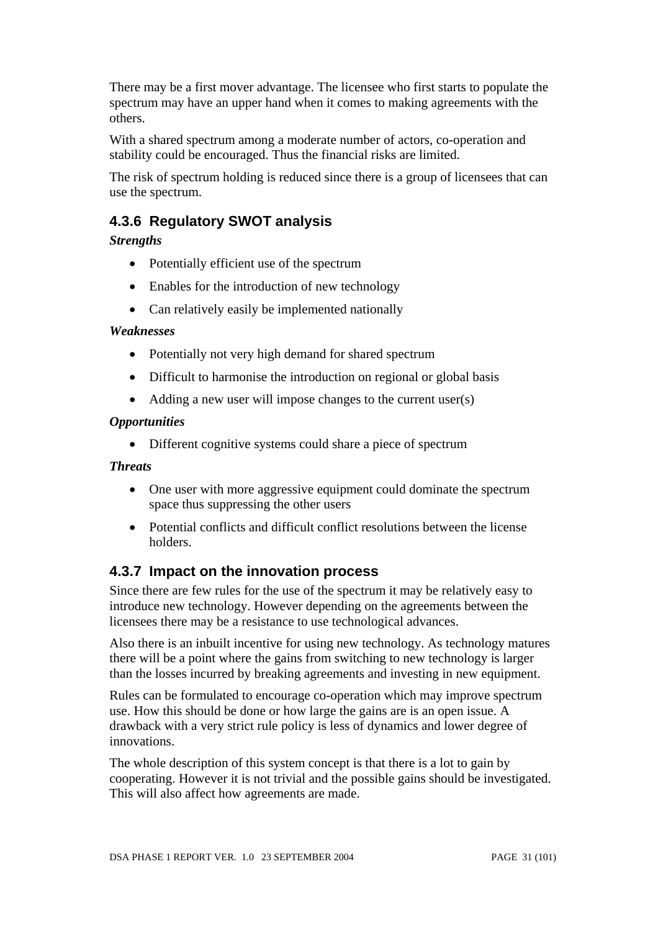There may be a first mover advantage. The licensee who first starts to populate the spectrum may have an upper hand when it comes to making agreements with the others.

With a shared spectrum among a moderate number of actors, co-operation and stability could be encouraged. Thus the financial risks are limited.

The risk of spectrum holding is reduced since there is a group of licensees that can use the spectrum.

## **4.3.6 Regulatory SWOT analysis**

#### *Strengths*

- Potentially efficient use of the spectrum
- Enables for the introduction of new technology
- Can relatively easily be implemented nationally

#### *Weaknesses*

- Potentially not very high demand for shared spectrum
- Difficult to harmonise the introduction on regional or global basis
- Adding a new user will impose changes to the current user(s)

#### *Opportunities*

• Different cognitive systems could share a piece of spectrum

#### *Threats*

- One user with more aggressive equipment could dominate the spectrum space thus suppressing the other users
- Potential conflicts and difficult conflict resolutions between the license holders.

#### **4.3.7 Impact on the innovation process**

Since there are few rules for the use of the spectrum it may be relatively easy to introduce new technology. However depending on the agreements between the licensees there may be a resistance to use technological advances.

Also there is an inbuilt incentive for using new technology. As technology matures there will be a point where the gains from switching to new technology is larger than the losses incurred by breaking agreements and investing in new equipment.

Rules can be formulated to encourage co-operation which may improve spectrum use. How this should be done or how large the gains are is an open issue. A drawback with a very strict rule policy is less of dynamics and lower degree of innovations.

The whole description of this system concept is that there is a lot to gain by cooperating. However it is not trivial and the possible gains should be investigated. This will also affect how agreements are made.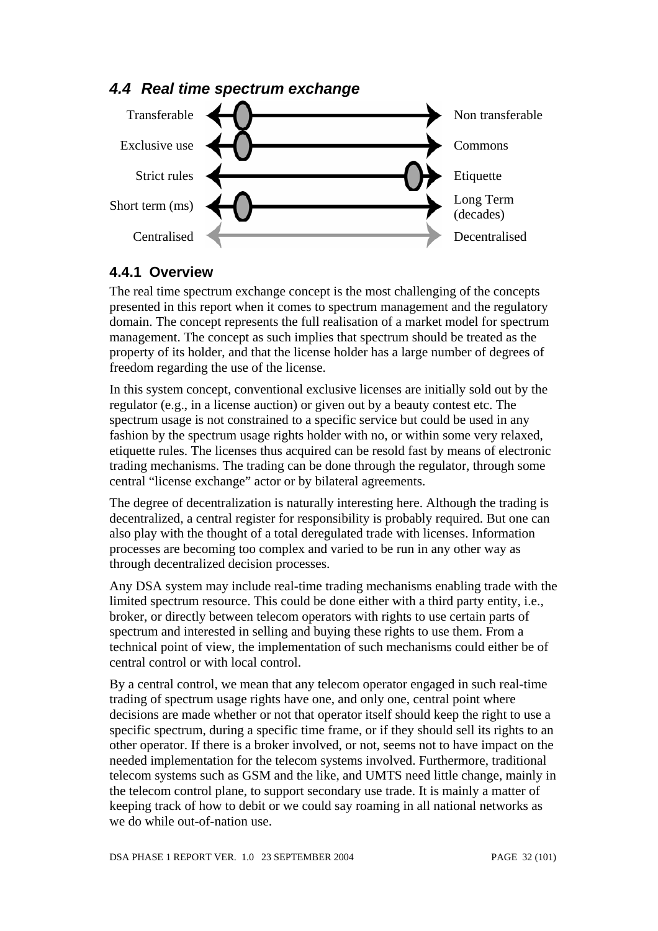#### *4.4 Real time spectrum exchange*



#### **4.4.1 Overview**

The real time spectrum exchange concept is the most challenging of the concepts presented in this report when it comes to spectrum management and the regulatory domain. The concept represents the full realisation of a market model for spectrum management. The concept as such implies that spectrum should be treated as the property of its holder, and that the license holder has a large number of degrees of freedom regarding the use of the license.

In this system concept, conventional exclusive licenses are initially sold out by the regulator (e.g., in a license auction) or given out by a beauty contest etc. The spectrum usage is not constrained to a specific service but could be used in any fashion by the spectrum usage rights holder with no, or within some very relaxed, etiquette rules. The licenses thus acquired can be resold fast by means of electronic trading mechanisms. The trading can be done through the regulator, through some central "license exchange" actor or by bilateral agreements.

The degree of decentralization is naturally interesting here. Although the trading is decentralized, a central register for responsibility is probably required. But one can also play with the thought of a total deregulated trade with licenses. Information processes are becoming too complex and varied to be run in any other way as through decentralized decision processes.

Any DSA system may include real-time trading mechanisms enabling trade with the limited spectrum resource. This could be done either with a third party entity, i.e., broker, or directly between telecom operators with rights to use certain parts of spectrum and interested in selling and buying these rights to use them. From a technical point of view, the implementation of such mechanisms could either be of central control or with local control.

By a central control, we mean that any telecom operator engaged in such real-time trading of spectrum usage rights have one, and only one, central point where decisions are made whether or not that operator itself should keep the right to use a specific spectrum, during a specific time frame, or if they should sell its rights to an other operator. If there is a broker involved, or not, seems not to have impact on the needed implementation for the telecom systems involved. Furthermore, traditional telecom systems such as GSM and the like, and UMTS need little change, mainly in the telecom control plane, to support secondary use trade. It is mainly a matter of keeping track of how to debit or we could say roaming in all national networks as we do while out-of-nation use.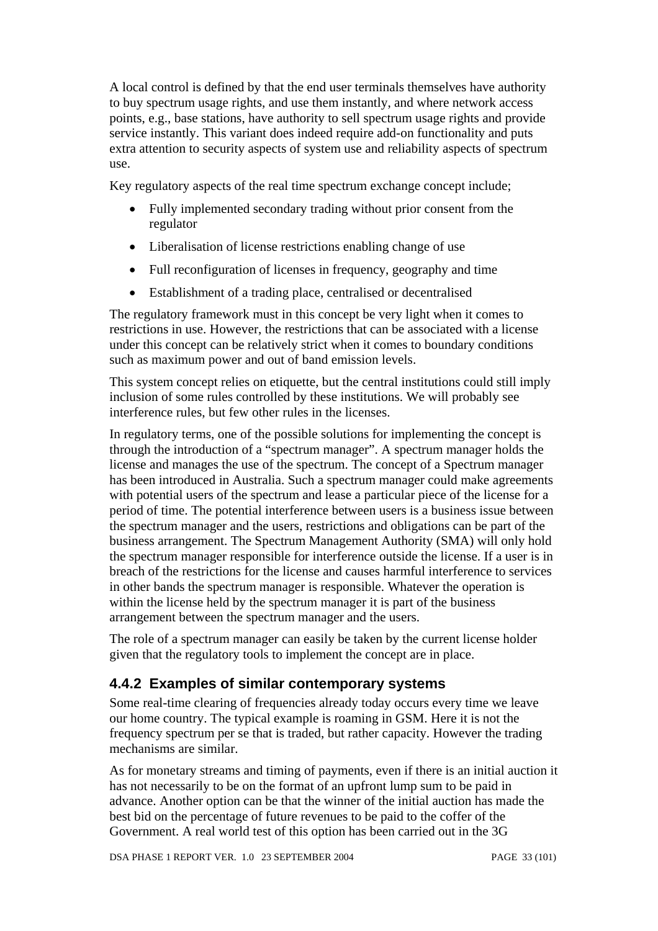A local control is defined by that the end user terminals themselves have authority to buy spectrum usage rights, and use them instantly, and where network access points, e.g., base stations, have authority to sell spectrum usage rights and provide service instantly. This variant does indeed require add-on functionality and puts extra attention to security aspects of system use and reliability aspects of spectrum use.

Key regulatory aspects of the real time spectrum exchange concept include;

- Fully implemented secondary trading without prior consent from the regulator
- Liberalisation of license restrictions enabling change of use
- Full reconfiguration of licenses in frequency, geography and time
- Establishment of a trading place, centralised or decentralised

The regulatory framework must in this concept be very light when it comes to restrictions in use. However, the restrictions that can be associated with a license under this concept can be relatively strict when it comes to boundary conditions such as maximum power and out of band emission levels.

This system concept relies on etiquette, but the central institutions could still imply inclusion of some rules controlled by these institutions. We will probably see interference rules, but few other rules in the licenses.

In regulatory terms, one of the possible solutions for implementing the concept is through the introduction of a "spectrum manager". A spectrum manager holds the license and manages the use of the spectrum. The concept of a Spectrum manager has been introduced in Australia. Such a spectrum manager could make agreements with potential users of the spectrum and lease a particular piece of the license for a period of time. The potential interference between users is a business issue between the spectrum manager and the users, restrictions and obligations can be part of the business arrangement. The Spectrum Management Authority (SMA) will only hold the spectrum manager responsible for interference outside the license. If a user is in breach of the restrictions for the license and causes harmful interference to services in other bands the spectrum manager is responsible. Whatever the operation is within the license held by the spectrum manager it is part of the business arrangement between the spectrum manager and the users.

The role of a spectrum manager can easily be taken by the current license holder given that the regulatory tools to implement the concept are in place.

### **4.4.2 Examples of similar contemporary systems**

Some real-time clearing of frequencies already today occurs every time we leave our home country. The typical example is roaming in GSM. Here it is not the frequency spectrum per se that is traded, but rather capacity. However the trading mechanisms are similar.

As for monetary streams and timing of payments, even if there is an initial auction it has not necessarily to be on the format of an upfront lump sum to be paid in advance. Another option can be that the winner of the initial auction has made the best bid on the percentage of future revenues to be paid to the coffer of the Government. A real world test of this option has been carried out in the 3G

DSA PHASE 1 REPORT VER. 1.0 23 SEPTEMBER 2004 PAGE 33 (101)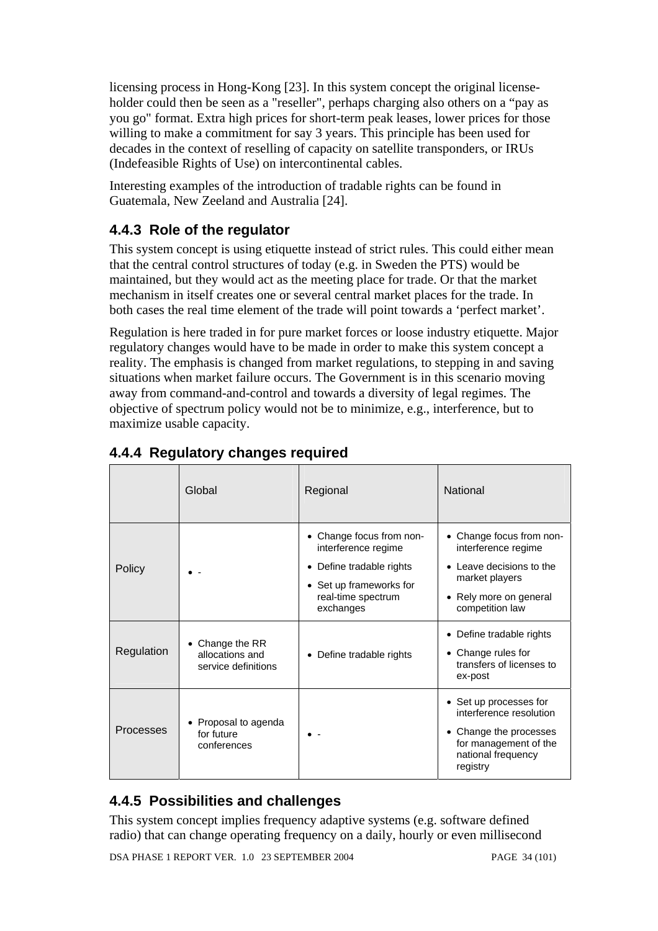licensing process in Hong-Kong [23]. In this system concept the original licenseholder could then be seen as a "reseller", perhaps charging also others on a "pay as you go" format. Extra high prices for short-term peak leases, lower prices for those willing to make a commitment for say 3 years. This principle has been used for decades in the context of reselling of capacity on satellite transponders, or IRUs (Indefeasible Rights of Use) on intercontinental cables.

Interesting examples of the introduction of tradable rights can be found in Guatemala, New Zeeland and Australia [24].

# **4.4.3 Role of the regulator**

This system concept is using etiquette instead of strict rules. This could either mean that the central control structures of today (e.g. in Sweden the PTS) would be maintained, but they would act as the meeting place for trade. Or that the market mechanism in itself creates one or several central market places for the trade. In both cases the real time element of the trade will point towards a 'perfect market'.

Regulation is here traded in for pure market forces or loose industry etiquette. Major regulatory changes would have to be made in order to make this system concept a reality. The emphasis is changed from market regulations, to stepping in and saving situations when market failure occurs. The Government is in this scenario moving away from command-and-control and towards a diversity of legal regimes. The objective of spectrum policy would not be to minimize, e.g., interference, but to maximize usable capacity.

|            | Global                                                  | Regional                                                                                                                                   | National                                                                                                                                   |
|------------|---------------------------------------------------------|--------------------------------------------------------------------------------------------------------------------------------------------|--------------------------------------------------------------------------------------------------------------------------------------------|
| Policy     |                                                         | Change focus from non-<br>interference regime<br>Define tradable rights<br>٠<br>• Set up frameworks for<br>real-time spectrum<br>exchanges | • Change focus from non-<br>interference regime<br>• Leave decisions to the<br>market players<br>• Rely more on general<br>competition law |
| Regulation | Change the RR<br>allocations and<br>service definitions | • Define tradable rights                                                                                                                   | • Define tradable rights<br>• Change rules for<br>transfers of licenses to<br>ex-post                                                      |
| Processes  | Proposal to agenda<br>for future<br>conferences         |                                                                                                                                            | • Set up processes for<br>interference resolution<br>• Change the processes<br>for management of the<br>national frequency<br>registry     |

# **4.4.4 Regulatory changes required**

# **4.4.5 Possibilities and challenges**

This system concept implies frequency adaptive systems (e.g. software defined radio) that can change operating frequency on a daily, hourly or even millisecond

DSA PHASE 1 REPORT VER. 1.0 23 SEPTEMBER 2004 PAGE 34 (101)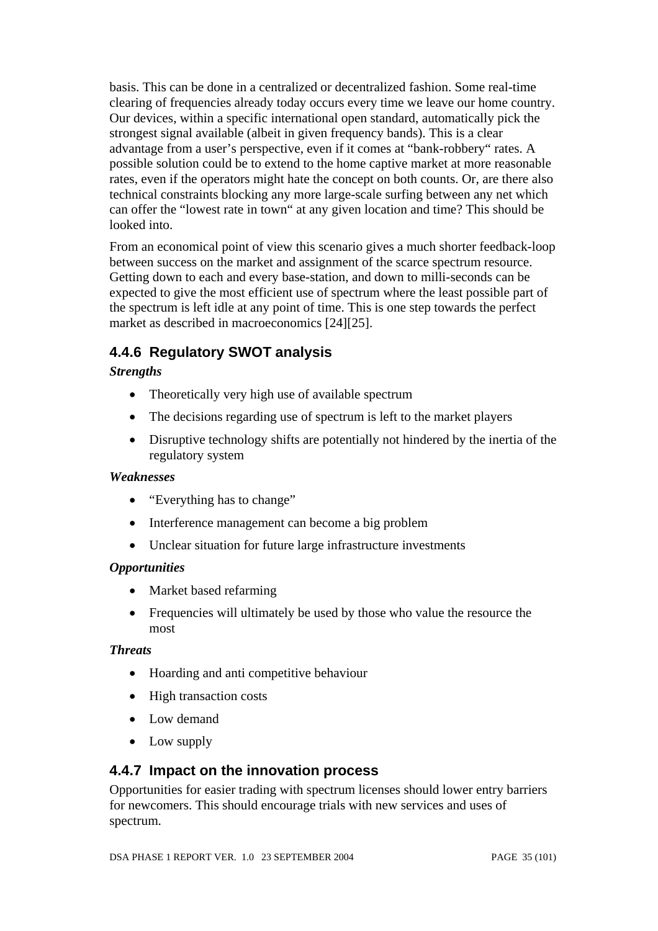basis. This can be done in a centralized or decentralized fashion. Some real-time clearing of frequencies already today occurs every time we leave our home country. Our devices, within a specific international open standard, automatically pick the strongest signal available (albeit in given frequency bands). This is a clear advantage from a user's perspective, even if it comes at "bank-robbery" rates. A possible solution could be to extend to the home captive market at more reasonable rates, even if the operators might hate the concept on both counts. Or, are there also technical constraints blocking any more large-scale surfing between any net which can offer the "lowest rate in town" at any given location and time? This should be looked into.

From an economical point of view this scenario gives a much shorter feedback-loop between success on the market and assignment of the scarce spectrum resource. Getting down to each and every base-station, and down to milli-seconds can be expected to give the most efficient use of spectrum where the least possible part of the spectrum is left idle at any point of time. This is one step towards the perfect market as described in macroeconomics [24][25].

## **4.4.6 Regulatory SWOT analysis**

#### *Strengths*

- Theoretically very high use of available spectrum
- The decisions regarding use of spectrum is left to the market players
- Disruptive technology shifts are potentially not hindered by the inertia of the regulatory system

#### *Weaknesses*

- "Everything has to change"
- Interference management can become a big problem
- Unclear situation for future large infrastructure investments

#### *Opportunities*

- Market based refarming
- Frequencies will ultimately be used by those who value the resource the most

#### *Threats*

- Hoarding and anti competitive behaviour
- High transaction costs
- Low demand
- Low supply

#### **4.4.7 Impact on the innovation process**

Opportunities for easier trading with spectrum licenses should lower entry barriers for newcomers. This should encourage trials with new services and uses of spectrum.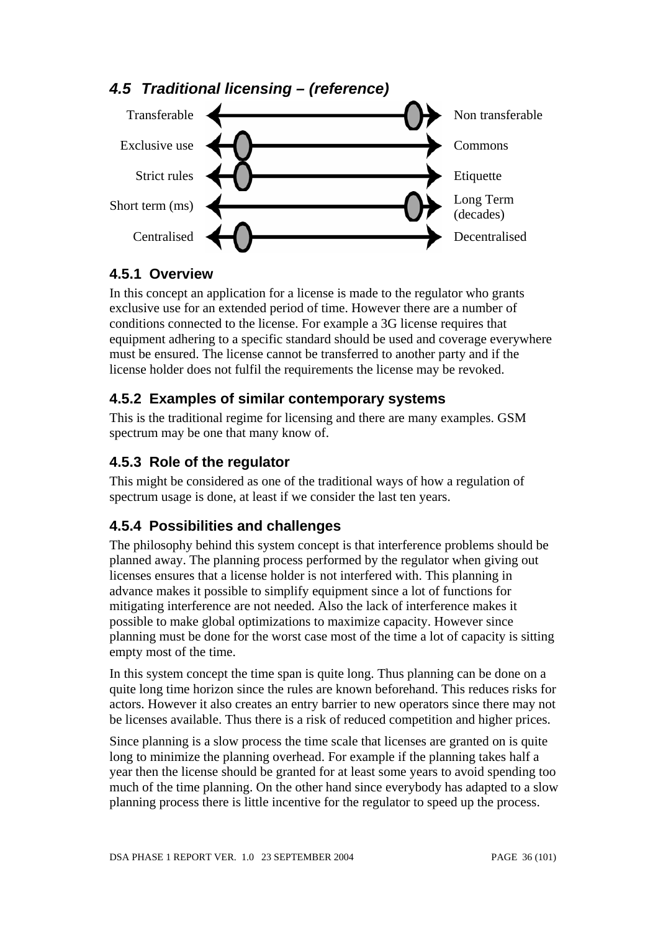## *4.5 Traditional licensing – (reference)*



# **4.5.1 Overview**

In this concept an application for a license is made to the regulator who grants exclusive use for an extended period of time. However there are a number of conditions connected to the license. For example a 3G license requires that equipment adhering to a specific standard should be used and coverage everywhere must be ensured. The license cannot be transferred to another party and if the license holder does not fulfil the requirements the license may be revoked.

### **4.5.2 Examples of similar contemporary systems**

This is the traditional regime for licensing and there are many examples. GSM spectrum may be one that many know of.

## **4.5.3 Role of the regulator**

This might be considered as one of the traditional ways of how a regulation of spectrum usage is done, at least if we consider the last ten years.

### **4.5.4 Possibilities and challenges**

The philosophy behind this system concept is that interference problems should be planned away. The planning process performed by the regulator when giving out licenses ensures that a license holder is not interfered with. This planning in advance makes it possible to simplify equipment since a lot of functions for mitigating interference are not needed. Also the lack of interference makes it possible to make global optimizations to maximize capacity. However since planning must be done for the worst case most of the time a lot of capacity is sitting empty most of the time.

In this system concept the time span is quite long. Thus planning can be done on a quite long time horizon since the rules are known beforehand. This reduces risks for actors. However it also creates an entry barrier to new operators since there may not be licenses available. Thus there is a risk of reduced competition and higher prices.

Since planning is a slow process the time scale that licenses are granted on is quite long to minimize the planning overhead. For example if the planning takes half a year then the license should be granted for at least some years to avoid spending too much of the time planning. On the other hand since everybody has adapted to a slow planning process there is little incentive for the regulator to speed up the process.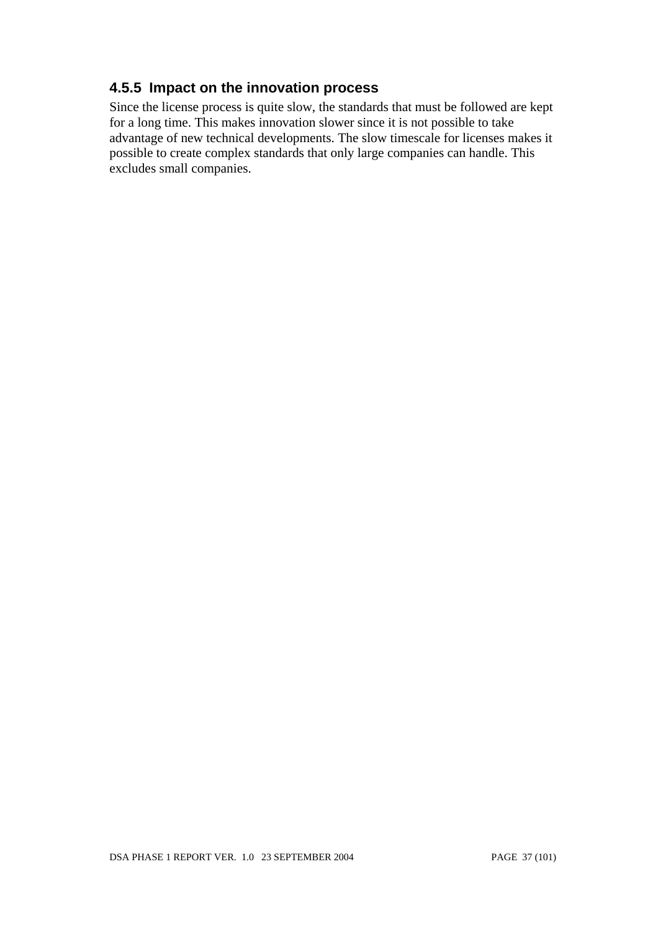#### **4.5.5 Impact on the innovation process**

Since the license process is quite slow, the standards that must be followed are kept for a long time. This makes innovation slower since it is not possible to take advantage of new technical developments. The slow timescale for licenses makes it possible to create complex standards that only large companies can handle. This excludes small companies.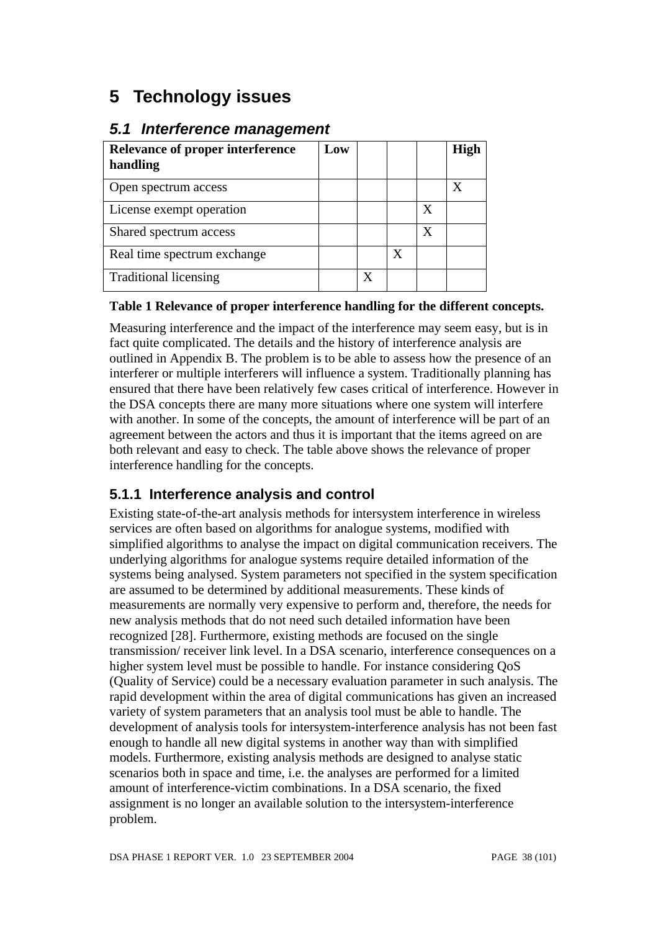# **5 Technology issues**

#### *5.1 Interference management*

| <b>Relevance of proper interference</b><br>handling | Low |  |   | High |
|-----------------------------------------------------|-----|--|---|------|
| Open spectrum access                                |     |  |   |      |
| License exempt operation                            |     |  |   |      |
| Shared spectrum access                              |     |  | X |      |
| Real time spectrum exchange                         |     |  |   |      |
| <b>Traditional licensing</b>                        |     |  |   |      |

#### **Table 1 Relevance of proper interference handling for the different concepts.**

Measuring interference and the impact of the interference may seem easy, but is in fact quite complicated. The details and the history of interference analysis are outlined in Appendix B. The problem is to be able to assess how the presence of an interferer or multiple interferers will influence a system. Traditionally planning has ensured that there have been relatively few cases critical of interference. However in the DSA concepts there are many more situations where one system will interfere with another. In some of the concepts, the amount of interference will be part of an agreement between the actors and thus it is important that the items agreed on are both relevant and easy to check. The table above shows the relevance of proper interference handling for the concepts.

### **5.1.1 Interference analysis and control**

Existing state-of-the-art analysis methods for intersystem interference in wireless services are often based on algorithms for analogue systems, modified with simplified algorithms to analyse the impact on digital communication receivers. The underlying algorithms for analogue systems require detailed information of the systems being analysed. System parameters not specified in the system specification are assumed to be determined by additional measurements. These kinds of measurements are normally very expensive to perform and, therefore, the needs for new analysis methods that do not need such detailed information have been recognized [28]. Furthermore, existing methods are focused on the single transmission/ receiver link level. In a DSA scenario, interference consequences on a higher system level must be possible to handle. For instance considering QoS (Quality of Service) could be a necessary evaluation parameter in such analysis. The rapid development within the area of digital communications has given an increased variety of system parameters that an analysis tool must be able to handle. The development of analysis tools for intersystem-interference analysis has not been fast enough to handle all new digital systems in another way than with simplified models. Furthermore, existing analysis methods are designed to analyse static scenarios both in space and time, i.e. the analyses are performed for a limited amount of interference-victim combinations. In a DSA scenario, the fixed assignment is no longer an available solution to the intersystem-interference problem.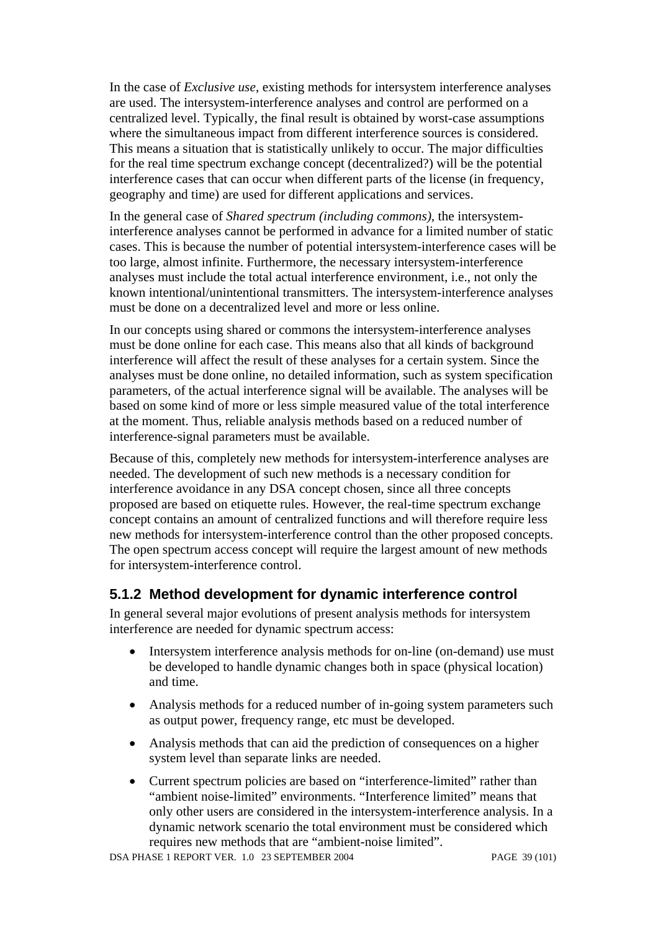In the case of *Exclusive use*, existing methods for intersystem interference analyses are used. The intersystem-interference analyses and control are performed on a centralized level. Typically, the final result is obtained by worst-case assumptions where the simultaneous impact from different interference sources is considered. This means a situation that is statistically unlikely to occur. The major difficulties for the real time spectrum exchange concept (decentralized?) will be the potential interference cases that can occur when different parts of the license (in frequency, geography and time) are used for different applications and services.

In the general case of *Shared spectrum (including commons),* the intersysteminterference analyses cannot be performed in advance for a limited number of static cases. This is because the number of potential intersystem-interference cases will be too large, almost infinite. Furthermore, the necessary intersystem-interference analyses must include the total actual interference environment, i.e., not only the known intentional/unintentional transmitters. The intersystem-interference analyses must be done on a decentralized level and more or less online.

In our concepts using shared or commons the intersystem-interference analyses must be done online for each case. This means also that all kinds of background interference will affect the result of these analyses for a certain system. Since the analyses must be done online, no detailed information, such as system specification parameters, of the actual interference signal will be available. The analyses will be based on some kind of more or less simple measured value of the total interference at the moment. Thus, reliable analysis methods based on a reduced number of interference-signal parameters must be available.

Because of this, completely new methods for intersystem-interference analyses are needed. The development of such new methods is a necessary condition for interference avoidance in any DSA concept chosen, since all three concepts proposed are based on etiquette rules. However, the real-time spectrum exchange concept contains an amount of centralized functions and will therefore require less new methods for intersystem-interference control than the other proposed concepts. The open spectrum access concept will require the largest amount of new methods for intersystem-interference control.

#### **5.1.2 Method development for dynamic interference control**

In general several major evolutions of present analysis methods for intersystem interference are needed for dynamic spectrum access:

- Intersystem interference analysis methods for on-line (on-demand) use must be developed to handle dynamic changes both in space (physical location) and time.
- Analysis methods for a reduced number of in-going system parameters such as output power, frequency range, etc must be developed.
- Analysis methods that can aid the prediction of consequences on a higher system level than separate links are needed.
- Current spectrum policies are based on "interference-limited" rather than "ambient noise-limited" environments. "Interference limited" means that only other users are considered in the intersystem-interference analysis. In a dynamic network scenario the total environment must be considered which requires new methods that are "ambient-noise limited".

DSA PHASE 1 REPORT VER. 1.0 23 SEPTEMBER 2004 PAGE 39 (101)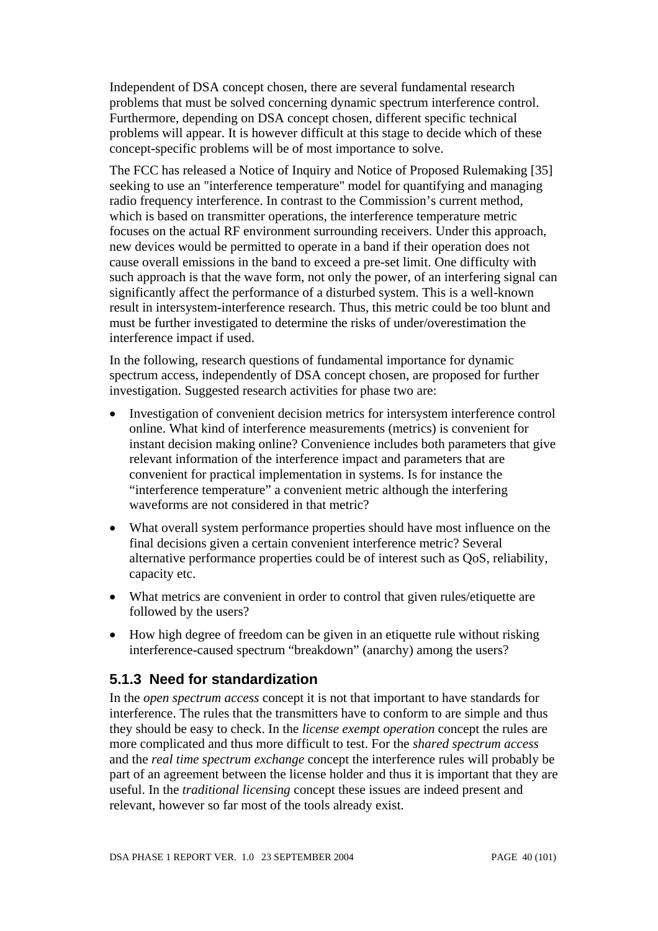Independent of DSA concept chosen, there are several fundamental research problems that must be solved concerning dynamic spectrum interference control. Furthermore, depending on DSA concept chosen, different specific technical problems will appear. It is however difficult at this stage to decide which of these concept-specific problems will be of most importance to solve.

The FCC has released a Notice of Inquiry and Notice of Proposed Rulemaking [35] seeking to use an "interference temperature" model for quantifying and managing radio frequency interference. In contrast to the Commission's current method, which is based on transmitter operations, the interference temperature metric focuses on the actual RF environment surrounding receivers. Under this approach, new devices would be permitted to operate in a band if their operation does not cause overall emissions in the band to exceed a pre-set limit. One difficulty with such approach is that the wave form, not only the power, of an interfering signal can significantly affect the performance of a disturbed system. This is a well-known result in intersystem-interference research. Thus, this metric could be too blunt and must be further investigated to determine the risks of under/overestimation the interference impact if used.

In the following, research questions of fundamental importance for dynamic spectrum access, independently of DSA concept chosen, are proposed for further investigation. Suggested research activities for phase two are:

- Investigation of convenient decision metrics for intersystem interference control online. What kind of interference measurements (metrics) is convenient for instant decision making online? Convenience includes both parameters that give relevant information of the interference impact and parameters that are convenient for practical implementation in systems. Is for instance the "interference temperature" a convenient metric although the interfering waveforms are not considered in that metric?
- What overall system performance properties should have most influence on the final decisions given a certain convenient interference metric? Several alternative performance properties could be of interest such as QoS, reliability, capacity etc.
- What metrics are convenient in order to control that given rules/etiquette are followed by the users?
- How high degree of freedom can be given in an etiquette rule without risking interference-caused spectrum "breakdown" (anarchy) among the users?

#### **5.1.3 Need for standardization**

In the *open spectrum access* concept it is not that important to have standards for interference. The rules that the transmitters have to conform to are simple and thus they should be easy to check. In the *license exempt operation* concept the rules are more complicated and thus more difficult to test. For the *shared spectrum access* and the *real time spectrum exchange* concept the interference rules will probably be part of an agreement between the license holder and thus it is important that they are useful. In the *traditional licensing* concept these issues are indeed present and relevant, however so far most of the tools already exist.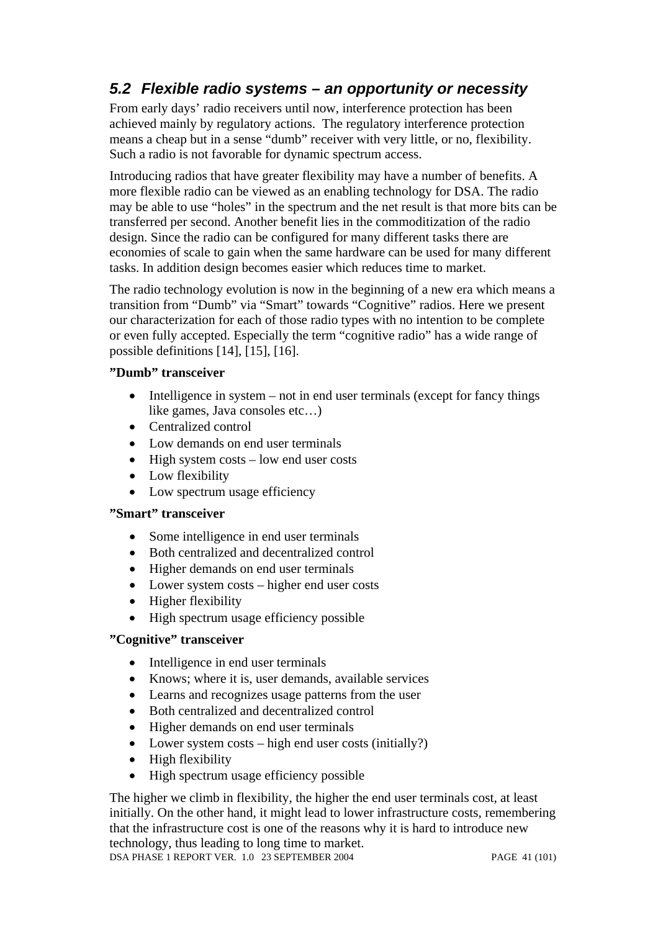## *5.2 Flexible radio systems – an opportunity or necessity*

From early days' radio receivers until now, interference protection has been achieved mainly by regulatory actions. The regulatory interference protection means a cheap but in a sense "dumb" receiver with very little, or no, flexibility. Such a radio is not favorable for dynamic spectrum access.

Introducing radios that have greater flexibility may have a number of benefits. A more flexible radio can be viewed as an enabling technology for DSA. The radio may be able to use "holes" in the spectrum and the net result is that more bits can be transferred per second. Another benefit lies in the commoditization of the radio design. Since the radio can be configured for many different tasks there are economies of scale to gain when the same hardware can be used for many different tasks. In addition design becomes easier which reduces time to market.

The radio technology evolution is now in the beginning of a new era which means a transition from "Dumb" via "Smart" towards "Cognitive" radios. Here we present our characterization for each of those radio types with no intention to be complete or even fully accepted. Especially the term "cognitive radio" has a wide range of possible definitions [14], [15], [16].

#### **"Dumb" transceiver**

- Intelligence in system not in end user terminals (except for fancy things like games, Java consoles etc…)
- Centralized control
- Low demands on end user terminals
- High system costs low end user costs
- Low flexibility
- Low spectrum usage efficiency

#### **"Smart" transceiver**

- Some intelligence in end user terminals
- Both centralized and decentralized control
- Higher demands on end user terminals
- Lower system costs higher end user costs
- Higher flexibility
- High spectrum usage efficiency possible

#### **"Cognitive" transceiver**

- Intelligence in end user terminals
- Knows; where it is, user demands, available services
- Learns and recognizes usage patterns from the user
- Both centralized and decentralized control
- Higher demands on end user terminals
- Lower system costs high end user costs (initially?)
- High flexibility
- High spectrum usage efficiency possible

DSA PHASE 1 REPORT VER. 1.0 23 SEPTEMBER 2004 PAGE 41 (101) The higher we climb in flexibility, the higher the end user terminals cost, at least initially. On the other hand, it might lead to lower infrastructure costs, remembering that the infrastructure cost is one of the reasons why it is hard to introduce new technology, thus leading to long time to market.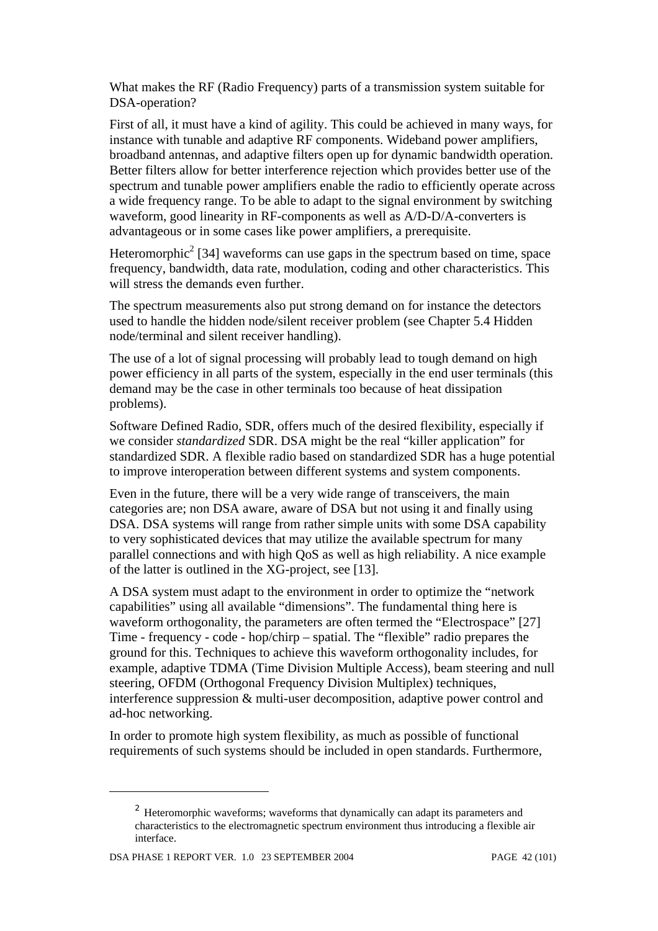What makes the RF (Radio Frequency) parts of a transmission system suitable for DSA-operation?

First of all, it must have a kind of agility. This could be achieved in many ways, for instance with tunable and adaptive RF components. Wideband power amplifiers, broadband antennas, and adaptive filters open up for dynamic bandwidth operation. Better filters allow for better interference rejection which provides better use of the spectrum and tunable power amplifiers enable the radio to efficiently operate across a wide frequency range. To be able to adapt to the signal environment by switching waveform, good linearity in RF-components as well as A/D-D/A-converters is advantageous or in some cases like power amplifiers, a prerequisite.

Heteromorphic<sup>2</sup> [34] waveforms can use gaps in the spectrum based on time, space frequency, bandwidth, data rate, modulation, coding and other characteristics. This will stress the demands even further.

The spectrum measurements also put strong demand on for instance the detectors used to handle the hidden node/silent receiver problem (see Chapter 5.4 Hidden node/terminal and silent receiver handling).

The use of a lot of signal processing will probably lead to tough demand on high power efficiency in all parts of the system, especially in the end user terminals (this demand may be the case in other terminals too because of heat dissipation problems).

Software Defined Radio, SDR, offers much of the desired flexibility, especially if we consider *standardized* SDR. DSA might be the real "killer application" for standardized SDR. A flexible radio based on standardized SDR has a huge potential to improve interoperation between different systems and system components.

Even in the future, there will be a very wide range of transceivers, the main categories are; non DSA aware, aware of DSA but not using it and finally using DSA. DSA systems will range from rather simple units with some DSA capability to very sophisticated devices that may utilize the available spectrum for many parallel connections and with high QoS as well as high reliability. A nice example of the latter is outlined in the XG-project, see [13].

A DSA system must adapt to the environment in order to optimize the "network capabilities" using all available "dimensions". The fundamental thing here is waveform orthogonality, the parameters are often termed the "Electrospace" [27] Time - frequency - code - hop/chirp – spatial. The "flexible" radio prepares the ground for this. Techniques to achieve this waveform orthogonality includes, for example, adaptive TDMA (Time Division Multiple Access), beam steering and null steering, OFDM (Orthogonal Frequency Division Multiplex) techniques, interference suppression & multi-user decomposition, adaptive power control and ad-hoc networking.

In order to promote high system flexibility, as much as possible of functional requirements of such systems should be included in open standards. Furthermore,

 $\overline{a}$ 

<sup>&</sup>lt;sup>2</sup> Heteromorphic waveforms; waveforms that dynamically can adapt its parameters and characteristics to the electromagnetic spectrum environment thus introducing a flexible air interface.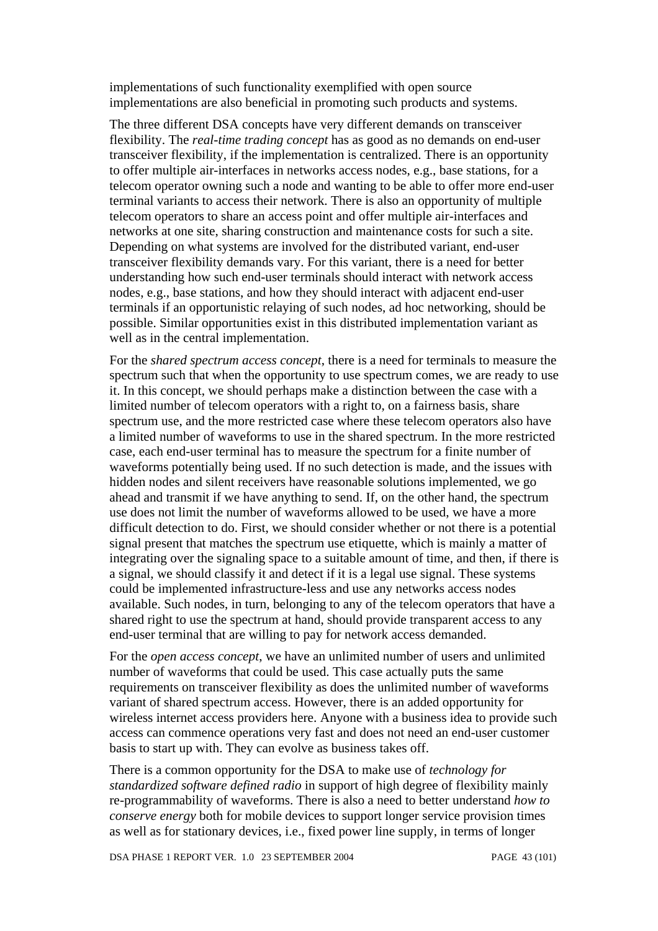implementations of such functionality exemplified with open source implementations are also beneficial in promoting such products and systems.

The three different DSA concepts have very different demands on transceiver flexibility. The *real-time trading concept* has as good as no demands on end-user transceiver flexibility, if the implementation is centralized. There is an opportunity to offer multiple air-interfaces in networks access nodes, e.g., base stations, for a telecom operator owning such a node and wanting to be able to offer more end-user terminal variants to access their network. There is also an opportunity of multiple telecom operators to share an access point and offer multiple air-interfaces and networks at one site, sharing construction and maintenance costs for such a site. Depending on what systems are involved for the distributed variant, end-user transceiver flexibility demands vary. For this variant, there is a need for better understanding how such end-user terminals should interact with network access nodes, e.g., base stations, and how they should interact with adjacent end-user terminals if an opportunistic relaying of such nodes, ad hoc networking, should be possible. Similar opportunities exist in this distributed implementation variant as well as in the central implementation.

For the *shared spectrum access concept*, there is a need for terminals to measure the spectrum such that when the opportunity to use spectrum comes, we are ready to use it. In this concept, we should perhaps make a distinction between the case with a limited number of telecom operators with a right to, on a fairness basis, share spectrum use, and the more restricted case where these telecom operators also have a limited number of waveforms to use in the shared spectrum. In the more restricted case, each end-user terminal has to measure the spectrum for a finite number of waveforms potentially being used. If no such detection is made, and the issues with hidden nodes and silent receivers have reasonable solutions implemented, we go ahead and transmit if we have anything to send. If, on the other hand, the spectrum use does not limit the number of waveforms allowed to be used, we have a more difficult detection to do. First, we should consider whether or not there is a potential signal present that matches the spectrum use etiquette, which is mainly a matter of integrating over the signaling space to a suitable amount of time, and then, if there is a signal, we should classify it and detect if it is a legal use signal. These systems could be implemented infrastructure-less and use any networks access nodes available. Such nodes, in turn, belonging to any of the telecom operators that have a shared right to use the spectrum at hand, should provide transparent access to any end-user terminal that are willing to pay for network access demanded.

For the *open access concept*, we have an unlimited number of users and unlimited number of waveforms that could be used. This case actually puts the same requirements on transceiver flexibility as does the unlimited number of waveforms variant of shared spectrum access. However, there is an added opportunity for wireless internet access providers here. Anyone with a business idea to provide such access can commence operations very fast and does not need an end-user customer basis to start up with. They can evolve as business takes off.

There is a common opportunity for the DSA to make use of *technology for standardized software defined radio* in support of high degree of flexibility mainly re-programmability of waveforms. There is also a need to better understand *how to conserve energy* both for mobile devices to support longer service provision times as well as for stationary devices, i.e., fixed power line supply, in terms of longer

DSA PHASE 1 REPORT VER. 1.0 23 SEPTEMBER 2004 PAGE 43 (101)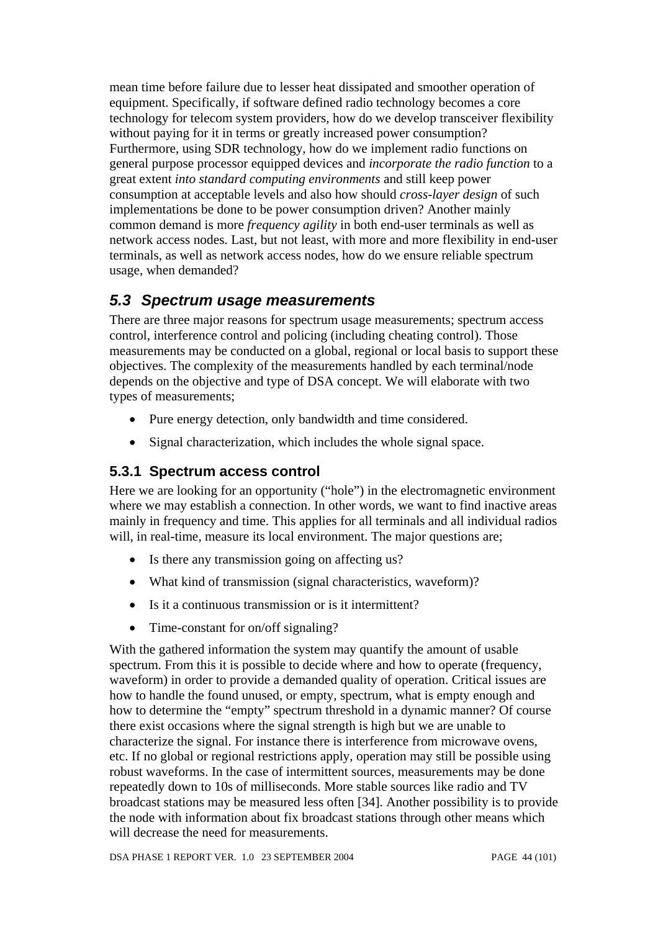mean time before failure due to lesser heat dissipated and smoother operation of equipment. Specifically, if software defined radio technology becomes a core technology for telecom system providers, how do we develop transceiver flexibility without paying for it in terms or greatly increased power consumption? Furthermore, using SDR technology, how do we implement radio functions on general purpose processor equipped devices and *incorporate the radio function* to a great extent *into standard computing environments* and still keep power consumption at acceptable levels and also how should *cross-layer design* of such implementations be done to be power consumption driven? Another mainly common demand is more *frequency agility* in both end-user terminals as well as network access nodes. Last, but not least, with more and more flexibility in end-user terminals, as well as network access nodes, how do we ensure reliable spectrum usage, when demanded?

### *5.3 Spectrum usage measurements*

There are three major reasons for spectrum usage measurements; spectrum access control, interference control and policing (including cheating control). Those measurements may be conducted on a global, regional or local basis to support these objectives. The complexity of the measurements handled by each terminal/node depends on the objective and type of DSA concept. We will elaborate with two types of measurements;

- Pure energy detection, only bandwidth and time considered.
- Signal characterization, which includes the whole signal space.

#### **5.3.1 Spectrum access control**

Here we are looking for an opportunity ("hole") in the electromagnetic environment where we may establish a connection. In other words, we want to find inactive areas mainly in frequency and time. This applies for all terminals and all individual radios will, in real-time, measure its local environment. The major questions are;

- Is there any transmission going on affecting us?
- What kind of transmission (signal characteristics, waveform)?
- Is it a continuous transmission or is it intermittent?
- Time-constant for on/off signaling?

With the gathered information the system may quantify the amount of usable spectrum. From this it is possible to decide where and how to operate (frequency, waveform) in order to provide a demanded quality of operation. Critical issues are how to handle the found unused, or empty, spectrum, what is empty enough and how to determine the "empty" spectrum threshold in a dynamic manner? Of course there exist occasions where the signal strength is high but we are unable to characterize the signal. For instance there is interference from microwave ovens, etc. If no global or regional restrictions apply, operation may still be possible using robust waveforms. In the case of intermittent sources, measurements may be done repeatedly down to 10s of milliseconds. More stable sources like radio and TV broadcast stations may be measured less often [34]. Another possibility is to provide the node with information about fix broadcast stations through other means which will decrease the need for measurements.

DSA PHASE 1 REPORT VER. 1.0 23 SEPTEMBER 2004 PAGE 44 (101)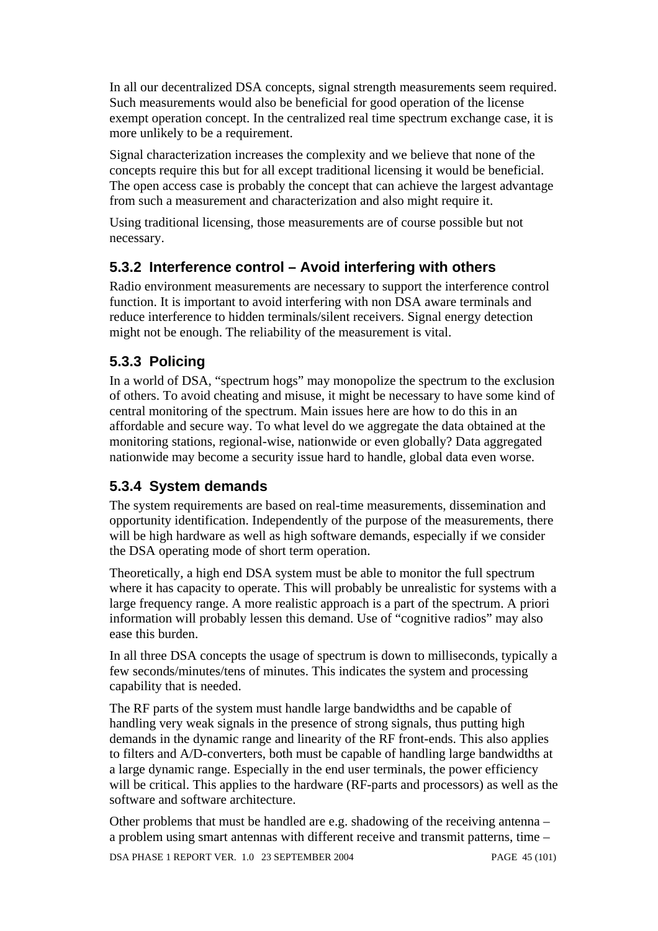In all our decentralized DSA concepts, signal strength measurements seem required. Such measurements would also be beneficial for good operation of the license exempt operation concept. In the centralized real time spectrum exchange case, it is more unlikely to be a requirement.

Signal characterization increases the complexity and we believe that none of the concepts require this but for all except traditional licensing it would be beneficial. The open access case is probably the concept that can achieve the largest advantage from such a measurement and characterization and also might require it.

Using traditional licensing, those measurements are of course possible but not necessary.

#### **5.3.2 Interference control – Avoid interfering with others**

Radio environment measurements are necessary to support the interference control function. It is important to avoid interfering with non DSA aware terminals and reduce interference to hidden terminals/silent receivers. Signal energy detection might not be enough. The reliability of the measurement is vital.

#### **5.3.3 Policing**

In a world of DSA, "spectrum hogs" may monopolize the spectrum to the exclusion of others. To avoid cheating and misuse, it might be necessary to have some kind of central monitoring of the spectrum. Main issues here are how to do this in an affordable and secure way. To what level do we aggregate the data obtained at the monitoring stations, regional-wise, nationwide or even globally? Data aggregated nationwide may become a security issue hard to handle, global data even worse.

### **5.3.4 System demands**

The system requirements are based on real-time measurements, dissemination and opportunity identification. Independently of the purpose of the measurements, there will be high hardware as well as high software demands, especially if we consider the DSA operating mode of short term operation.

Theoretically, a high end DSA system must be able to monitor the full spectrum where it has capacity to operate. This will probably be unrealistic for systems with a large frequency range. A more realistic approach is a part of the spectrum. A priori information will probably lessen this demand. Use of "cognitive radios" may also ease this burden.

In all three DSA concepts the usage of spectrum is down to milliseconds, typically a few seconds/minutes/tens of minutes. This indicates the system and processing capability that is needed.

The RF parts of the system must handle large bandwidths and be capable of handling very weak signals in the presence of strong signals, thus putting high demands in the dynamic range and linearity of the RF front-ends. This also applies to filters and A/D-converters, both must be capable of handling large bandwidths at a large dynamic range. Especially in the end user terminals, the power efficiency will be critical. This applies to the hardware (RF-parts and processors) as well as the software and software architecture.

Other problems that must be handled are e.g. shadowing of the receiving antenna – a problem using smart antennas with different receive and transmit patterns, time –

DSA PHASE 1 REPORT VER. 1.0 23 SEPTEMBER 2004 PAGE 45 (101)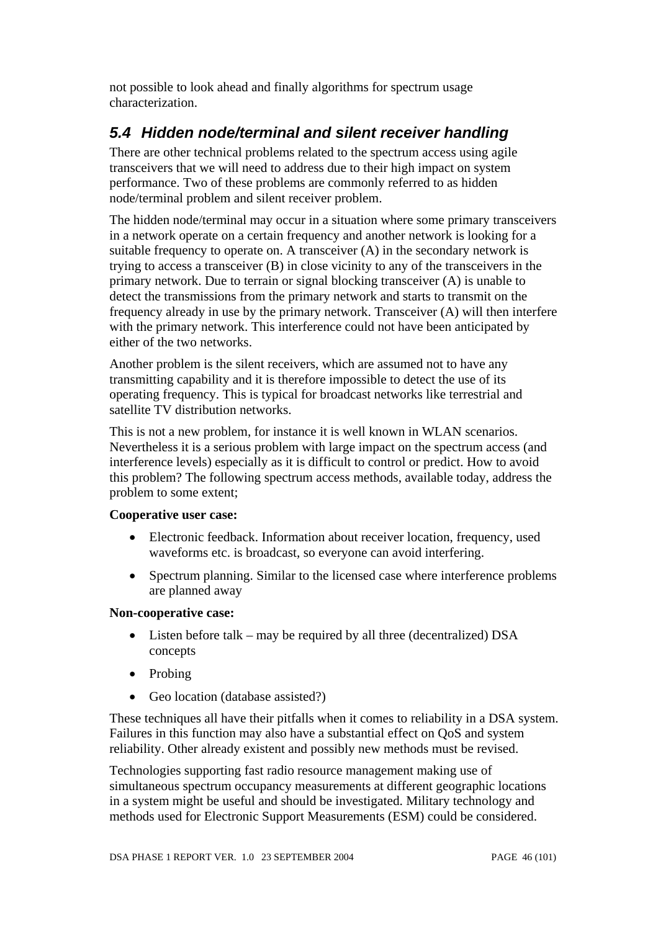not possible to look ahead and finally algorithms for spectrum usage characterization.

### *5.4 Hidden node/terminal and silent receiver handling*

There are other technical problems related to the spectrum access using agile transceivers that we will need to address due to their high impact on system performance. Two of these problems are commonly referred to as hidden node/terminal problem and silent receiver problem.

The hidden node/terminal may occur in a situation where some primary transceivers in a network operate on a certain frequency and another network is looking for a suitable frequency to operate on. A transceiver  $(A)$  in the secondary network is trying to access a transceiver (B) in close vicinity to any of the transceivers in the primary network. Due to terrain or signal blocking transceiver (A) is unable to detect the transmissions from the primary network and starts to transmit on the frequency already in use by the primary network. Transceiver (A) will then interfere with the primary network. This interference could not have been anticipated by either of the two networks.

Another problem is the silent receivers, which are assumed not to have any transmitting capability and it is therefore impossible to detect the use of its operating frequency. This is typical for broadcast networks like terrestrial and satellite TV distribution networks.

This is not a new problem, for instance it is well known in WLAN scenarios. Nevertheless it is a serious problem with large impact on the spectrum access (and interference levels) especially as it is difficult to control or predict. How to avoid this problem? The following spectrum access methods, available today, address the problem to some extent;

#### **Cooperative user case:**

- Electronic feedback. Information about receiver location, frequency, used waveforms etc. is broadcast, so everyone can avoid interfering.
- Spectrum planning. Similar to the licensed case where interference problems are planned away

#### **Non-cooperative case:**

- Listen before talk may be required by all three (decentralized) DSA concepts
- Probing
- Geo location (database assisted?)

These techniques all have their pitfalls when it comes to reliability in a DSA system. Failures in this function may also have a substantial effect on QoS and system reliability. Other already existent and possibly new methods must be revised.

Technologies supporting fast radio resource management making use of simultaneous spectrum occupancy measurements at different geographic locations in a system might be useful and should be investigated. Military technology and methods used for Electronic Support Measurements (ESM) could be considered.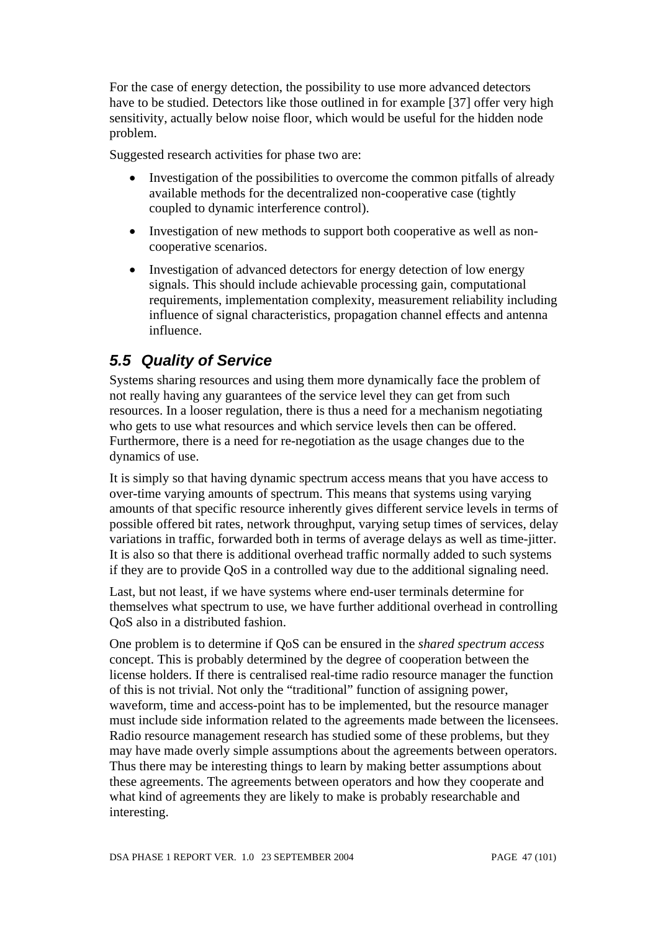For the case of energy detection, the possibility to use more advanced detectors have to be studied. Detectors like those outlined in for example [37] offer very high sensitivity, actually below noise floor, which would be useful for the hidden node problem.

Suggested research activities for phase two are:

- Investigation of the possibilities to overcome the common pitfalls of already available methods for the decentralized non-cooperative case (tightly coupled to dynamic interference control).
- Investigation of new methods to support both cooperative as well as noncooperative scenarios.
- Investigation of advanced detectors for energy detection of low energy signals. This should include achievable processing gain, computational requirements, implementation complexity, measurement reliability including influence of signal characteristics, propagation channel effects and antenna influence.

### *5.5 Quality of Service*

Systems sharing resources and using them more dynamically face the problem of not really having any guarantees of the service level they can get from such resources. In a looser regulation, there is thus a need for a mechanism negotiating who gets to use what resources and which service levels then can be offered. Furthermore, there is a need for re-negotiation as the usage changes due to the dynamics of use.

It is simply so that having dynamic spectrum access means that you have access to over-time varying amounts of spectrum. This means that systems using varying amounts of that specific resource inherently gives different service levels in terms of possible offered bit rates, network throughput, varying setup times of services, delay variations in traffic, forwarded both in terms of average delays as well as time-jitter. It is also so that there is additional overhead traffic normally added to such systems if they are to provide QoS in a controlled way due to the additional signaling need.

Last, but not least, if we have systems where end-user terminals determine for themselves what spectrum to use, we have further additional overhead in controlling QoS also in a distributed fashion.

One problem is to determine if QoS can be ensured in the *shared spectrum access* concept. This is probably determined by the degree of cooperation between the license holders. If there is centralised real-time radio resource manager the function of this is not trivial. Not only the "traditional" function of assigning power, waveform, time and access-point has to be implemented, but the resource manager must include side information related to the agreements made between the licensees. Radio resource management research has studied some of these problems, but they may have made overly simple assumptions about the agreements between operators. Thus there may be interesting things to learn by making better assumptions about these agreements. The agreements between operators and how they cooperate and what kind of agreements they are likely to make is probably researchable and interesting.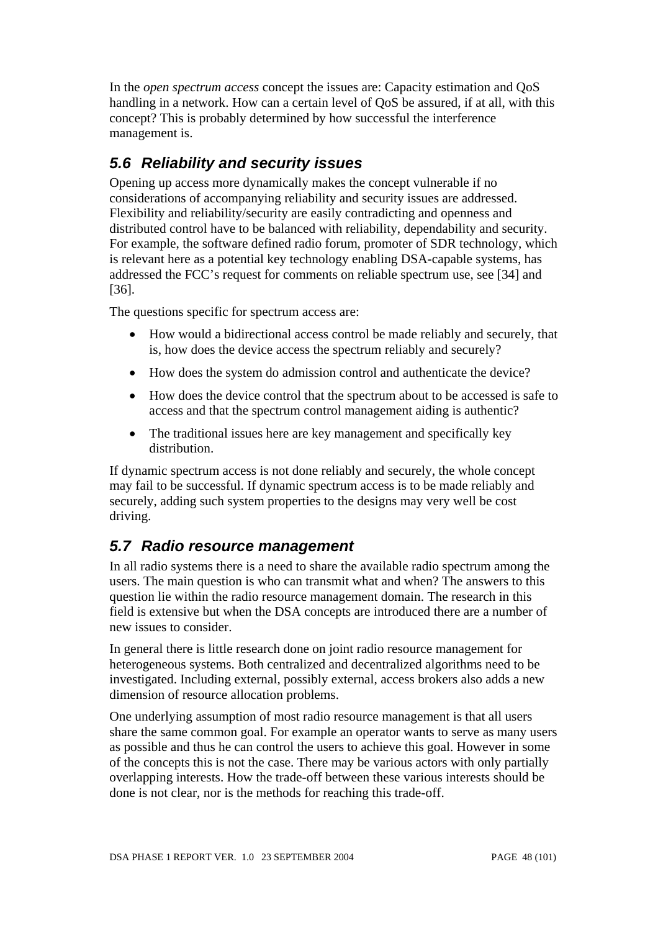In the *open spectrum access* concept the issues are: Capacity estimation and QoS handling in a network. How can a certain level of QoS be assured, if at all, with this concept? This is probably determined by how successful the interference management is.

# *5.6 Reliability and security issues*

Opening up access more dynamically makes the concept vulnerable if no considerations of accompanying reliability and security issues are addressed. Flexibility and reliability/security are easily contradicting and openness and distributed control have to be balanced with reliability, dependability and security. For example, the software defined radio forum, promoter of SDR technology, which is relevant here as a potential key technology enabling DSA-capable systems, has addressed the FCC's request for comments on reliable spectrum use, see [34] and [36].

The questions specific for spectrum access are:

- How would a bidirectional access control be made reliably and securely, that is, how does the device access the spectrum reliably and securely?
- How does the system do admission control and authenticate the device?
- How does the device control that the spectrum about to be accessed is safe to access and that the spectrum control management aiding is authentic?
- The traditional issues here are key management and specifically key distribution.

If dynamic spectrum access is not done reliably and securely, the whole concept may fail to be successful. If dynamic spectrum access is to be made reliably and securely, adding such system properties to the designs may very well be cost driving.

### *5.7 Radio resource management*

In all radio systems there is a need to share the available radio spectrum among the users. The main question is who can transmit what and when? The answers to this question lie within the radio resource management domain. The research in this field is extensive but when the DSA concepts are introduced there are a number of new issues to consider.

In general there is little research done on joint radio resource management for heterogeneous systems. Both centralized and decentralized algorithms need to be investigated. Including external, possibly external, access brokers also adds a new dimension of resource allocation problems.

One underlying assumption of most radio resource management is that all users share the same common goal. For example an operator wants to serve as many users as possible and thus he can control the users to achieve this goal. However in some of the concepts this is not the case. There may be various actors with only partially overlapping interests. How the trade-off between these various interests should be done is not clear, nor is the methods for reaching this trade-off.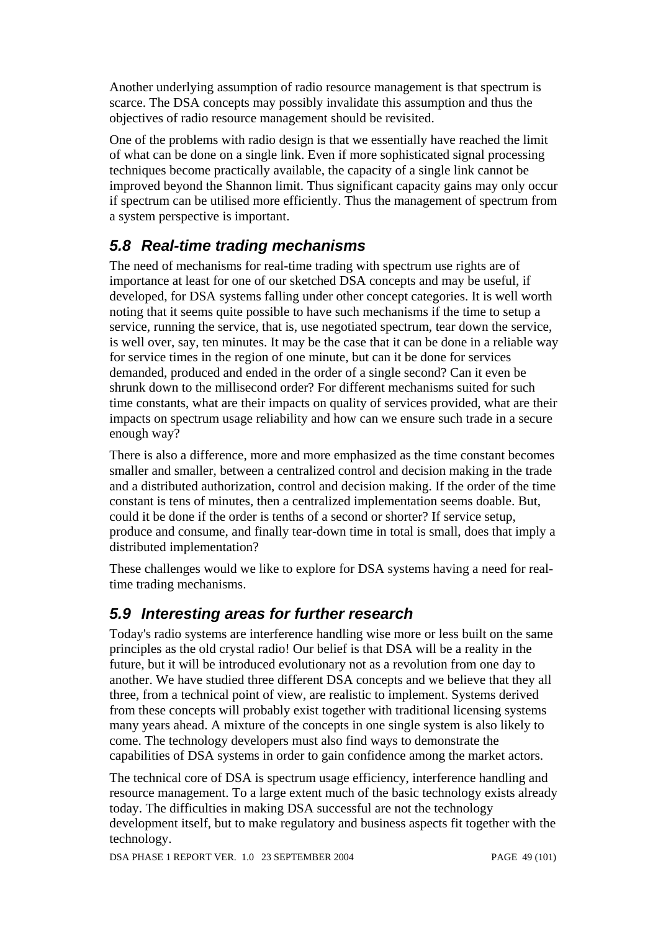Another underlying assumption of radio resource management is that spectrum is scarce. The DSA concepts may possibly invalidate this assumption and thus the objectives of radio resource management should be revisited.

One of the problems with radio design is that we essentially have reached the limit of what can be done on a single link. Even if more sophisticated signal processing techniques become practically available, the capacity of a single link cannot be improved beyond the Shannon limit. Thus significant capacity gains may only occur if spectrum can be utilised more efficiently. Thus the management of spectrum from a system perspective is important.

### *5.8 Real-time trading mechanisms*

The need of mechanisms for real-time trading with spectrum use rights are of importance at least for one of our sketched DSA concepts and may be useful, if developed, for DSA systems falling under other concept categories. It is well worth noting that it seems quite possible to have such mechanisms if the time to setup a service, running the service, that is, use negotiated spectrum, tear down the service, is well over, say, ten minutes. It may be the case that it can be done in a reliable way for service times in the region of one minute, but can it be done for services demanded, produced and ended in the order of a single second? Can it even be shrunk down to the millisecond order? For different mechanisms suited for such time constants, what are their impacts on quality of services provided, what are their impacts on spectrum usage reliability and how can we ensure such trade in a secure enough way?

There is also a difference, more and more emphasized as the time constant becomes smaller and smaller, between a centralized control and decision making in the trade and a distributed authorization, control and decision making. If the order of the time constant is tens of minutes, then a centralized implementation seems doable. But, could it be done if the order is tenths of a second or shorter? If service setup, produce and consume, and finally tear-down time in total is small, does that imply a distributed implementation?

These challenges would we like to explore for DSA systems having a need for realtime trading mechanisms.

### *5.9 Interesting areas for further research*

Today's radio systems are interference handling wise more or less built on the same principles as the old crystal radio! Our belief is that DSA will be a reality in the future, but it will be introduced evolutionary not as a revolution from one day to another. We have studied three different DSA concepts and we believe that they all three, from a technical point of view, are realistic to implement. Systems derived from these concepts will probably exist together with traditional licensing systems many years ahead. A mixture of the concepts in one single system is also likely to come. The technology developers must also find ways to demonstrate the capabilities of DSA systems in order to gain confidence among the market actors.

The technical core of DSA is spectrum usage efficiency, interference handling and resource management. To a large extent much of the basic technology exists already today. The difficulties in making DSA successful are not the technology development itself, but to make regulatory and business aspects fit together with the technology.

DSA PHASE 1 REPORT VER. 1.0 23 SEPTEMBER 2004 PAGE 49 (101)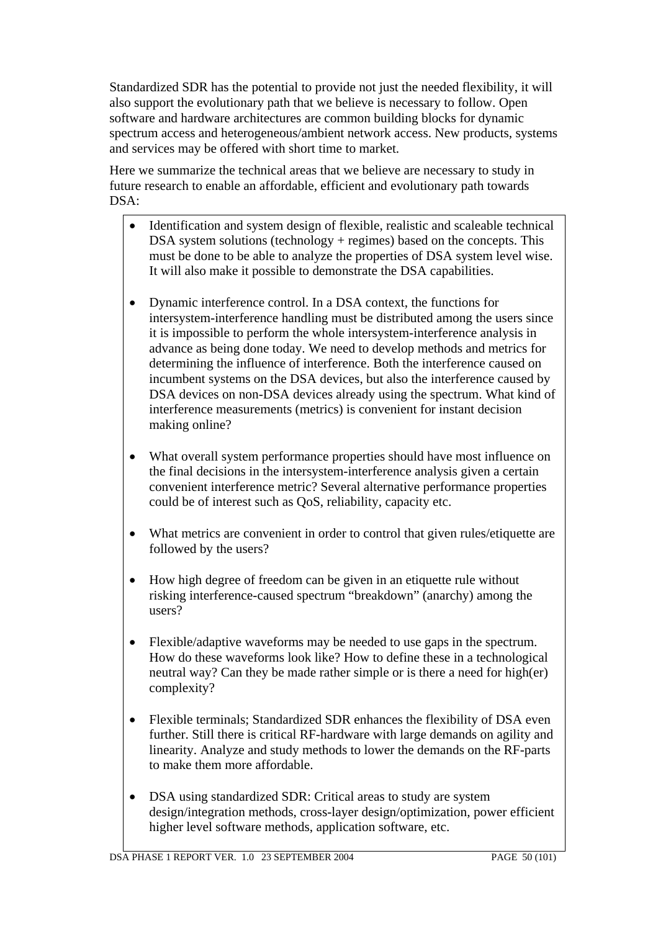Standardized SDR has the potential to provide not just the needed flexibility, it will also support the evolutionary path that we believe is necessary to follow. Open software and hardware architectures are common building blocks for dynamic spectrum access and heterogeneous/ambient network access. New products, systems and services may be offered with short time to market.

Here we summarize the technical areas that we believe are necessary to study in future research to enable an affordable, efficient and evolutionary path towards DSA:

- Identification and system design of flexible, realistic and scaleable technical DSA system solutions (technology + regimes) based on the concepts. This must be done to be able to analyze the properties of DSA system level wise. It will also make it possible to demonstrate the DSA capabilities.
- Dynamic interference control. In a DSA context, the functions for intersystem-interference handling must be distributed among the users since it is impossible to perform the whole intersystem-interference analysis in advance as being done today. We need to develop methods and metrics for determining the influence of interference. Both the interference caused on incumbent systems on the DSA devices, but also the interference caused by DSA devices on non-DSA devices already using the spectrum. What kind of interference measurements (metrics) is convenient for instant decision making online?
- What overall system performance properties should have most influence on the final decisions in the intersystem-interference analysis given a certain convenient interference metric? Several alternative performance properties could be of interest such as QoS, reliability, capacity etc.
- What metrics are convenient in order to control that given rules/etiquette are followed by the users?
- How high degree of freedom can be given in an etiquette rule without risking interference-caused spectrum "breakdown" (anarchy) among the users?
- Flexible/adaptive waveforms may be needed to use gaps in the spectrum. How do these waveforms look like? How to define these in a technological neutral way? Can they be made rather simple or is there a need for high(er) complexity?
- Flexible terminals; Standardized SDR enhances the flexibility of DSA even further. Still there is critical RF-hardware with large demands on agility and linearity. Analyze and study methods to lower the demands on the RF-parts to make them more affordable.
- DSA using standardized SDR: Critical areas to study are system design/integration methods, cross-layer design/optimization, power efficient higher level software methods, application software, etc.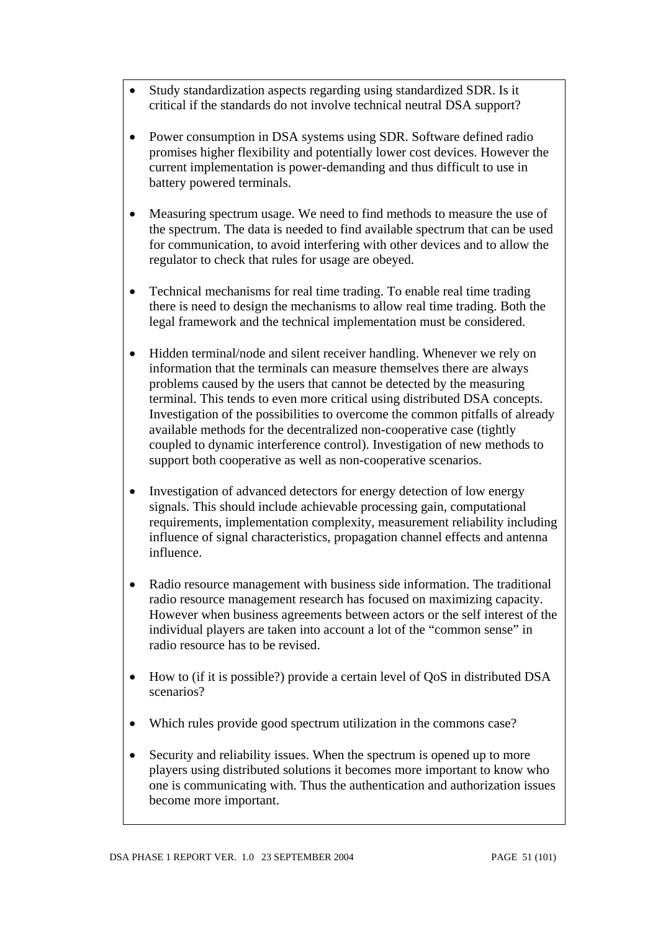- Study standardization aspects regarding using standardized SDR. Is it critical if the standards do not involve technical neutral DSA support?
- Power consumption in DSA systems using SDR. Software defined radio promises higher flexibility and potentially lower cost devices. However the current implementation is power-demanding and thus difficult to use in battery powered terminals.
- Measuring spectrum usage. We need to find methods to measure the use of the spectrum. The data is needed to find available spectrum that can be used for communication, to avoid interfering with other devices and to allow the regulator to check that rules for usage are obeyed.
- Technical mechanisms for real time trading. To enable real time trading there is need to design the mechanisms to allow real time trading. Both the legal framework and the technical implementation must be considered.
- Hidden terminal/node and silent receiver handling. Whenever we rely on information that the terminals can measure themselves there are always problems caused by the users that cannot be detected by the measuring terminal. This tends to even more critical using distributed DSA concepts. Investigation of the possibilities to overcome the common pitfalls of already available methods for the decentralized non-cooperative case (tightly coupled to dynamic interference control). Investigation of new methods to support both cooperative as well as non-cooperative scenarios.
- Investigation of advanced detectors for energy detection of low energy signals. This should include achievable processing gain, computational requirements, implementation complexity, measurement reliability including influence of signal characteristics, propagation channel effects and antenna influence.
- Radio resource management with business side information. The traditional radio resource management research has focused on maximizing capacity. However when business agreements between actors or the self interest of the individual players are taken into account a lot of the "common sense" in radio resource has to be revised.
- How to (if it is possible?) provide a certain level of QoS in distributed DSA scenarios?
- Which rules provide good spectrum utilization in the commons case?
- Security and reliability issues. When the spectrum is opened up to more players using distributed solutions it becomes more important to know who one is communicating with. Thus the authentication and authorization issues become more important.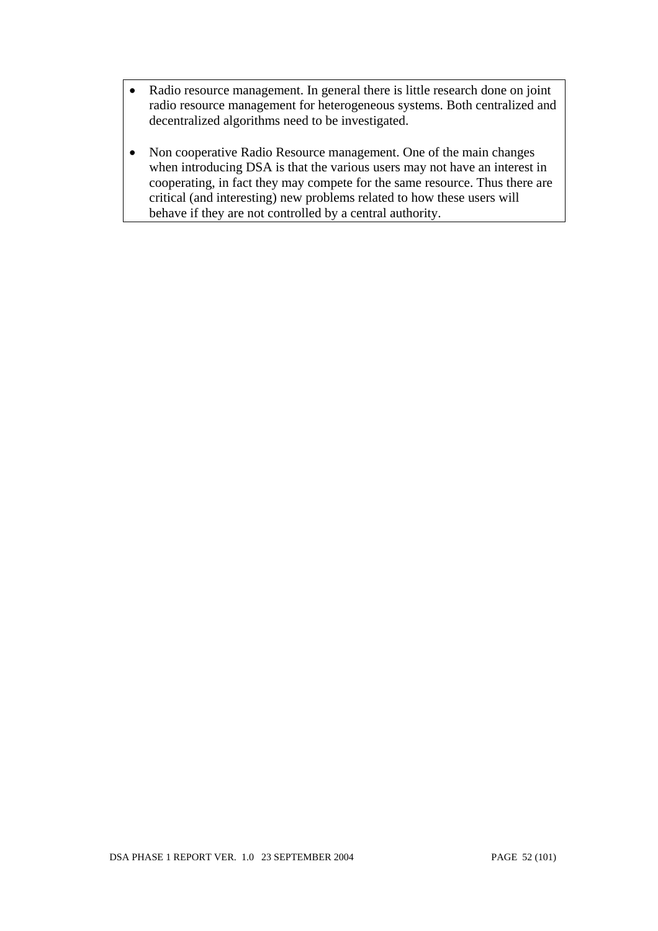- Radio resource management. In general there is little research done on joint radio resource management for heterogeneous systems. Both centralized and decentralized algorithms need to be investigated.
- Non cooperative Radio Resource management. One of the main changes when introducing DSA is that the various users may not have an interest in cooperating, in fact they may compete for the same resource. Thus there are critical (and interesting) new problems related to how these users will behave if they are not controlled by a central authority.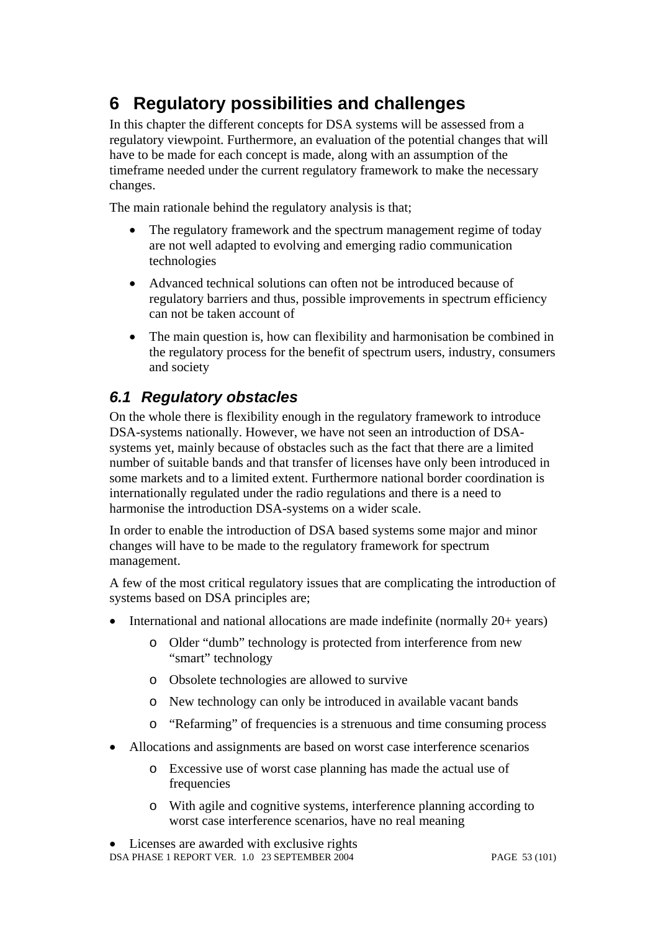# **6 Regulatory possibilities and challenges**

In this chapter the different concepts for DSA systems will be assessed from a regulatory viewpoint. Furthermore, an evaluation of the potential changes that will have to be made for each concept is made, along with an assumption of the timeframe needed under the current regulatory framework to make the necessary changes.

The main rationale behind the regulatory analysis is that;

- The regulatory framework and the spectrum management regime of today are not well adapted to evolving and emerging radio communication technologies
- Advanced technical solutions can often not be introduced because of regulatory barriers and thus, possible improvements in spectrum efficiency can not be taken account of
- The main question is, how can flexibility and harmonisation be combined in the regulatory process for the benefit of spectrum users, industry, consumers and society

# *6.1 Regulatory obstacles*

On the whole there is flexibility enough in the regulatory framework to introduce DSA-systems nationally. However, we have not seen an introduction of DSAsystems yet, mainly because of obstacles such as the fact that there are a limited number of suitable bands and that transfer of licenses have only been introduced in some markets and to a limited extent. Furthermore national border coordination is internationally regulated under the radio regulations and there is a need to harmonise the introduction DSA-systems on a wider scale.

In order to enable the introduction of DSA based systems some major and minor changes will have to be made to the regulatory framework for spectrum management.

A few of the most critical regulatory issues that are complicating the introduction of systems based on DSA principles are;

- International and national allocations are made indefinite (normally 20+ years)
	- o Older "dumb" technology is protected from interference from new "smart" technology
	- o Obsolete technologies are allowed to survive
	- o New technology can only be introduced in available vacant bands
	- o "Refarming" of frequencies is a strenuous and time consuming process
- Allocations and assignments are based on worst case interference scenarios
	- o Excessive use of worst case planning has made the actual use of frequencies
	- o With agile and cognitive systems, interference planning according to worst case interference scenarios, have no real meaning

DSA PHASE 1 REPORT VER. 1.0 23 SEPTEMBER 2004 PAGE 53 (101) • Licenses are awarded with exclusive rights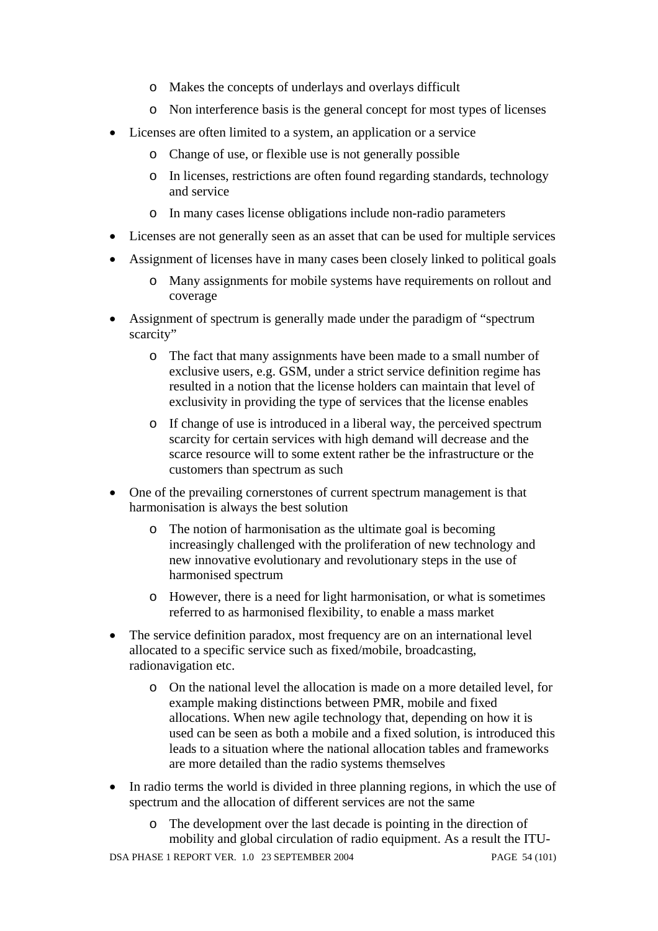- o Makes the concepts of underlays and overlays difficult
- o Non interference basis is the general concept for most types of licenses
- Licenses are often limited to a system, an application or a service
	- o Change of use, or flexible use is not generally possible
	- o In licenses, restrictions are often found regarding standards, technology and service
	- o In many cases license obligations include non-radio parameters
- Licenses are not generally seen as an asset that can be used for multiple services
- Assignment of licenses have in many cases been closely linked to political goals
	- o Many assignments for mobile systems have requirements on rollout and coverage
- Assignment of spectrum is generally made under the paradigm of "spectrum" scarcity"
	- o The fact that many assignments have been made to a small number of exclusive users, e.g. GSM, under a strict service definition regime has resulted in a notion that the license holders can maintain that level of exclusivity in providing the type of services that the license enables
	- o If change of use is introduced in a liberal way, the perceived spectrum scarcity for certain services with high demand will decrease and the scarce resource will to some extent rather be the infrastructure or the customers than spectrum as such
- One of the prevailing cornerstones of current spectrum management is that harmonisation is always the best solution
	- o The notion of harmonisation as the ultimate goal is becoming increasingly challenged with the proliferation of new technology and new innovative evolutionary and revolutionary steps in the use of harmonised spectrum
	- o However, there is a need for light harmonisation, or what is sometimes referred to as harmonised flexibility, to enable a mass market
- The service definition paradox, most frequency are on an international level allocated to a specific service such as fixed/mobile, broadcasting, radionavigation etc.
	- o On the national level the allocation is made on a more detailed level, for example making distinctions between PMR, mobile and fixed allocations. When new agile technology that, depending on how it is used can be seen as both a mobile and a fixed solution, is introduced this leads to a situation where the national allocation tables and frameworks are more detailed than the radio systems themselves
- In radio terms the world is divided in three planning regions, in which the use of spectrum and the allocation of different services are not the same
	- o The development over the last decade is pointing in the direction of mobility and global circulation of radio equipment. As a result the ITU-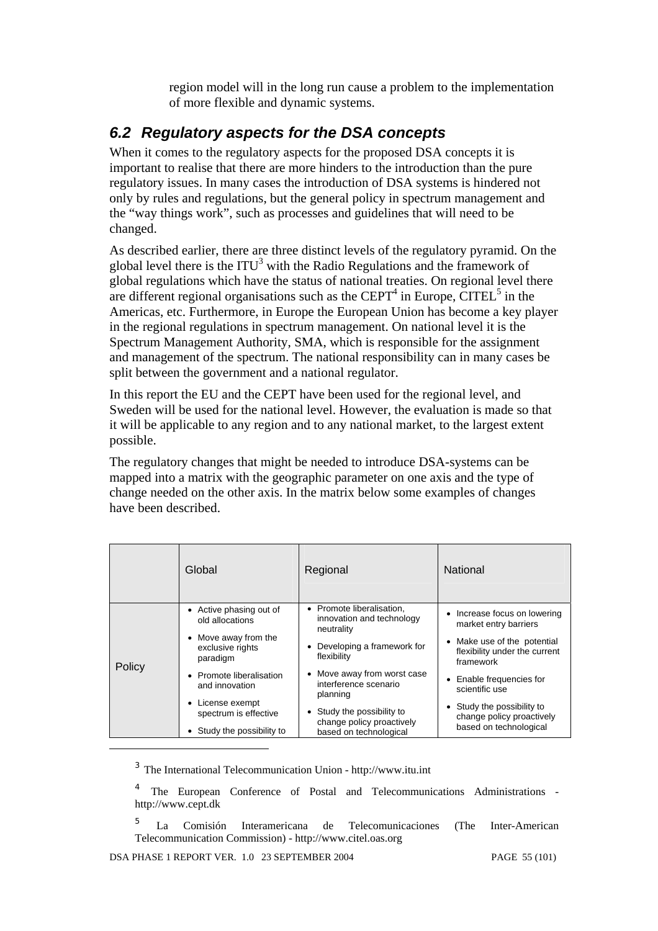region model will in the long run cause a problem to the implementation of more flexible and dynamic systems.

## *6.2 Regulatory aspects for the DSA concepts*

When it comes to the regulatory aspects for the proposed DSA concepts it is important to realise that there are more hinders to the introduction than the pure regulatory issues. In many cases the introduction of DSA systems is hindered not only by rules and regulations, but the general policy in spectrum management and the "way things work", such as processes and guidelines that will need to be changed.

As described earlier, there are three distinct levels of the regulatory pyramid. On the global level there is the  $ITU<sup>3</sup>$  with the Radio Regulations and the framework of global regulations which have the status of national treaties. On regional level there are different regional organisations such as the  $CEPT<sup>4</sup>$  in Europe,  $\text{CITEL}^5$  in the Americas, etc. Furthermore, in Europe the European Union has become a key player in the regional regulations in spectrum management. On national level it is the Spectrum Management Authority, SMA, which is responsible for the assignment and management of the spectrum. The national responsibility can in many cases be split between the government and a national regulator.

In this report the EU and the CEPT have been used for the regional level, and Sweden will be used for the national level. However, the evaluation is made so that it will be applicable to any region and to any national market, to the largest extent possible.

The regulatory changes that might be needed to introduce DSA-systems can be mapped into a matrix with the geographic parameter on one axis and the type of change needed on the other axis. In the matrix below some examples of changes have been described.

|        | Global                                                                                             | Regional                                                                                                          | <b>National</b>                                                                                                                  |
|--------|----------------------------------------------------------------------------------------------------|-------------------------------------------------------------------------------------------------------------------|----------------------------------------------------------------------------------------------------------------------------------|
|        | • Active phasing out of<br>old allocations<br>• Move away from the<br>exclusive rights<br>paradigm | • Promote liberalisation,<br>innovation and technology<br>neutrality<br>Developing a framework for<br>flexibility | Increase focus on lowering<br>market entry barriers<br>• Make use of the potential<br>flexibility under the current<br>framework |
| Policy | • Promote liberalisation<br>and innovation                                                         | • Move away from worst case<br>interference scenario<br>planning                                                  | Enable frequencies for<br>scientific use                                                                                         |
|        | License exempt<br>spectrum is effective<br>• Study the possibility to                              | • Study the possibility to<br>change policy proactively<br>based on technological                                 | • Study the possibility to<br>change policy proactively<br>based on technological                                                |

<sup>3</sup> The International Telecommunication Union - http://www.itu.int

<sup>4</sup> The European Conference of Postal and Telecommunications Administrations http://www.cept.dk

<sup>5</sup> La Comisión Interamericana de Telecomunicaciones (The Inter-American Telecommunication Commission) - http://www.citel.oas.org

DSA PHASE 1 REPORT VER. 1.0 23 SEPTEMBER 2004 PAGE 55 (101)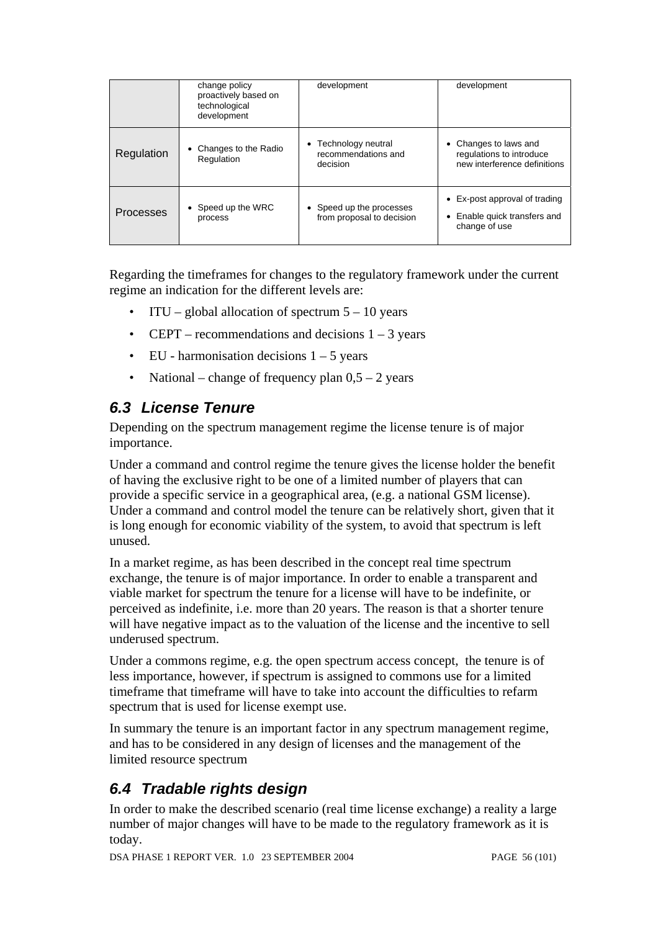|                  | change policy<br>proactively based on<br>technological<br>development | development                                                | development                                                                     |
|------------------|-----------------------------------------------------------------------|------------------------------------------------------------|---------------------------------------------------------------------------------|
| Regulation       | Changes to the Radio<br>Regulation                                    | Technology neutral<br>٠<br>recommendations and<br>decision | Changes to laws and<br>regulations to introduce<br>new interference definitions |
| <b>Processes</b> | • Speed up the WRC<br>process                                         | • Speed up the processes<br>from proposal to decision      | • Ex-post approval of trading<br>Enable quick transfers and<br>change of use    |

Regarding the timeframes for changes to the regulatory framework under the current regime an indication for the different levels are:

- ITU global allocation of spectrum  $5 10$  years
- CEPT recommendations and decisions  $1 3$  years
- EU harmonisation decisions  $1 5$  years
- National change of frequency plan  $0.5 2$  years

# *6.3 License Tenure*

Depending on the spectrum management regime the license tenure is of major importance.

Under a command and control regime the tenure gives the license holder the benefit of having the exclusive right to be one of a limited number of players that can provide a specific service in a geographical area, (e.g. a national GSM license). Under a command and control model the tenure can be relatively short, given that it is long enough for economic viability of the system, to avoid that spectrum is left unused.

In a market regime, as has been described in the concept real time spectrum exchange, the tenure is of major importance. In order to enable a transparent and viable market for spectrum the tenure for a license will have to be indefinite, or perceived as indefinite, i.e. more than 20 years. The reason is that a shorter tenure will have negative impact as to the valuation of the license and the incentive to sell underused spectrum.

Under a commons regime, e.g. the open spectrum access concept, the tenure is of less importance, however, if spectrum is assigned to commons use for a limited timeframe that timeframe will have to take into account the difficulties to refarm spectrum that is used for license exempt use.

In summary the tenure is an important factor in any spectrum management regime, and has to be considered in any design of licenses and the management of the limited resource spectrum

## *6.4 Tradable rights design*

In order to make the described scenario (real time license exchange) a reality a large number of major changes will have to be made to the regulatory framework as it is today.

DSA PHASE 1 REPORT VER. 1.0 23 SEPTEMBER 2004 PAGE 56 (101)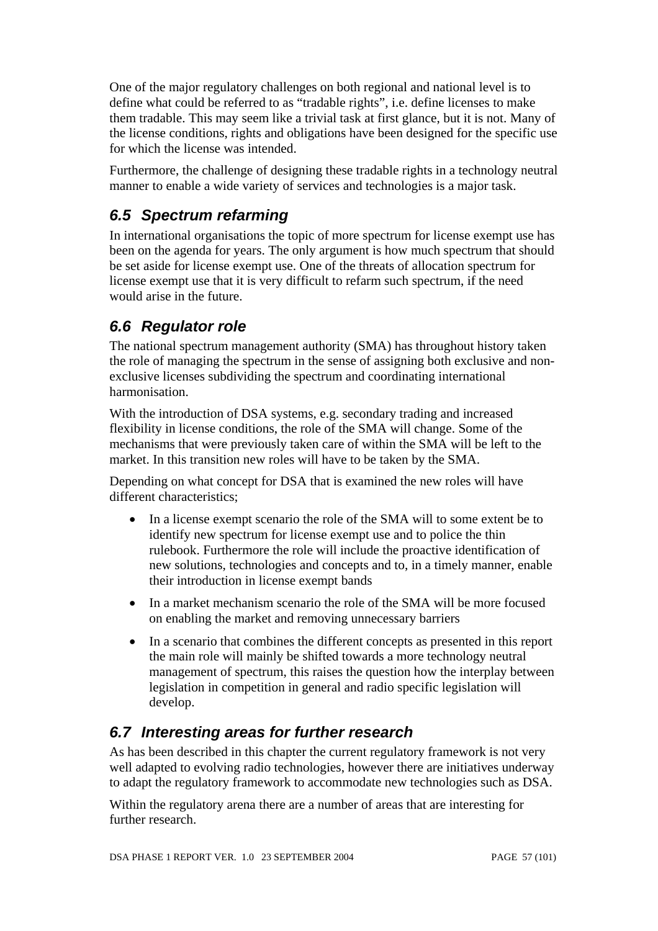One of the major regulatory challenges on both regional and national level is to define what could be referred to as "tradable rights", i.e. define licenses to make them tradable. This may seem like a trivial task at first glance, but it is not. Many of the license conditions, rights and obligations have been designed for the specific use for which the license was intended.

Furthermore, the challenge of designing these tradable rights in a technology neutral manner to enable a wide variety of services and technologies is a major task.

### *6.5 Spectrum refarming*

In international organisations the topic of more spectrum for license exempt use has been on the agenda for years. The only argument is how much spectrum that should be set aside for license exempt use. One of the threats of allocation spectrum for license exempt use that it is very difficult to refarm such spectrum, if the need would arise in the future.

## *6.6 Regulator role*

The national spectrum management authority (SMA) has throughout history taken the role of managing the spectrum in the sense of assigning both exclusive and nonexclusive licenses subdividing the spectrum and coordinating international harmonisation.

With the introduction of DSA systems, e.g. secondary trading and increased flexibility in license conditions, the role of the SMA will change. Some of the mechanisms that were previously taken care of within the SMA will be left to the market. In this transition new roles will have to be taken by the SMA.

Depending on what concept for DSA that is examined the new roles will have different characteristics;

- In a license exempt scenario the role of the SMA will to some extent be to identify new spectrum for license exempt use and to police the thin rulebook. Furthermore the role will include the proactive identification of new solutions, technologies and concepts and to, in a timely manner, enable their introduction in license exempt bands
- In a market mechanism scenario the role of the SMA will be more focused on enabling the market and removing unnecessary barriers
- In a scenario that combines the different concepts as presented in this report the main role will mainly be shifted towards a more technology neutral management of spectrum, this raises the question how the interplay between legislation in competition in general and radio specific legislation will develop.

### *6.7 Interesting areas for further research*

As has been described in this chapter the current regulatory framework is not very well adapted to evolving radio technologies, however there are initiatives underway to adapt the regulatory framework to accommodate new technologies such as DSA.

Within the regulatory arena there are a number of areas that are interesting for further research.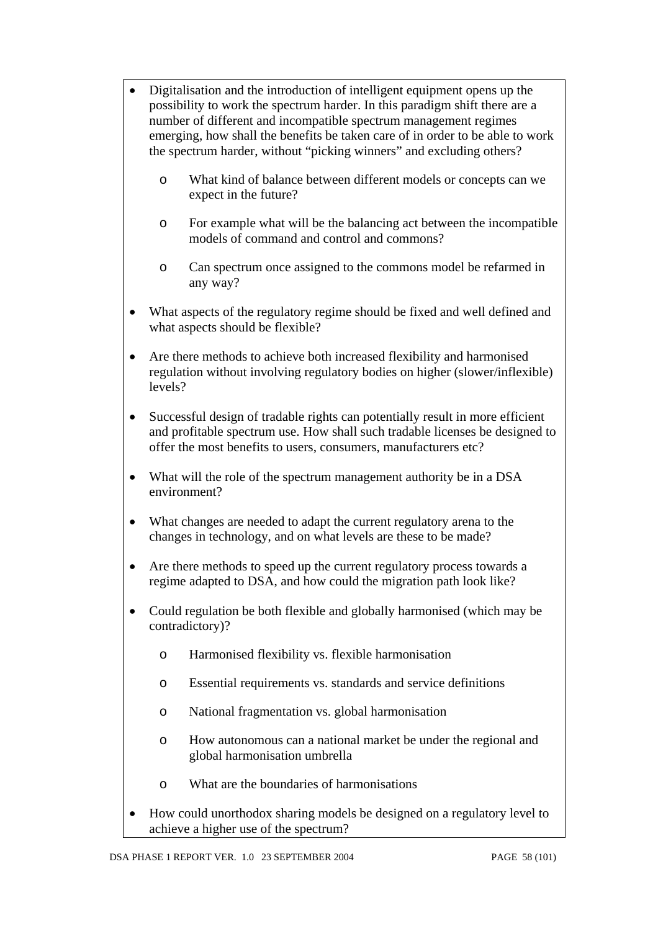- Digitalisation and the introduction of intelligent equipment opens up the possibility to work the spectrum harder. In this paradigm shift there are a number of different and incompatible spectrum management regimes emerging, how shall the benefits be taken care of in order to be able to work the spectrum harder, without "picking winners" and excluding others?
	- o What kind of balance between different models or concepts can we expect in the future?
	- o For example what will be the balancing act between the incompatible models of command and control and commons?
	- o Can spectrum once assigned to the commons model be refarmed in any way?
- What aspects of the regulatory regime should be fixed and well defined and what aspects should be flexible?
- Are there methods to achieve both increased flexibility and harmonised regulation without involving regulatory bodies on higher (slower/inflexible) levels?
- Successful design of tradable rights can potentially result in more efficient and profitable spectrum use. How shall such tradable licenses be designed to offer the most benefits to users, consumers, manufacturers etc?
- What will the role of the spectrum management authority be in a DSA environment?
- What changes are needed to adapt the current regulatory arena to the changes in technology, and on what levels are these to be made?
- Are there methods to speed up the current regulatory process towards a regime adapted to DSA, and how could the migration path look like?
- Could regulation be both flexible and globally harmonised (which may be contradictory)?
	- o Harmonised flexibility vs. flexible harmonisation
	- o Essential requirements vs. standards and service definitions
	- o National fragmentation vs. global harmonisation
	- o How autonomous can a national market be under the regional and global harmonisation umbrella
	- o What are the boundaries of harmonisations
- How could unorthodox sharing models be designed on a regulatory level to achieve a higher use of the spectrum?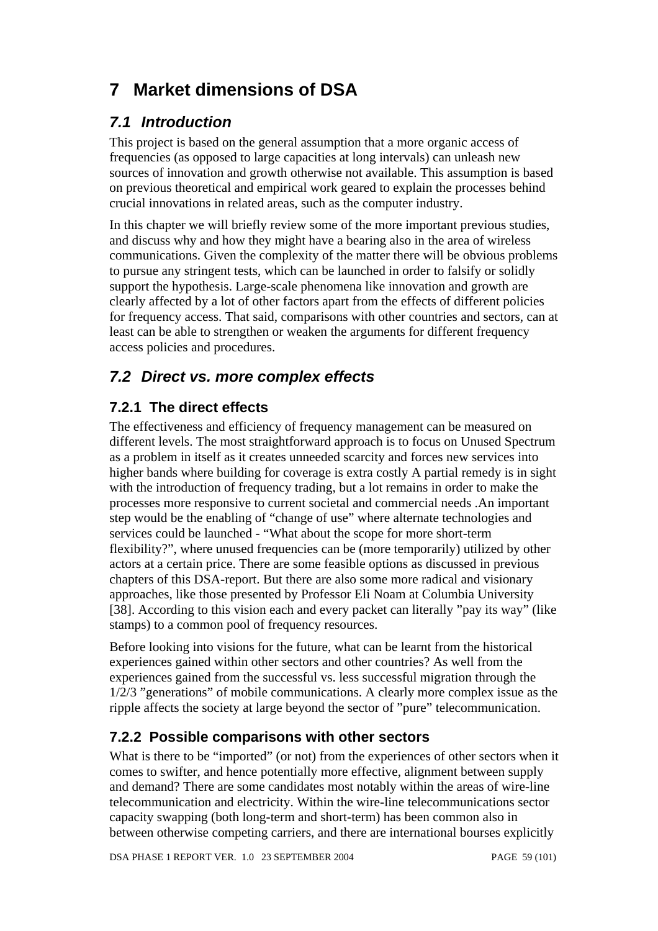# **7 Market dimensions of DSA**

## *7.1 Introduction*

This project is based on the general assumption that a more organic access of frequencies (as opposed to large capacities at long intervals) can unleash new sources of innovation and growth otherwise not available. This assumption is based on previous theoretical and empirical work geared to explain the processes behind crucial innovations in related areas, such as the computer industry.

In this chapter we will briefly review some of the more important previous studies, and discuss why and how they might have a bearing also in the area of wireless communications. Given the complexity of the matter there will be obvious problems to pursue any stringent tests, which can be launched in order to falsify or solidly support the hypothesis. Large-scale phenomena like innovation and growth are clearly affected by a lot of other factors apart from the effects of different policies for frequency access. That said, comparisons with other countries and sectors, can at least can be able to strengthen or weaken the arguments for different frequency access policies and procedures.

### *7.2 Direct vs. more complex effects*

### **7.2.1 The direct effects**

The effectiveness and efficiency of frequency management can be measured on different levels. The most straightforward approach is to focus on Unused Spectrum as a problem in itself as it creates unneeded scarcity and forces new services into higher bands where building for coverage is extra costly A partial remedy is in sight with the introduction of frequency trading, but a lot remains in order to make the processes more responsive to current societal and commercial needs .An important step would be the enabling of "change of use" where alternate technologies and services could be launched - "What about the scope for more short-term flexibility?", where unused frequencies can be (more temporarily) utilized by other actors at a certain price. There are some feasible options as discussed in previous chapters of this DSA-report. But there are also some more radical and visionary approaches, like those presented by Professor Eli Noam at Columbia University [38]. According to this vision each and every packet can literally "pay its way" (like stamps) to a common pool of frequency resources.

Before looking into visions for the future, what can be learnt from the historical experiences gained within other sectors and other countries? As well from the experiences gained from the successful vs. less successful migration through the 1/2/3 "generations" of mobile communications. A clearly more complex issue as the ripple affects the society at large beyond the sector of "pure" telecommunication.

#### **7.2.2 Possible comparisons with other sectors**

What is there to be "imported" (or not) from the experiences of other sectors when it comes to swifter, and hence potentially more effective, alignment between supply and demand? There are some candidates most notably within the areas of wire-line telecommunication and electricity. Within the wire-line telecommunications sector capacity swapping (both long-term and short-term) has been common also in between otherwise competing carriers, and there are international bourses explicitly

DSA PHASE 1 REPORT VER. 1.0 23 SEPTEMBER 2004 PAGE 59 (101)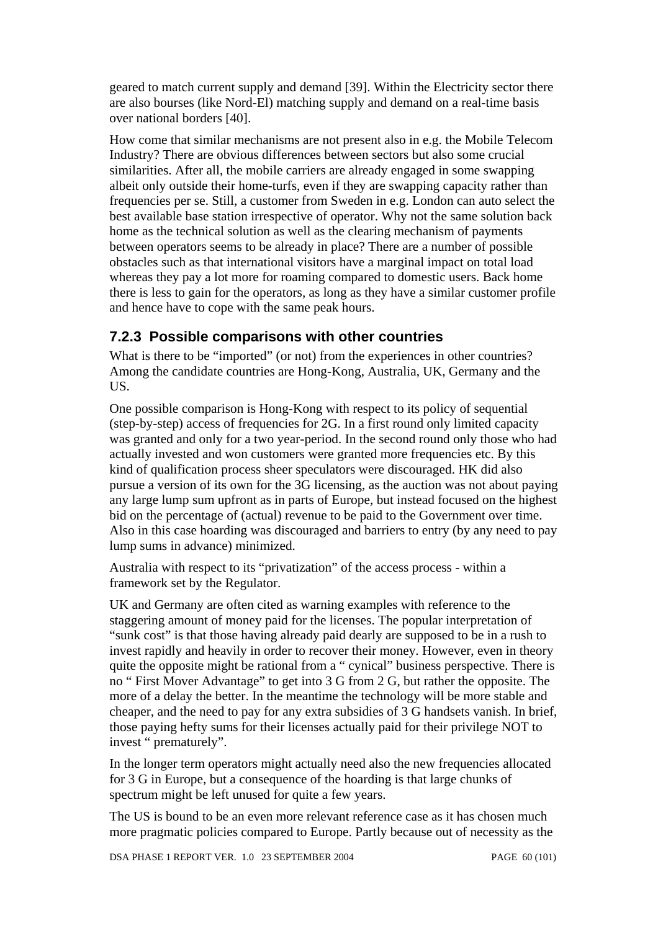geared to match current supply and demand [39]. Within the Electricity sector there are also bourses (like Nord-El) matching supply and demand on a real-time basis over national borders [40].

How come that similar mechanisms are not present also in e.g. the Mobile Telecom Industry? There are obvious differences between sectors but also some crucial similarities. After all, the mobile carriers are already engaged in some swapping albeit only outside their home-turfs, even if they are swapping capacity rather than frequencies per se. Still, a customer from Sweden in e.g. London can auto select the best available base station irrespective of operator. Why not the same solution back home as the technical solution as well as the clearing mechanism of payments between operators seems to be already in place? There are a number of possible obstacles such as that international visitors have a marginal impact on total load whereas they pay a lot more for roaming compared to domestic users. Back home there is less to gain for the operators, as long as they have a similar customer profile and hence have to cope with the same peak hours.

#### **7.2.3 Possible comparisons with other countries**

What is there to be "imported" (or not) from the experiences in other countries? Among the candidate countries are Hong-Kong, Australia, UK, Germany and the US.

One possible comparison is Hong-Kong with respect to its policy of sequential (step-by-step) access of frequencies for 2G. In a first round only limited capacity was granted and only for a two year-period. In the second round only those who had actually invested and won customers were granted more frequencies etc. By this kind of qualification process sheer speculators were discouraged. HK did also pursue a version of its own for the 3G licensing, as the auction was not about paying any large lump sum upfront as in parts of Europe, but instead focused on the highest bid on the percentage of (actual) revenue to be paid to the Government over time. Also in this case hoarding was discouraged and barriers to entry (by any need to pay lump sums in advance) minimized.

Australia with respect to its "privatization" of the access process - within a framework set by the Regulator.

UK and Germany are often cited as warning examples with reference to the staggering amount of money paid for the licenses. The popular interpretation of "sunk cost" is that those having already paid dearly are supposed to be in a rush to invest rapidly and heavily in order to recover their money. However, even in theory quite the opposite might be rational from a " cynical" business perspective. There is no " First Mover Advantage" to get into 3 G from 2 G, but rather the opposite. The more of a delay the better. In the meantime the technology will be more stable and cheaper, and the need to pay for any extra subsidies of 3 G handsets vanish. In brief, those paying hefty sums for their licenses actually paid for their privilege NOT to invest " prematurely".

In the longer term operators might actually need also the new frequencies allocated for 3 G in Europe, but a consequence of the hoarding is that large chunks of spectrum might be left unused for quite a few years.

The US is bound to be an even more relevant reference case as it has chosen much more pragmatic policies compared to Europe. Partly because out of necessity as the

DSA PHASE 1 REPORT VER. 1.0 23 SEPTEMBER 2004 PAGE 60 (101)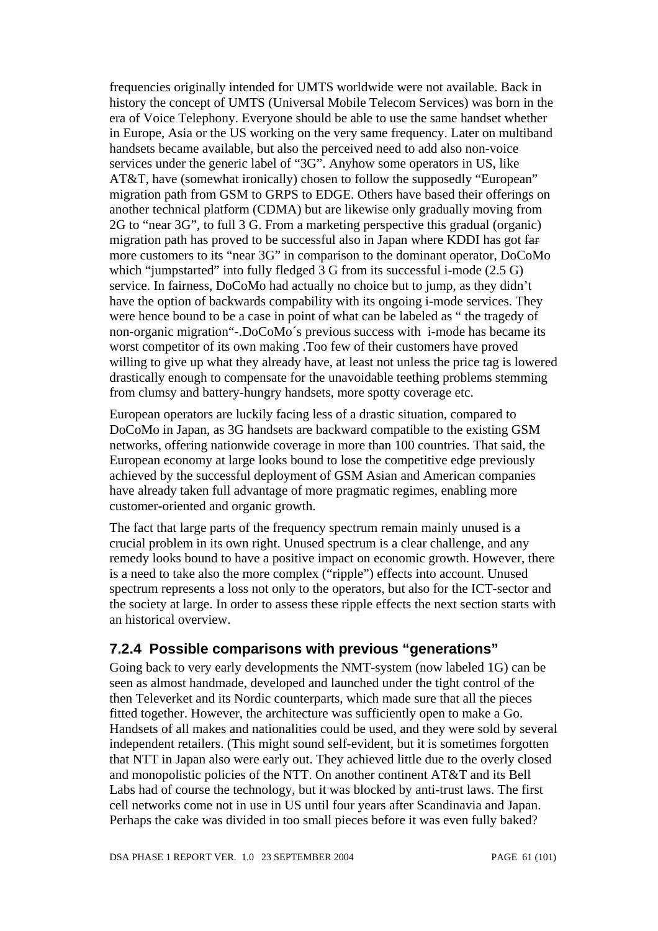frequencies originally intended for UMTS worldwide were not available. Back in history the concept of UMTS (Universal Mobile Telecom Services) was born in the era of Voice Telephony. Everyone should be able to use the same handset whether in Europe, Asia or the US working on the very same frequency. Later on multiband handsets became available, but also the perceived need to add also non-voice services under the generic label of "3G". Anyhow some operators in US, like AT&T, have (somewhat ironically) chosen to follow the supposedly "European" migration path from GSM to GRPS to EDGE. Others have based their offerings on another technical platform (CDMA) but are likewise only gradually moving from 2G to "near 3G", to full 3 G. From a marketing perspective this gradual (organic) migration path has proved to be successful also in Japan where KDDI has got far more customers to its "near 3G" in comparison to the dominant operator, DoCoMo which "jumpstarted" into fully fledged 3 G from its successful i-mode (2.5 G) service. In fairness, DoCoMo had actually no choice but to jump, as they didn't have the option of backwards compability with its ongoing i-mode services. They were hence bound to be a case in point of what can be labeled as " the tragedy of non-organic migration"-.DoCoMo´s previous success with i-mode has became its worst competitor of its own making .Too few of their customers have proved willing to give up what they already have, at least not unless the price tag is lowered drastically enough to compensate for the unavoidable teething problems stemming from clumsy and battery-hungry handsets, more spotty coverage etc.

European operators are luckily facing less of a drastic situation, compared to DoCoMo in Japan, as 3G handsets are backward compatible to the existing GSM networks, offering nationwide coverage in more than 100 countries. That said, the European economy at large looks bound to lose the competitive edge previously achieved by the successful deployment of GSM Asian and American companies have already taken full advantage of more pragmatic regimes, enabling more customer-oriented and organic growth.

The fact that large parts of the frequency spectrum remain mainly unused is a crucial problem in its own right. Unused spectrum is a clear challenge, and any remedy looks bound to have a positive impact on economic growth. However, there is a need to take also the more complex ("ripple") effects into account. Unused spectrum represents a loss not only to the operators, but also for the ICT-sector and the society at large. In order to assess these ripple effects the next section starts with an historical overview.

#### **7.2.4 Possible comparisons with previous "generations"**

Going back to very early developments the NMT-system (now labeled 1G) can be seen as almost handmade, developed and launched under the tight control of the then Televerket and its Nordic counterparts, which made sure that all the pieces fitted together. However, the architecture was sufficiently open to make a Go. Handsets of all makes and nationalities could be used, and they were sold by several independent retailers. (This might sound self-evident, but it is sometimes forgotten that NTT in Japan also were early out. They achieved little due to the overly closed and monopolistic policies of the NTT. On another continent AT&T and its Bell Labs had of course the technology, but it was blocked by anti-trust laws. The first cell networks come not in use in US until four years after Scandinavia and Japan. Perhaps the cake was divided in too small pieces before it was even fully baked?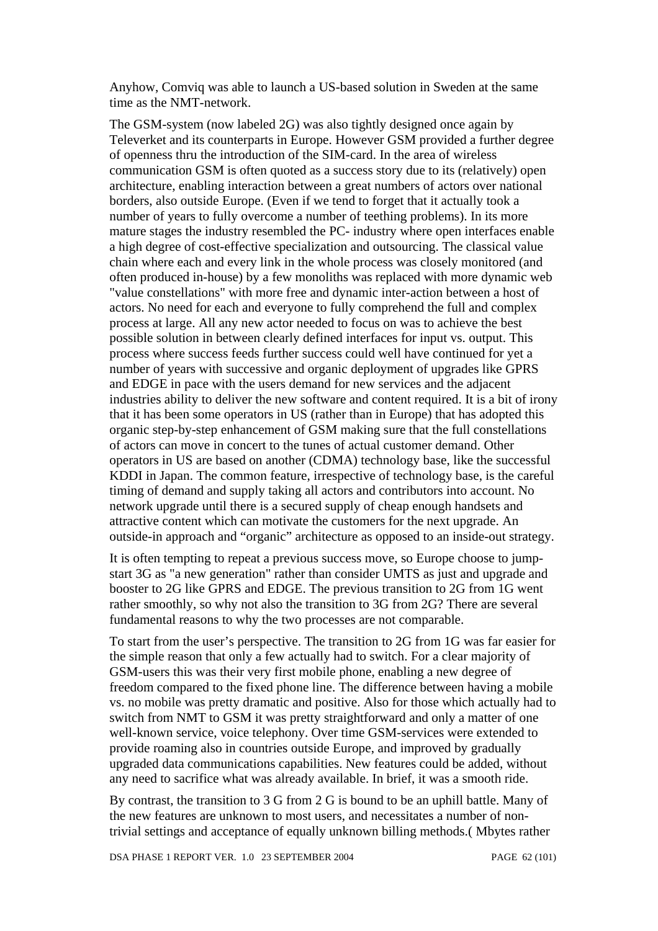Anyhow, Comviq was able to launch a US-based solution in Sweden at the same time as the NMT-network.

The GSM-system (now labeled 2G) was also tightly designed once again by Televerket and its counterparts in Europe. However GSM provided a further degree of openness thru the introduction of the SIM-card. In the area of wireless communication GSM is often quoted as a success story due to its (relatively) open architecture, enabling interaction between a great numbers of actors over national borders, also outside Europe. (Even if we tend to forget that it actually took a number of years to fully overcome a number of teething problems). In its more mature stages the industry resembled the PC- industry where open interfaces enable a high degree of cost-effective specialization and outsourcing. The classical value chain where each and every link in the whole process was closely monitored (and often produced in-house) by a few monoliths was replaced with more dynamic web "value constellations" with more free and dynamic inter-action between a host of actors. No need for each and everyone to fully comprehend the full and complex process at large. All any new actor needed to focus on was to achieve the best possible solution in between clearly defined interfaces for input vs. output. This process where success feeds further success could well have continued for yet a number of years with successive and organic deployment of upgrades like GPRS and EDGE in pace with the users demand for new services and the adjacent industries ability to deliver the new software and content required. It is a bit of irony that it has been some operators in US (rather than in Europe) that has adopted this organic step-by-step enhancement of GSM making sure that the full constellations of actors can move in concert to the tunes of actual customer demand. Other operators in US are based on another (CDMA) technology base, like the successful KDDI in Japan. The common feature, irrespective of technology base, is the careful timing of demand and supply taking all actors and contributors into account. No network upgrade until there is a secured supply of cheap enough handsets and attractive content which can motivate the customers for the next upgrade. An outside-in approach and "organic" architecture as opposed to an inside-out strategy.

It is often tempting to repeat a previous success move, so Europe choose to jumpstart 3G as "a new generation" rather than consider UMTS as just and upgrade and booster to 2G like GPRS and EDGE. The previous transition to 2G from 1G went rather smoothly, so why not also the transition to 3G from 2G? There are several fundamental reasons to why the two processes are not comparable.

To start from the user's perspective. The transition to 2G from 1G was far easier for the simple reason that only a few actually had to switch. For a clear majority of GSM-users this was their very first mobile phone, enabling a new degree of freedom compared to the fixed phone line. The difference between having a mobile vs. no mobile was pretty dramatic and positive. Also for those which actually had to switch from NMT to GSM it was pretty straightforward and only a matter of one well-known service, voice telephony. Over time GSM-services were extended to provide roaming also in countries outside Europe, and improved by gradually upgraded data communications capabilities. New features could be added, without any need to sacrifice what was already available. In brief, it was a smooth ride.

By contrast, the transition to 3 G from 2 G is bound to be an uphill battle. Many of the new features are unknown to most users, and necessitates a number of nontrivial settings and acceptance of equally unknown billing methods.( Mbytes rather

DSA PHASE 1 REPORT VER. 1.0 23 SEPTEMBER 2004 PAGE 62 (101)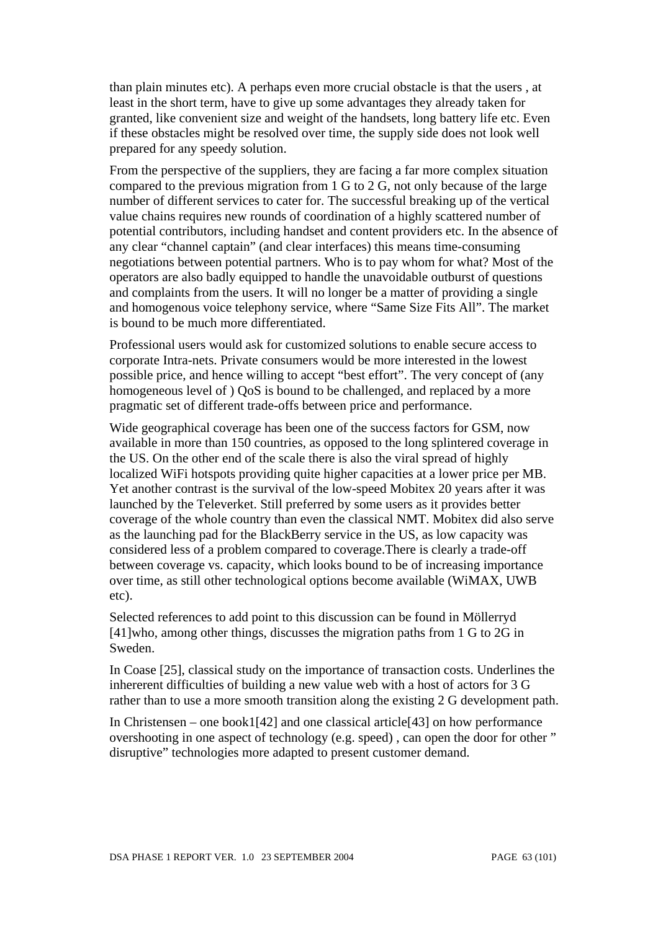than plain minutes etc). A perhaps even more crucial obstacle is that the users , at least in the short term, have to give up some advantages they already taken for granted, like convenient size and weight of the handsets, long battery life etc. Even if these obstacles might be resolved over time, the supply side does not look well prepared for any speedy solution.

From the perspective of the suppliers, they are facing a far more complex situation compared to the previous migration from 1 G to 2 G, not only because of the large number of different services to cater for. The successful breaking up of the vertical value chains requires new rounds of coordination of a highly scattered number of potential contributors, including handset and content providers etc. In the absence of any clear "channel captain" (and clear interfaces) this means time-consuming negotiations between potential partners. Who is to pay whom for what? Most of the operators are also badly equipped to handle the unavoidable outburst of questions and complaints from the users. It will no longer be a matter of providing a single and homogenous voice telephony service, where "Same Size Fits All". The market is bound to be much more differentiated.

Professional users would ask for customized solutions to enable secure access to corporate Intra-nets. Private consumers would be more interested in the lowest possible price, and hence willing to accept "best effort". The very concept of (any homogeneous level of ) QoS is bound to be challenged, and replaced by a more pragmatic set of different trade-offs between price and performance.

Wide geographical coverage has been one of the success factors for GSM, now available in more than 150 countries, as opposed to the long splintered coverage in the US. On the other end of the scale there is also the viral spread of highly localized WiFi hotspots providing quite higher capacities at a lower price per MB. Yet another contrast is the survival of the low-speed Mobitex 20 years after it was launched by the Televerket. Still preferred by some users as it provides better coverage of the whole country than even the classical NMT. Mobitex did also serve as the launching pad for the BlackBerry service in the US, as low capacity was considered less of a problem compared to coverage.There is clearly a trade-off between coverage vs. capacity, which looks bound to be of increasing importance over time, as still other technological options become available (WiMAX, UWB etc).

Selected references to add point to this discussion can be found in Möllerryd [41]who, among other things, discusses the migration paths from 1 G to 2G in Sweden.

In Coase [25], classical study on the importance of transaction costs. Underlines the inhererent difficulties of building a new value web with a host of actors for 3 G rather than to use a more smooth transition along the existing 2 G development path.

In Christensen – one book1[42] and one classical article<sup>[43]</sup> on how performance overshooting in one aspect of technology (e.g. speed) , can open the door for other " disruptive" technologies more adapted to present customer demand.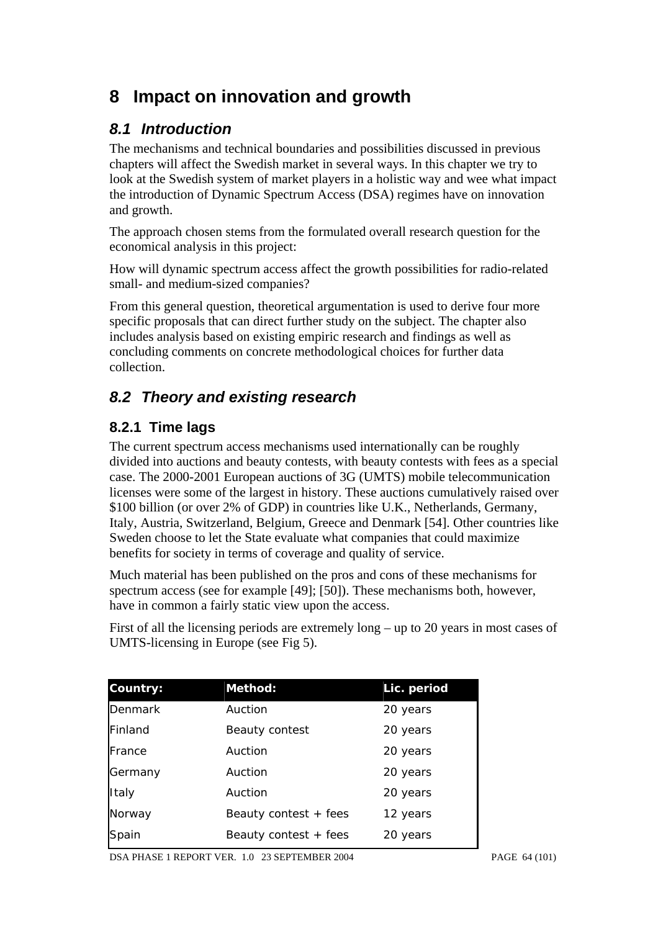# **8 Impact on innovation and growth**

## *8.1 Introduction*

The mechanisms and technical boundaries and possibilities discussed in previous chapters will affect the Swedish market in several ways. In this chapter we try to look at the Swedish system of market players in a holistic way and wee what impact the introduction of Dynamic Spectrum Access (DSA) regimes have on innovation and growth.

The approach chosen stems from the formulated overall research question for the economical analysis in this project:

How will dynamic spectrum access affect the growth possibilities for radio-related small- and medium-sized companies?

From this general question, theoretical argumentation is used to derive four more specific proposals that can direct further study on the subject. The chapter also includes analysis based on existing empiric research and findings as well as concluding comments on concrete methodological choices for further data collection.

# *8.2 Theory and existing research*

### **8.2.1 Time lags**

The current spectrum access mechanisms used internationally can be roughly divided into auctions and beauty contests, with beauty contests with fees as a special case. The 2000-2001 European auctions of 3G (UMTS) mobile telecommunication licenses were some of the largest in history. These auctions cumulatively raised over \$100 billion (or over 2% of GDP) in countries like U.K., Netherlands, Germany, Italy, Austria, Switzerland, Belgium, Greece and Denmark [54]. Other countries like Sweden choose to let the State evaluate what companies that could maximize benefits for society in terms of coverage and quality of service.

Much material has been published on the pros and cons of these mechanisms for spectrum access (see for example [49]; [50]). These mechanisms both, however, have in common a fairly static view upon the access.

First of all the licensing periods are extremely long – up to 20 years in most cases of UMTS-licensing in Europe (see Fig 5).

| Country: | Method:                 | Lic. period |
|----------|-------------------------|-------------|
| Denmark  | Auction                 | 20 years    |
| Finland  | Beauty contest          | 20 years    |
| France   | Auction                 | 20 years    |
| Germany  | Auction                 | 20 years    |
| Italy    | Auction                 | 20 years    |
| Norway   | Beauty contest $+$ fees | 12 years    |
| Spain    | Beauty contest $+$ fees | 20 years    |

DSA PHASE 1 REPORT VER. 1.0 23 SEPTEMBER 2004 PAGE 64 (101)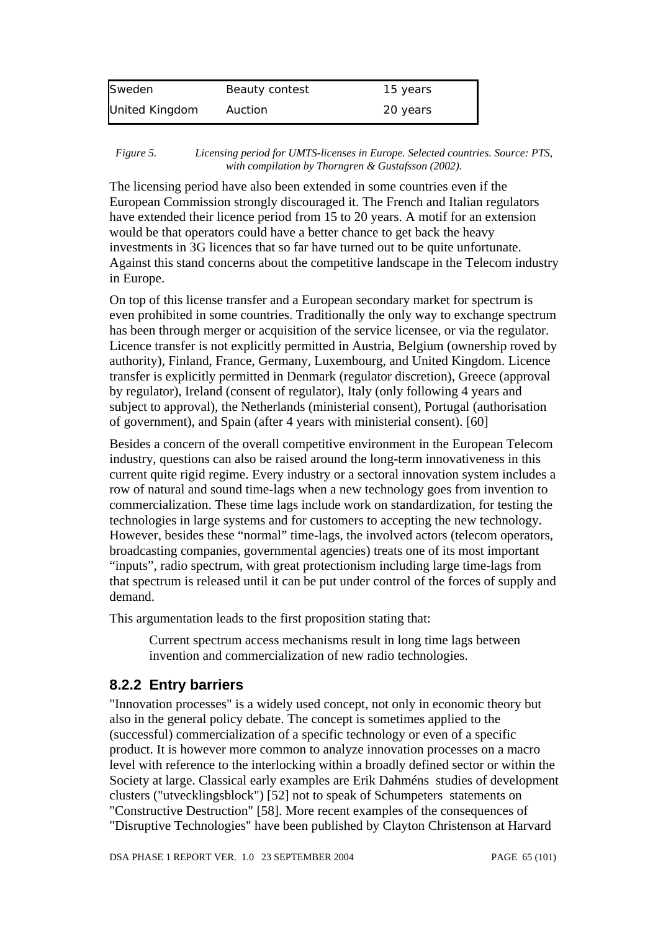| Sweden                | Beauty contest | 15 years |
|-----------------------|----------------|----------|
| <b>United Kingdom</b> | Auction        | 20 years |

*Figure 5. Licensing period for UMTS-licenses in Europe. Selected countries. Source: PTS, with compilation by Thorngren & Gustafsson (2002).* 

The licensing period have also been extended in some countries even if the European Commission strongly discouraged it. The French and Italian regulators have extended their licence period from 15 to 20 years. A motif for an extension would be that operators could have a better chance to get back the heavy investments in 3G licences that so far have turned out to be quite unfortunate. Against this stand concerns about the competitive landscape in the Telecom industry in Europe.

On top of this license transfer and a European secondary market for spectrum is even prohibited in some countries. Traditionally the only way to exchange spectrum has been through merger or acquisition of the service licensee, or via the regulator. Licence transfer is not explicitly permitted in Austria, Belgium (ownership roved by authority), Finland, France, Germany, Luxembourg, and United Kingdom. Licence transfer is explicitly permitted in Denmark (regulator discretion), Greece (approval by regulator), Ireland (consent of regulator), Italy (only following 4 years and subject to approval), the Netherlands (ministerial consent), Portugal (authorisation of government), and Spain (after 4 years with ministerial consent). [60]

Besides a concern of the overall competitive environment in the European Telecom industry, questions can also be raised around the long-term innovativeness in this current quite rigid regime. Every industry or a sectoral innovation system includes a row of natural and sound time-lags when a new technology goes from invention to commercialization. These time lags include work on standardization, for testing the technologies in large systems and for customers to accepting the new technology. However, besides these "normal" time-lags, the involved actors (telecom operators, broadcasting companies, governmental agencies) treats one of its most important "inputs", radio spectrum, with great protectionism including large time-lags from that spectrum is released until it can be put under control of the forces of supply and demand.

This argumentation leads to the first proposition stating that:

Current spectrum access mechanisms result in long time lags between invention and commercialization of new radio technologies.

#### **8.2.2 Entry barriers**

"Innovation processes" is a widely used concept, not only in economic theory but also in the general policy debate. The concept is sometimes applied to the (successful) commercialization of a specific technology or even of a specific product. It is however more common to analyze innovation processes on a macro level with reference to the interlocking within a broadly defined sector or within the Society at large. Classical early examples are Erik Dahméns studies of development clusters ("utvecklingsblock") [52] not to speak of Schumpeters statements on "Constructive Destruction" [58]. More recent examples of the consequences of "Disruptive Technologies" have been published by Clayton Christenson at Harvard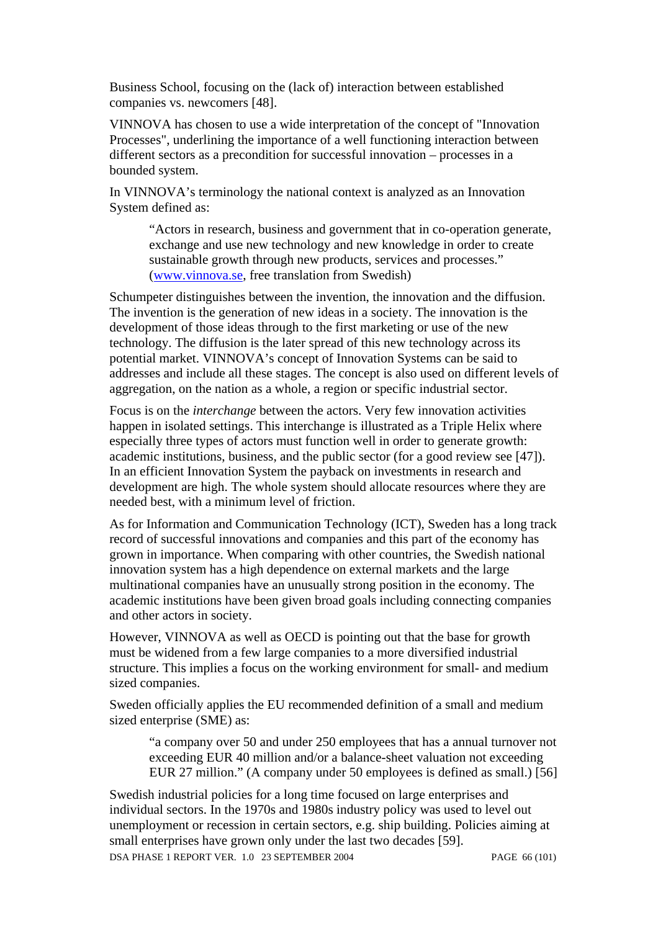Business School, focusing on the (lack of) interaction between established companies vs. newcomers [48].

VINNOVA has chosen to use a wide interpretation of the concept of "Innovation Processes", underlining the importance of a well functioning interaction between different sectors as a precondition for successful innovation – processes in a bounded system.

In VINNOVA's terminology the national context is analyzed as an Innovation System defined as:

"Actors in research, business and government that in co-operation generate, exchange and use new technology and new knowledge in order to create sustainable growth through new products, services and processes." (www.vinnova.se, free translation from Swedish)

Schumpeter distinguishes between the invention, the innovation and the diffusion. The invention is the generation of new ideas in a society. The innovation is the development of those ideas through to the first marketing or use of the new technology. The diffusion is the later spread of this new technology across its potential market. VINNOVA's concept of Innovation Systems can be said to addresses and include all these stages. The concept is also used on different levels of aggregation, on the nation as a whole, a region or specific industrial sector.

Focus is on the *interchange* between the actors. Very few innovation activities happen in isolated settings. This interchange is illustrated as a Triple Helix where especially three types of actors must function well in order to generate growth: academic institutions, business, and the public sector (for a good review see [47]). In an efficient Innovation System the payback on investments in research and development are high. The whole system should allocate resources where they are needed best, with a minimum level of friction.

As for Information and Communication Technology (ICT), Sweden has a long track record of successful innovations and companies and this part of the economy has grown in importance. When comparing with other countries, the Swedish national innovation system has a high dependence on external markets and the large multinational companies have an unusually strong position in the economy. The academic institutions have been given broad goals including connecting companies and other actors in society.

However, VINNOVA as well as OECD is pointing out that the base for growth must be widened from a few large companies to a more diversified industrial structure. This implies a focus on the working environment for small- and medium sized companies.

Sweden officially applies the EU recommended definition of a small and medium sized enterprise (SME) as:

"a company over 50 and under 250 employees that has a annual turnover not exceeding EUR 40 million and/or a balance-sheet valuation not exceeding EUR 27 million." (A company under 50 employees is defined as small.) [56]

DSA PHASE 1 REPORT VER. 1.0 23 SEPTEMBER 2004 PAGE 66 (101) Swedish industrial policies for a long time focused on large enterprises and individual sectors. In the 1970s and 1980s industry policy was used to level out unemployment or recession in certain sectors, e.g. ship building. Policies aiming at small enterprises have grown only under the last two decades [59].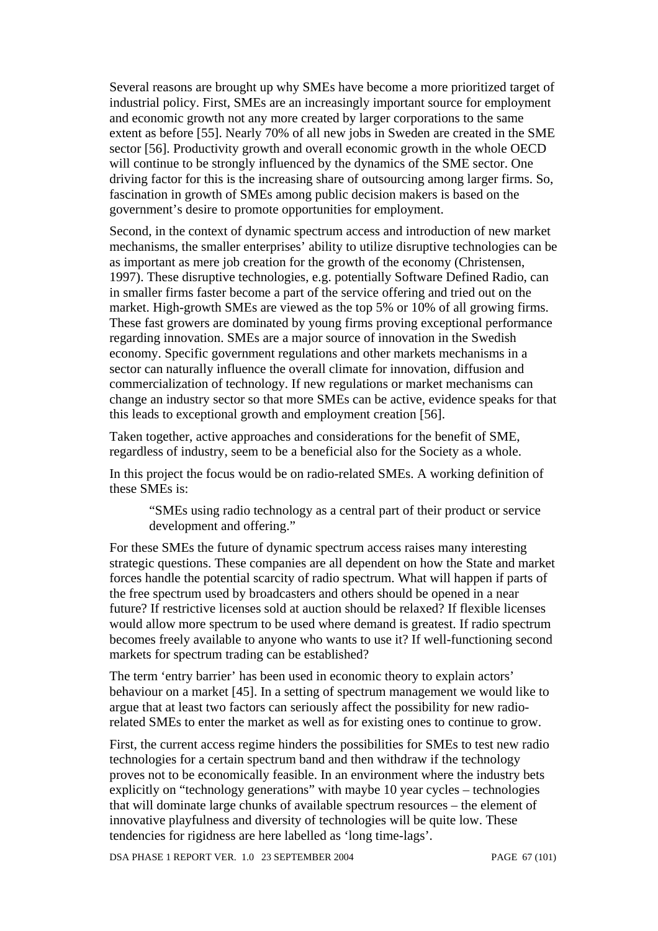Several reasons are brought up why SMEs have become a more prioritized target of industrial policy. First, SMEs are an increasingly important source for employment and economic growth not any more created by larger corporations to the same extent as before [55]. Nearly 70% of all new jobs in Sweden are created in the SME sector [56]. Productivity growth and overall economic growth in the whole OECD will continue to be strongly influenced by the dynamics of the SME sector. One driving factor for this is the increasing share of outsourcing among larger firms. So, fascination in growth of SMEs among public decision makers is based on the government's desire to promote opportunities for employment.

Second, in the context of dynamic spectrum access and introduction of new market mechanisms, the smaller enterprises' ability to utilize disruptive technologies can be as important as mere job creation for the growth of the economy (Christensen, 1997). These disruptive technologies, e.g. potentially Software Defined Radio, can in smaller firms faster become a part of the service offering and tried out on the market. High-growth SMEs are viewed as the top 5% or 10% of all growing firms. These fast growers are dominated by young firms proving exceptional performance regarding innovation. SMEs are a major source of innovation in the Swedish economy. Specific government regulations and other markets mechanisms in a sector can naturally influence the overall climate for innovation, diffusion and commercialization of technology. If new regulations or market mechanisms can change an industry sector so that more SMEs can be active, evidence speaks for that this leads to exceptional growth and employment creation [56].

Taken together, active approaches and considerations for the benefit of SME, regardless of industry, seem to be a beneficial also for the Society as a whole.

In this project the focus would be on radio-related SMEs. A working definition of these SMEs is:

"SMEs using radio technology as a central part of their product or service development and offering."

For these SMEs the future of dynamic spectrum access raises many interesting strategic questions. These companies are all dependent on how the State and market forces handle the potential scarcity of radio spectrum. What will happen if parts of the free spectrum used by broadcasters and others should be opened in a near future? If restrictive licenses sold at auction should be relaxed? If flexible licenses would allow more spectrum to be used where demand is greatest. If radio spectrum becomes freely available to anyone who wants to use it? If well-functioning second markets for spectrum trading can be established?

The term 'entry barrier' has been used in economic theory to explain actors' behaviour on a market [45]. In a setting of spectrum management we would like to argue that at least two factors can seriously affect the possibility for new radiorelated SMEs to enter the market as well as for existing ones to continue to grow.

First, the current access regime hinders the possibilities for SMEs to test new radio technologies for a certain spectrum band and then withdraw if the technology proves not to be economically feasible. In an environment where the industry bets explicitly on "technology generations" with maybe 10 year cycles – technologies that will dominate large chunks of available spectrum resources – the element of innovative playfulness and diversity of technologies will be quite low. These tendencies for rigidness are here labelled as 'long time-lags'.

DSA PHASE 1 REPORT VER. 1.0 23 SEPTEMBER 2004 PAGE 67 (101)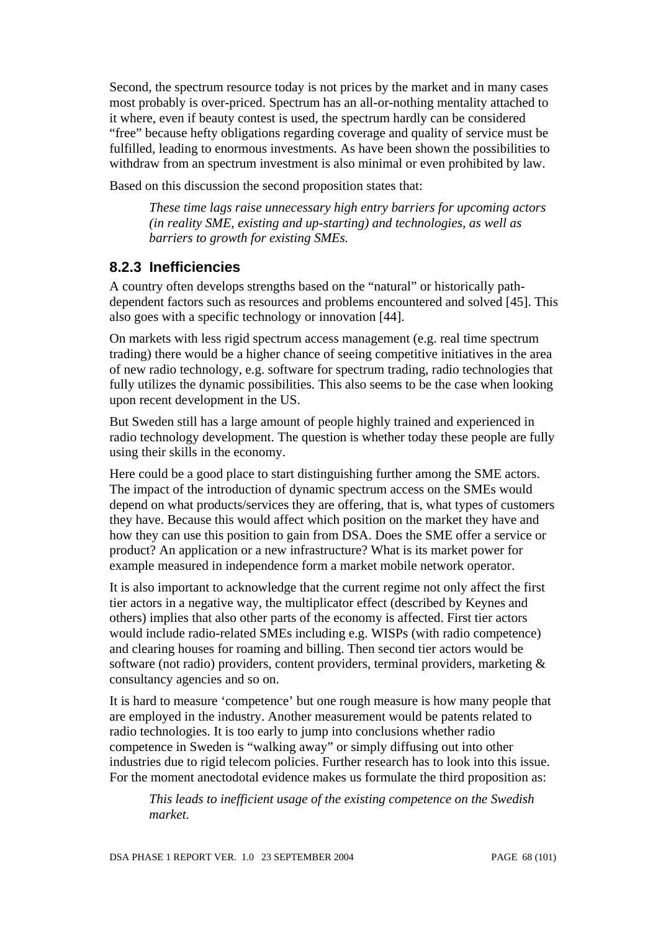Second, the spectrum resource today is not prices by the market and in many cases most probably is over-priced. Spectrum has an all-or-nothing mentality attached to it where, even if beauty contest is used, the spectrum hardly can be considered "free" because hefty obligations regarding coverage and quality of service must be fulfilled, leading to enormous investments. As have been shown the possibilities to withdraw from an spectrum investment is also minimal or even prohibited by law.

Based on this discussion the second proposition states that:

*These time lags raise unnecessary high entry barriers for upcoming actors (in reality SME, existing and up-starting) and technologies, as well as barriers to growth for existing SMEs.* 

#### **8.2.3 Inefficiencies**

A country often develops strengths based on the "natural" or historically pathdependent factors such as resources and problems encountered and solved [45]. This also goes with a specific technology or innovation [44].

On markets with less rigid spectrum access management (e.g. real time spectrum trading) there would be a higher chance of seeing competitive initiatives in the area of new radio technology, e.g. software for spectrum trading, radio technologies that fully utilizes the dynamic possibilities. This also seems to be the case when looking upon recent development in the US.

But Sweden still has a large amount of people highly trained and experienced in radio technology development. The question is whether today these people are fully using their skills in the economy.

Here could be a good place to start distinguishing further among the SME actors. The impact of the introduction of dynamic spectrum access on the SMEs would depend on what products/services they are offering, that is, what types of customers they have. Because this would affect which position on the market they have and how they can use this position to gain from DSA. Does the SME offer a service or product? An application or a new infrastructure? What is its market power for example measured in independence form a market mobile network operator.

It is also important to acknowledge that the current regime not only affect the first tier actors in a negative way, the multiplicator effect (described by Keynes and others) implies that also other parts of the economy is affected. First tier actors would include radio-related SMEs including e.g. WISPs (with radio competence) and clearing houses for roaming and billing. Then second tier actors would be software (not radio) providers, content providers, terminal providers, marketing & consultancy agencies and so on.

It is hard to measure 'competence' but one rough measure is how many people that are employed in the industry. Another measurement would be patents related to radio technologies. It is too early to jump into conclusions whether radio competence in Sweden is "walking away" or simply diffusing out into other industries due to rigid telecom policies. Further research has to look into this issue. For the moment anectodotal evidence makes us formulate the third proposition as:

*This leads to inefficient usage of the existing competence on the Swedish market.*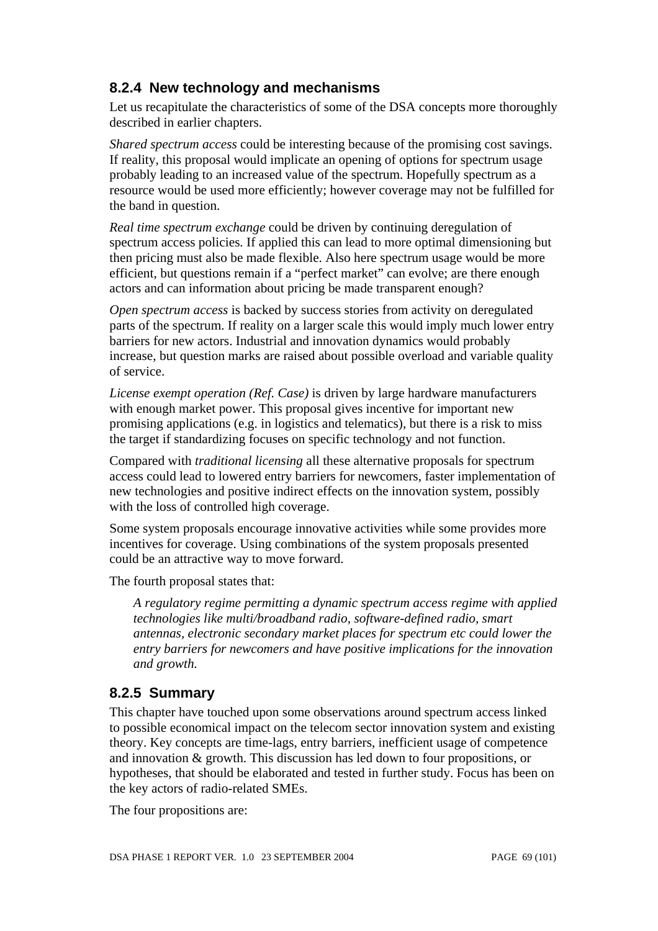#### **8.2.4 New technology and mechanisms**

Let us recapitulate the characteristics of some of the DSA concepts more thoroughly described in earlier chapters.

*Shared spectrum access* could be interesting because of the promising cost savings. If reality, this proposal would implicate an opening of options for spectrum usage probably leading to an increased value of the spectrum. Hopefully spectrum as a resource would be used more efficiently; however coverage may not be fulfilled for the band in question.

*Real time spectrum exchange* could be driven by continuing deregulation of spectrum access policies. If applied this can lead to more optimal dimensioning but then pricing must also be made flexible. Also here spectrum usage would be more efficient, but questions remain if a "perfect market" can evolve; are there enough actors and can information about pricing be made transparent enough?

*Open spectrum access* is backed by success stories from activity on deregulated parts of the spectrum. If reality on a larger scale this would imply much lower entry barriers for new actors. Industrial and innovation dynamics would probably increase, but question marks are raised about possible overload and variable quality of service.

*License exempt operation (Ref. Case)* is driven by large hardware manufacturers with enough market power. This proposal gives incentive for important new promising applications (e.g. in logistics and telematics), but there is a risk to miss the target if standardizing focuses on specific technology and not function.

Compared with *traditional licensing* all these alternative proposals for spectrum access could lead to lowered entry barriers for newcomers, faster implementation of new technologies and positive indirect effects on the innovation system, possibly with the loss of controlled high coverage.

Some system proposals encourage innovative activities while some provides more incentives for coverage. Using combinations of the system proposals presented could be an attractive way to move forward.

The fourth proposal states that:

*A regulatory regime permitting a dynamic spectrum access regime with applied technologies like multi/broadband radio, software-defined radio, smart antennas, electronic secondary market places for spectrum etc could lower the entry barriers for newcomers and have positive implications for the innovation and growth.*

#### **8.2.5 Summary**

This chapter have touched upon some observations around spectrum access linked to possible economical impact on the telecom sector innovation system and existing theory. Key concepts are time-lags, entry barriers, inefficient usage of competence and innovation & growth. This discussion has led down to four propositions, or hypotheses, that should be elaborated and tested in further study. Focus has been on the key actors of radio-related SMEs.

The four propositions are: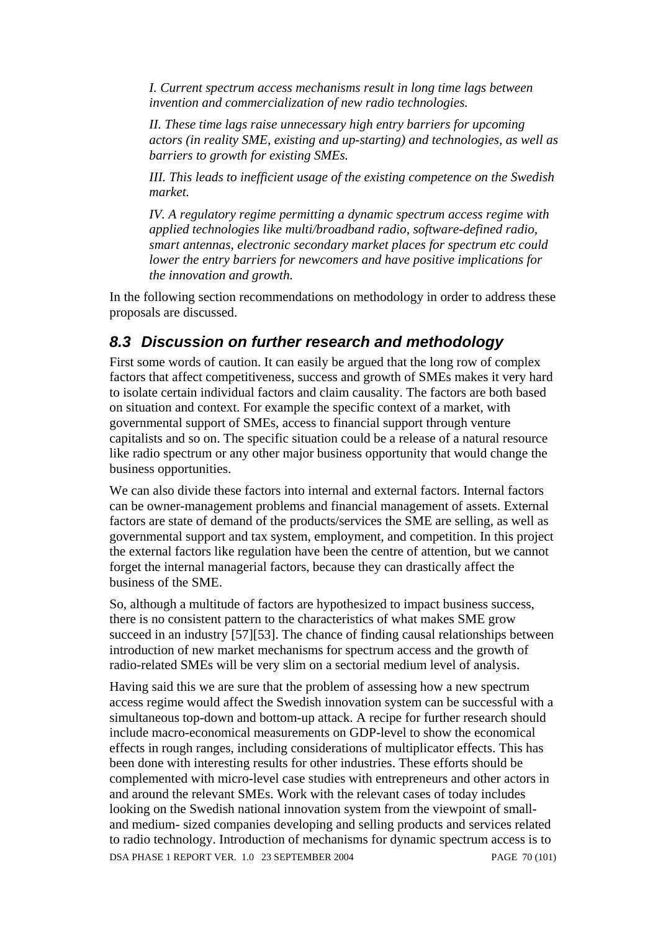*I. Current spectrum access mechanisms result in long time lags between invention and commercialization of new radio technologies.* 

*II. These time lags raise unnecessary high entry barriers for upcoming actors (in reality SME, existing and up-starting) and technologies, as well as barriers to growth for existing SMEs.*

*III. This leads to inefficient usage of the existing competence on the Swedish market.*

*IV. A regulatory regime permitting a dynamic spectrum access regime with applied technologies like multi/broadband radio, software-defined radio, smart antennas, electronic secondary market places for spectrum etc could lower the entry barriers for newcomers and have positive implications for the innovation and growth.*

In the following section recommendations on methodology in order to address these proposals are discussed.

#### *8.3 Discussion on further research and methodology*

First some words of caution. It can easily be argued that the long row of complex factors that affect competitiveness, success and growth of SMEs makes it very hard to isolate certain individual factors and claim causality. The factors are both based on situation and context. For example the specific context of a market, with governmental support of SMEs, access to financial support through venture capitalists and so on. The specific situation could be a release of a natural resource like radio spectrum or any other major business opportunity that would change the business opportunities.

We can also divide these factors into internal and external factors. Internal factors can be owner-management problems and financial management of assets. External factors are state of demand of the products/services the SME are selling, as well as governmental support and tax system, employment, and competition. In this project the external factors like regulation have been the centre of attention, but we cannot forget the internal managerial factors, because they can drastically affect the business of the SME.

So, although a multitude of factors are hypothesized to impact business success, there is no consistent pattern to the characteristics of what makes SME grow succeed in an industry [57][53]. The chance of finding causal relationships between introduction of new market mechanisms for spectrum access and the growth of radio-related SMEs will be very slim on a sectorial medium level of analysis.

DSA PHASE 1 REPORT VER. 1.0 23 SEPTEMBER 2004 PAGE 70 (101) Having said this we are sure that the problem of assessing how a new spectrum access regime would affect the Swedish innovation system can be successful with a simultaneous top-down and bottom-up attack. A recipe for further research should include macro-economical measurements on GDP-level to show the economical effects in rough ranges, including considerations of multiplicator effects. This has been done with interesting results for other industries. These efforts should be complemented with micro-level case studies with entrepreneurs and other actors in and around the relevant SMEs. Work with the relevant cases of today includes looking on the Swedish national innovation system from the viewpoint of smalland medium- sized companies developing and selling products and services related to radio technology. Introduction of mechanisms for dynamic spectrum access is to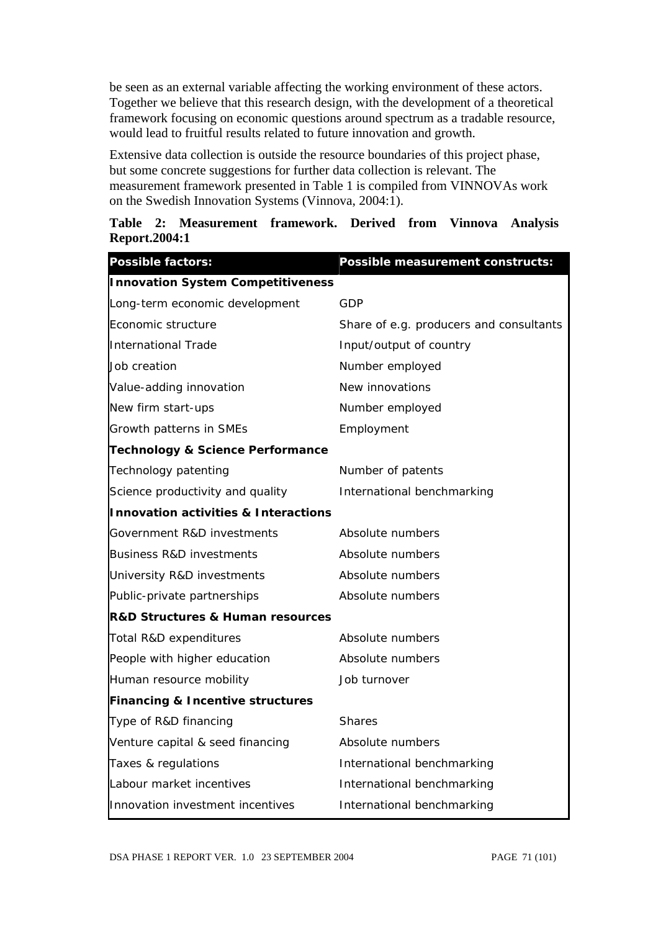be seen as an external variable affecting the working environment of these actors. Together we believe that this research design, with the development of a theoretical framework focusing on economic questions around spectrum as a tradable resource, would lead to fruitful results related to future innovation and growth.

Extensive data collection is outside the resource boundaries of this project phase, but some concrete suggestions for further data collection is relevant. The measurement framework presented in Table 1 is compiled from VINNOVAs work on the Swedish Innovation Systems (Vinnova, 2004:1).

| <b>Possible factors:</b>                        | Possible measurement constructs:        |
|-------------------------------------------------|-----------------------------------------|
| <b>Innovation System Competitiveness</b>        |                                         |
| Long-term economic development                  | GDP                                     |
| Economic structure                              | Share of e.g. producers and consultants |
| International Trade                             | Input/output of country                 |
| Job creation                                    | Number employed                         |
| Value-adding innovation                         | New innovations                         |
| New firm start-ups                              | Number employed                         |
| Growth patterns in SMEs                         | Employment                              |
| Technology & Science Performance                |                                         |
| Technology patenting                            | Number of patents                       |
| Science productivity and quality                | International benchmarking              |
| Innovation activities & Interactions            |                                         |
| Government R&D investments                      | Absolute numbers                        |
| <b>Business R&amp;D investments</b>             | Absolute numbers                        |
| University R&D investments                      | Absolute numbers                        |
| Public-private partnerships                     | Absolute numbers                        |
| <b>R&amp;D Structures &amp; Human resources</b> |                                         |
| Total R&D expenditures                          | Absolute numbers                        |
| People with higher education                    | Absolute numbers                        |
| Human resource mobility                         | Job turnover                            |
| <b>Financing &amp; Incentive structures</b>     |                                         |
| Type of R&D financing                           | <b>Shares</b>                           |
| Venture capital & seed financing                | Absolute numbers                        |
| Taxes & regulations                             | International benchmarking              |
| Labour market incentives                        | International benchmarking              |
| Innovation investment incentives                | International benchmarking              |

**Table 2: Measurement framework. Derived from Vinnova Analysis Report.2004:1**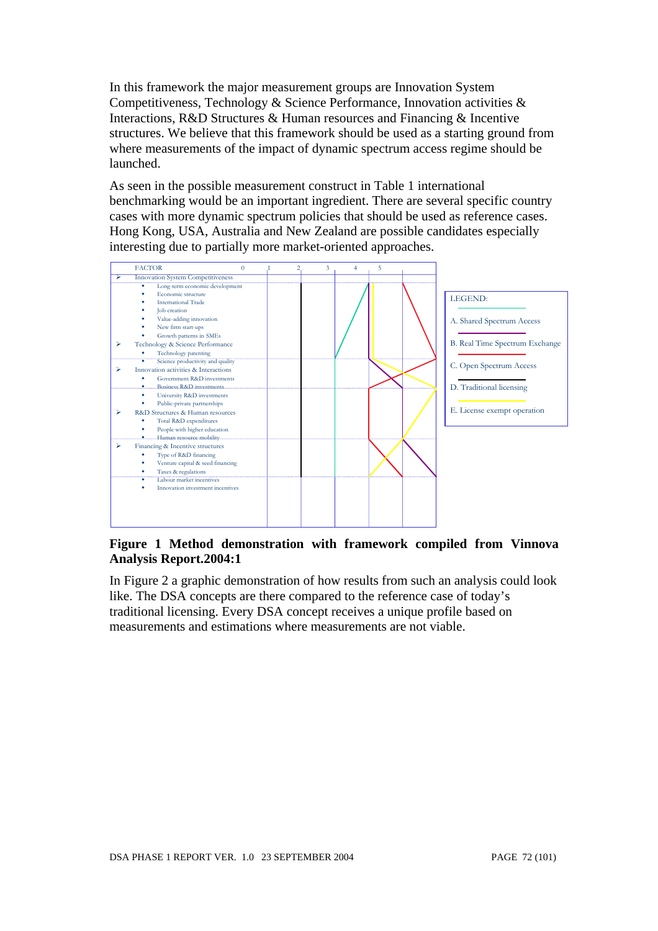In this framework the major measurement groups are Innovation System Competitiveness, Technology & Science Performance, Innovation activities & Interactions, R&D Structures & Human resources and Financing & Incentive structures. We believe that this framework should be used as a starting ground from where measurements of the impact of dynamic spectrum access regime should be launched.

As seen in the possible measurement construct in Table 1 international benchmarking would be an important ingredient. There are several specific country cases with more dynamic spectrum policies that should be used as reference cases. Hong Kong, USA, Australia and New Zealand are possible candidates especially interesting due to partially more market-oriented approaches.



#### **Figure 1 Method demonstration with framework compiled from Vinnova Analysis Report.2004:1**

In Figure 2 a graphic demonstration of how results from such an analysis could look like. The DSA concepts are there compared to the reference case of today's traditional licensing. Every DSA concept receives a unique profile based on measurements and estimations where measurements are not viable.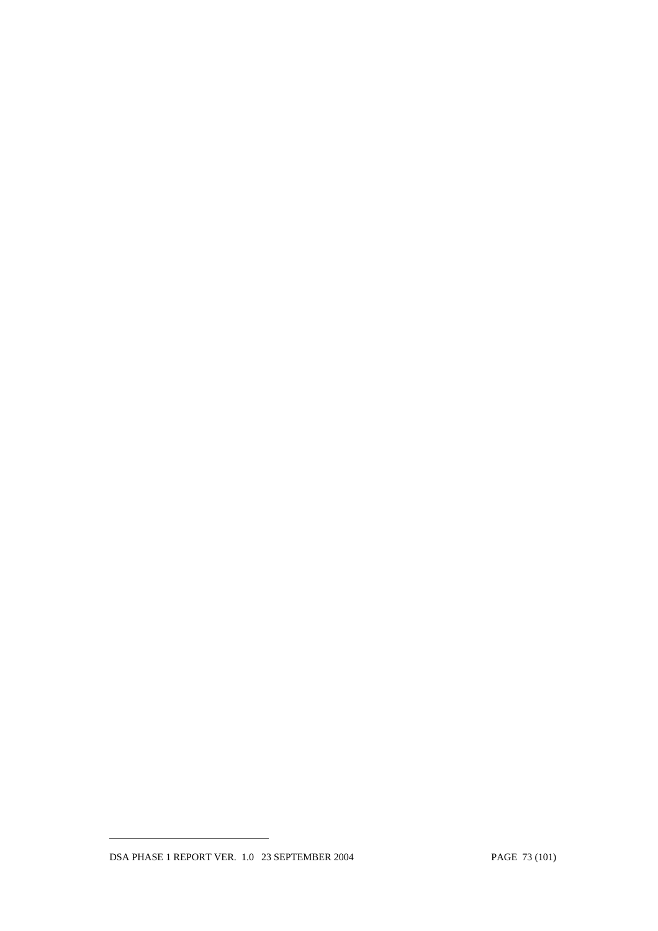$\overline{a}$ 

DSA PHASE 1 REPORT VER. 1.0 23 SEPTEMBER 2004 PAGE 73 (101)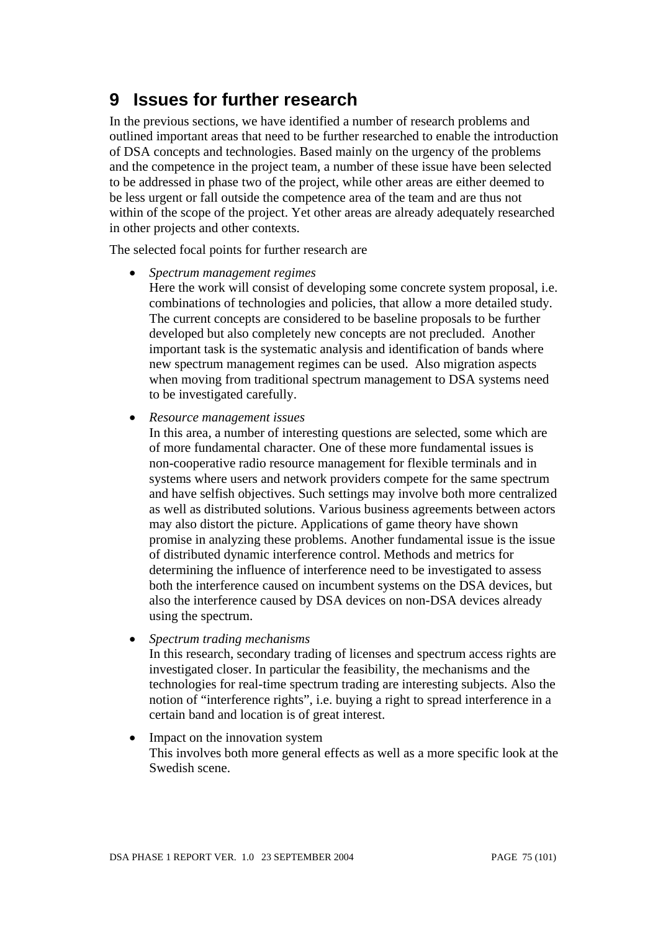# **9 Issues for further research**

In the previous sections, we have identified a number of research problems and outlined important areas that need to be further researched to enable the introduction of DSA concepts and technologies. Based mainly on the urgency of the problems and the competence in the project team, a number of these issue have been selected to be addressed in phase two of the project, while other areas are either deemed to be less urgent or fall outside the competence area of the team and are thus not within of the scope of the project. Yet other areas are already adequately researched in other projects and other contexts.

The selected focal points for further research are

• *Spectrum management regimes*

Here the work will consist of developing some concrete system proposal, i.e. combinations of technologies and policies, that allow a more detailed study. The current concepts are considered to be baseline proposals to be further developed but also completely new concepts are not precluded. Another important task is the systematic analysis and identification of bands where new spectrum management regimes can be used. Also migration aspects when moving from traditional spectrum management to DSA systems need to be investigated carefully.

• *Resource management issues*

In this area, a number of interesting questions are selected, some which are of more fundamental character. One of these more fundamental issues is non-cooperative radio resource management for flexible terminals and in systems where users and network providers compete for the same spectrum and have selfish objectives. Such settings may involve both more centralized as well as distributed solutions. Various business agreements between actors may also distort the picture. Applications of game theory have shown promise in analyzing these problems. Another fundamental issue is the issue of distributed dynamic interference control. Methods and metrics for determining the influence of interference need to be investigated to assess both the interference caused on incumbent systems on the DSA devices, but also the interference caused by DSA devices on non-DSA devices already using the spectrum.

• *Spectrum trading mechanisms*

In this research, secondary trading of licenses and spectrum access rights are investigated closer. In particular the feasibility, the mechanisms and the technologies for real-time spectrum trading are interesting subjects. Also the notion of "interference rights", i.e. buying a right to spread interference in a certain band and location is of great interest.

• Impact on the innovation system This involves both more general effects as well as a more specific look at the Swedish scene.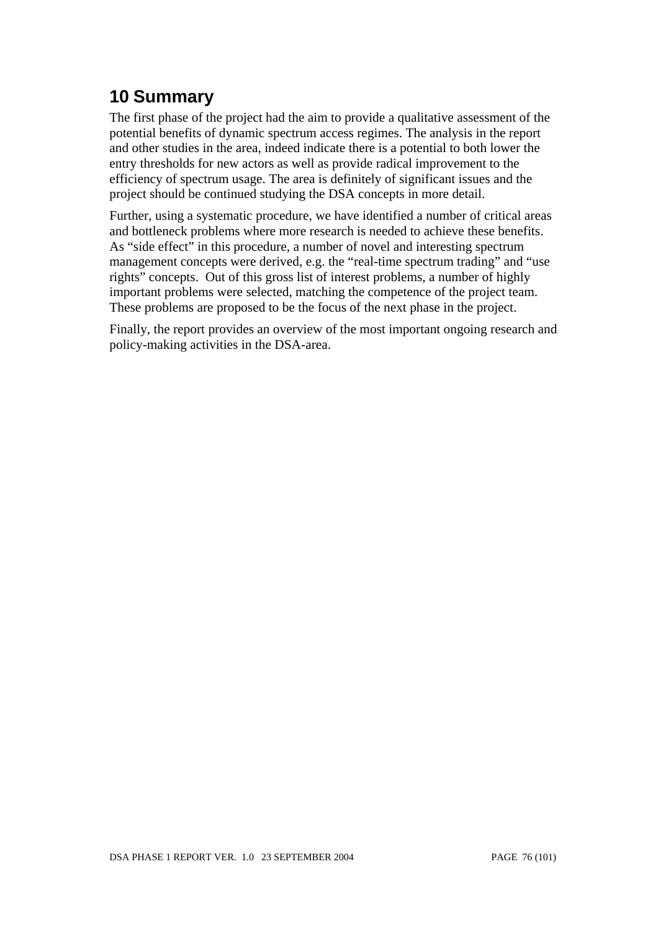# **10 Summary**

The first phase of the project had the aim to provide a qualitative assessment of the potential benefits of dynamic spectrum access regimes. The analysis in the report and other studies in the area, indeed indicate there is a potential to both lower the entry thresholds for new actors as well as provide radical improvement to the efficiency of spectrum usage. The area is definitely of significant issues and the project should be continued studying the DSA concepts in more detail.

Further, using a systematic procedure, we have identified a number of critical areas and bottleneck problems where more research is needed to achieve these benefits. As "side effect" in this procedure, a number of novel and interesting spectrum management concepts were derived, e.g. the "real-time spectrum trading" and "use rights" concepts. Out of this gross list of interest problems, a number of highly important problems were selected, matching the competence of the project team. These problems are proposed to be the focus of the next phase in the project.

Finally, the report provides an overview of the most important ongoing research and policy-making activities in the DSA-area.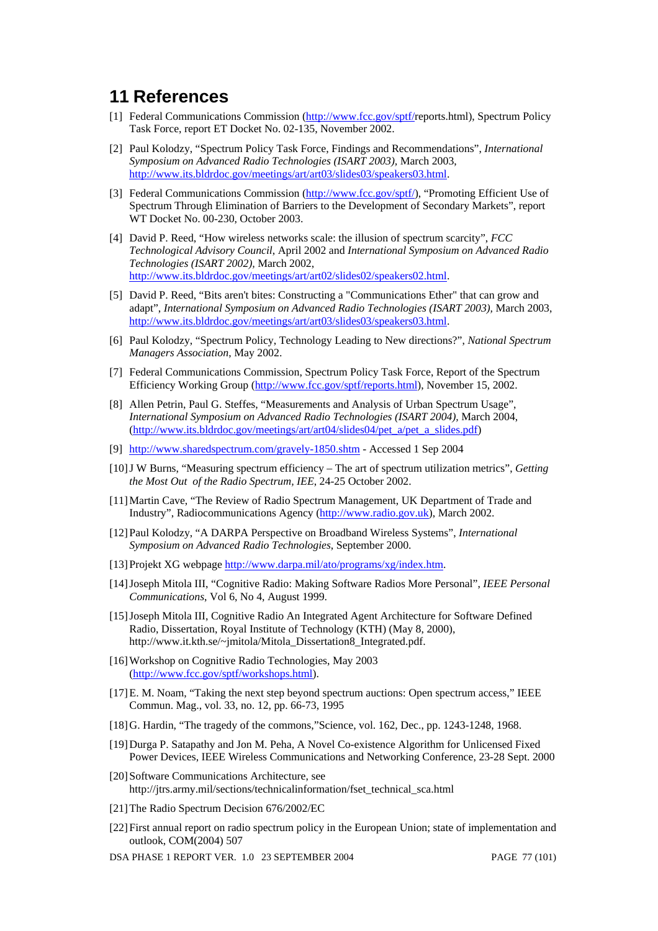## **11 References**

- [1] Federal Communications Commission (http://www.fcc.gov/sptf/reports.html), Spectrum Policy Task Force, report ET Docket No. 02-135, November 2002.
- [2] Paul Kolodzy, "Spectrum Policy Task Force, Findings and Recommendations", *International Symposium on Advanced Radio Technologies (ISART 2003),* March 2003, http://www.its.bldrdoc.gov/meetings/art/art03/slides03/speakers03.html.
- [3] Federal Communications Commission (http://www.fcc.gov/sptf/), "Promoting Efficient Use of Spectrum Through Elimination of Barriers to the Development of Secondary Markets", report WT Docket No. 00-230, October 2003.
- [4] David P. Reed, "How wireless networks scale: the illusion of spectrum scarcity", *FCC Technological Advisory Council*, April 2002 and *International Symposium on Advanced Radio Technologies (ISART 2002),* March 2002, http://www.its.bldrdoc.gov/meetings/art/art02/slides02/speakers02.html.
- [5] David P. Reed, "Bits aren't bites: Constructing a "Communications Ether" that can grow and adapt", *International Symposium on Advanced Radio Technologies (ISART 2003),* March 2003, http://www.its.bldrdoc.gov/meetings/art/art03/slides03/speakers03.html.
- [6] Paul Kolodzy, "Spectrum Policy, Technology Leading to New directions?", *National Spectrum Managers Association*, May 2002.
- [7] Federal Communications Commission, Spectrum Policy Task Force, Report of the Spectrum Efficiency Working Group (http://www.fcc.gov/sptf/reports.html), November 15, 2002.
- [8] Allen Petrin, Paul G. Steffes, "Measurements and Analysis of Urban Spectrum Usage", *International Symposium on Advanced Radio Technologies (ISART 2004),* March 2004, (http://www.its.bldrdoc.gov/meetings/art/art04/slides04/pet\_a/pet\_a\_slides.pdf)
- [9] http://www.sharedspectrum.com/gravely-1850.shtm Accessed 1 Sep 2004
- [10]J W Burns, "Measuring spectrum efficiency The art of spectrum utilization metrics", *Getting the Most Out of the Radio Spectrum, IEE*, 24-25 October 2002.
- [11]Martin Cave, "The Review of Radio Spectrum Management, UK Department of Trade and Industry", Radiocommunications Agency (http://www.radio.gov.uk), March 2002.
- [12]Paul Kolodzy, "A DARPA Perspective on Broadband Wireless Systems", *International Symposium on Advanced Radio Technologies*, September 2000.
- [13] Projekt XG webpage http://www.darpa.mil/ato/programs/xg/index.htm.
- [14]Joseph Mitola III, "Cognitive Radio: Making Software Radios More Personal", *IEEE Personal Communications*, Vol 6, No 4, August 1999.
- [15]Joseph Mitola III, Cognitive Radio An Integrated Agent Architecture for Software Defined Radio, Dissertation, Royal Institute of Technology (KTH) (May 8, 2000), http://www.it.kth.se/~jmitola/Mitola\_Dissertation8\_Integrated.pdf.
- [16]Workshop on Cognitive Radio Technologies, May 2003 (http://www.fcc.gov/sptf/workshops.html).
- [17]E. M. Noam, "Taking the next step beyond spectrum auctions: Open spectrum access," IEEE Commun. Mag., vol. 33, no. 12, pp. 66-73, 1995
- [18]G. Hardin, "The tragedy of the commons,"Science, vol. 162, Dec., pp. 1243-1248, 1968.
- [19]Durga P. Satapathy and Jon M. Peha, A Novel Co-existence Algorithm for Unlicensed Fixed Power Devices, IEEE Wireless Communications and Networking Conference, 23-28 Sept. 2000
- [20] Software Communications Architecture, see http://jtrs.army.mil/sections/technicalinformation/fset\_technical\_sca.html
- [21]The Radio Spectrum Decision 676/2002/EC
- [22]First annual report on radio spectrum policy in the European Union; state of implementation and outlook, COM(2004) 507
- DSA PHASE 1 REPORT VER. 1.0 23 SEPTEMBER 2004 PAGE 77 (101)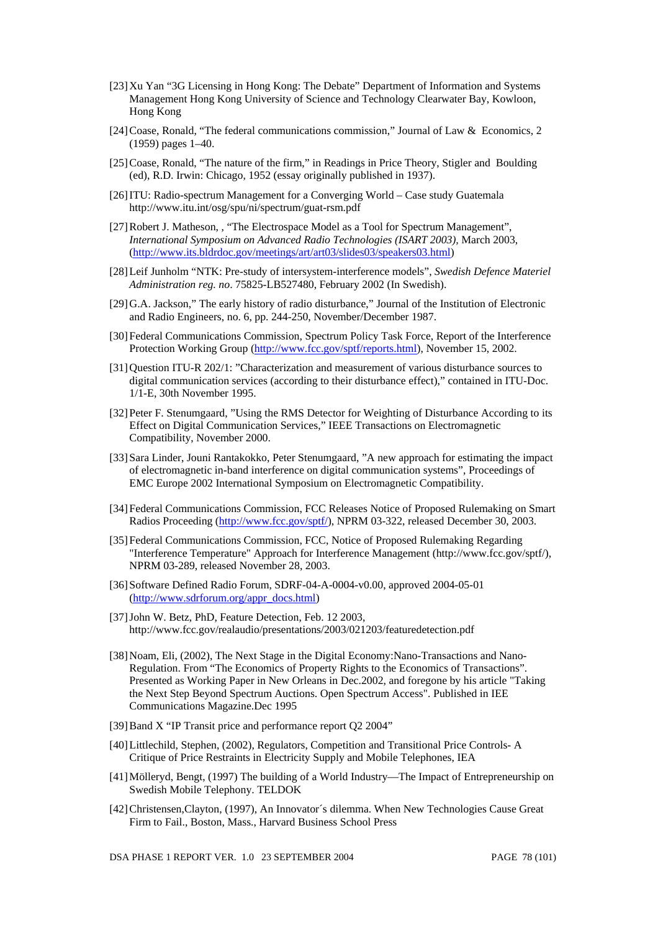- [23]Xu Yan "3G Licensing in Hong Kong: The Debate" Department of Information and Systems Management Hong Kong University of Science and Technology Clearwater Bay, Kowloon, Hong Kong
- [24]Coase, Ronald, "The federal communications commission," Journal of Law & Economics, 2 (1959) pages 1–40.
- [25] Coase, Ronald, "The nature of the firm," in Readings in Price Theory, Stigler and Boulding (ed), R.D. Irwin: Chicago, 1952 (essay originally published in 1937).
- [26]ITU: Radio-spectrum Management for a Converging World Case study Guatemala http://www.itu.int/osg/spu/ni/spectrum/guat-rsm.pdf
- [27] Robert J. Matheson, , "The Electrospace Model as a Tool for Spectrum Management". *International Symposium on Advanced Radio Technologies (ISART 2003),* March 2003, (http://www.its.bldrdoc.gov/meetings/art/art03/slides03/speakers03.html)
- [28]Leif Junholm "NTK: Pre-study of intersystem-interference models", *Swedish Defence Materiel Administration reg. no*. 75825-LB527480, February 2002 (In Swedish).
- [29]G.A. Jackson," The early history of radio disturbance," Journal of the Institution of Electronic and Radio Engineers, no. 6, pp. 244-250, November/December 1987.
- [30]Federal Communications Commission, Spectrum Policy Task Force, Report of the Interference Protection Working Group (http://www.fcc.gov/sptf/reports.html), November 15, 2002.
- [31]Question ITU-R 202/1: "Characterization and measurement of various disturbance sources to digital communication services (according to their disturbance effect)," contained in ITU-Doc. 1/1-E, 30th November 1995.
- [32]Peter F. Stenumgaard, "Using the RMS Detector for Weighting of Disturbance According to its Effect on Digital Communication Services," IEEE Transactions on Electromagnetic Compatibility, November 2000.
- [33]Sara Linder, Jouni Rantakokko, Peter Stenumgaard, "A new approach for estimating the impact of electromagnetic in-band interference on digital communication systems", Proceedings of EMC Europe 2002 International Symposium on Electromagnetic Compatibility.
- [34] Federal Communications Commission, FCC Releases Notice of Proposed Rulemaking on Smart Radios Proceeding (http://www.fcc.gov/sptf/), NPRM 03-322, released December 30, 2003.
- [35] Federal Communications Commission, FCC, Notice of Proposed Rulemaking Regarding "Interference Temperature" Approach for Interference Management (http://www.fcc.gov/sptf/), NPRM 03-289, released November 28, 2003.
- [36] Software Defined Radio Forum, SDRF-04-A-0004-v0.00, approved 2004-05-01 (http://www.sdrforum.org/appr\_docs.html)
- [37] John W. Betz, PhD, Feature Detection, Feb. 12 2003, http://www.fcc.gov/realaudio/presentations/2003/021203/featuredetection.pdf
- [38] Noam, Eli, (2002), The Next Stage in the Digital Economy: Nano-Transactions and Nano-Regulation. From "The Economics of Property Rights to the Economics of Transactions". Presented as Working Paper in New Orleans in Dec.2002, and foregone by his article "Taking the Next Step Beyond Spectrum Auctions. Open Spectrum Access". Published in IEE Communications Magazine.Dec 1995
- [39] Band X "IP Transit price and performance report Q2 2004"
- [40]Littlechild, Stephen, (2002), Regulators, Competition and Transitional Price Controls- A Critique of Price Restraints in Electricity Supply and Mobile Telephones, IEA
- [41]Mölleryd, Bengt, (1997) The building of a World Industry—The Impact of Entrepreneurship on Swedish Mobile Telephony. TELDOK
- [42]Christensen,Clayton, (1997), An Innovator´s dilemma. When New Technologies Cause Great Firm to Fail., Boston, Mass., Harvard Business School Press

DSA PHASE 1 REPORT VER. 1.0 23 SEPTEMBER 2004 PAGE 78 (101)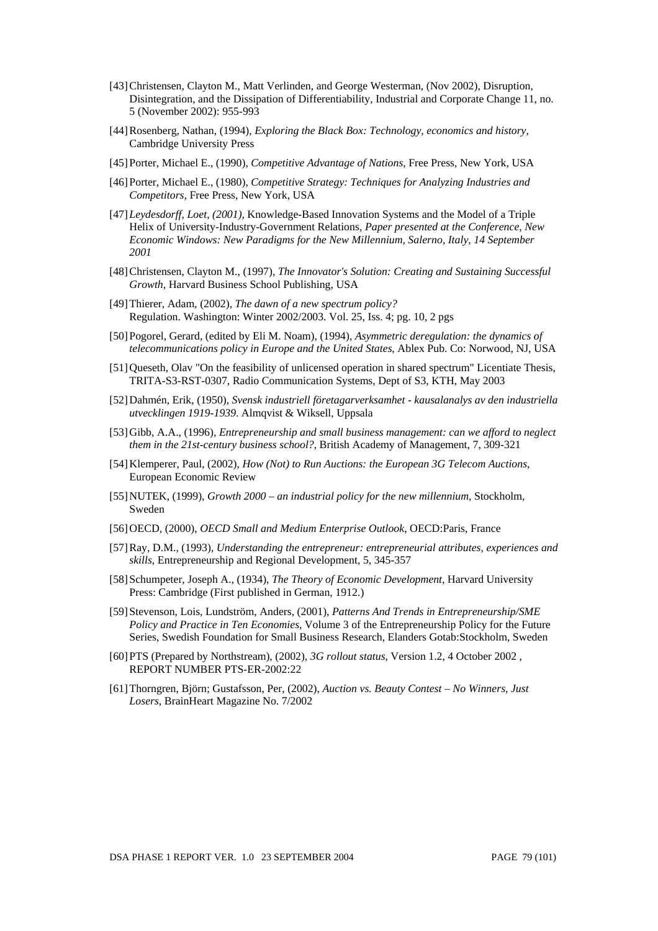- [43]Christensen, Clayton M., Matt Verlinden, and George Westerman, (Nov 2002), Disruption, Disintegration, and the Dissipation of Differentiability, Industrial and Corporate Change 11, no. 5 (November 2002): 955-993
- [44]Rosenberg, Nathan, (1994), *Exploring the Black Box: Technology, economics and history*, Cambridge University Press
- [45]Porter, Michael E., (1990), *Competitive Advantage of Nations*, Free Press, New York, USA
- [46]Porter, Michael E., (1980), *Competitive Strategy: Techniques for Analyzing Industries and Competitors*, Free Press, New York, USA
- [47]*Leydesdorff, Loet, (2001),* Knowledge-Based Innovation Systems and the Model of a Triple Helix of University-Industry-Government Relations, *Paper presented at the Conference, New Economic Windows: New Paradigms for the New Millennium, Salerno, Italy, 14 September 2001*
- [48]Christensen, Clayton M., (1997), *The Innovator's Solution: Creating and Sustaining Successful Growth*, Harvard Business School Publishing, USA
- [49]Thierer, Adam, (2002), *The dawn of a new spectrum policy?*  Regulation. Washington: Winter 2002/2003. Vol. 25, Iss. 4; pg. 10, 2 pgs
- [50]Pogorel, Gerard, (edited by Eli M. Noam), (1994), *Asymmetric deregulation: the dynamics of telecommunications policy in Europe and the United States*, Ablex Pub. Co: Norwood, NJ, USA
- [51]Queseth, Olav "On the feasibility of unlicensed operation in shared spectrum" Licentiate Thesis, TRITA-S3-RST-0307, Radio Communication Systems, Dept of S3, KTH, May 2003
- [52]Dahmén, Erik, (1950), *Svensk industriell företagarverksamhet kausalanalys av den industriella utvecklingen 1919-1939*. Almqvist & Wiksell, Uppsala
- [53]Gibb, A.A., (1996), *Entrepreneurship and small business management: can we afford to neglect them in the 21st-century business school?*, British Academy of Management, 7, 309-321
- [54]Klemperer, Paul, (2002), *How (Not) to Run Auctions: the European 3G Telecom Auctions*, European Economic Review
- [55]NUTEK, (1999), *Growth 2000 an industrial policy for the new millennium*, Stockholm, Sweden
- [56]OECD, (2000), *OECD Small and Medium Enterprise Outlook*, OECD:Paris, France
- [57]Ray, D.M., (1993), *Understanding the entrepreneur: entrepreneurial attributes, experiences and skills*, Entrepreneurship and Regional Development, 5, 345-357
- [58] Schumpeter, Joseph A., (1934), *The Theory of Economic Development*, Harvard University Press: Cambridge (First published in German, 1912.)
- [59]Stevenson, Lois, Lundström, Anders, (2001), *Patterns And Trends in Entrepreneurship/SME Policy and Practice in Ten Economies*, Volume 3 of the Entrepreneurship Policy for the Future Series, Swedish Foundation for Small Business Research, Elanders Gotab:Stockholm, Sweden
- [60]PTS (Prepared by Northstream), (2002), *3G rollout status*, Version 1.2, 4 October 2002 , REPORT NUMBER PTS-ER-2002:22
- [61]Thorngren, Björn; Gustafsson, Per, (2002), *Auction vs. Beauty Contest No Winners, Just Losers*, BrainHeart Magazine No. 7/2002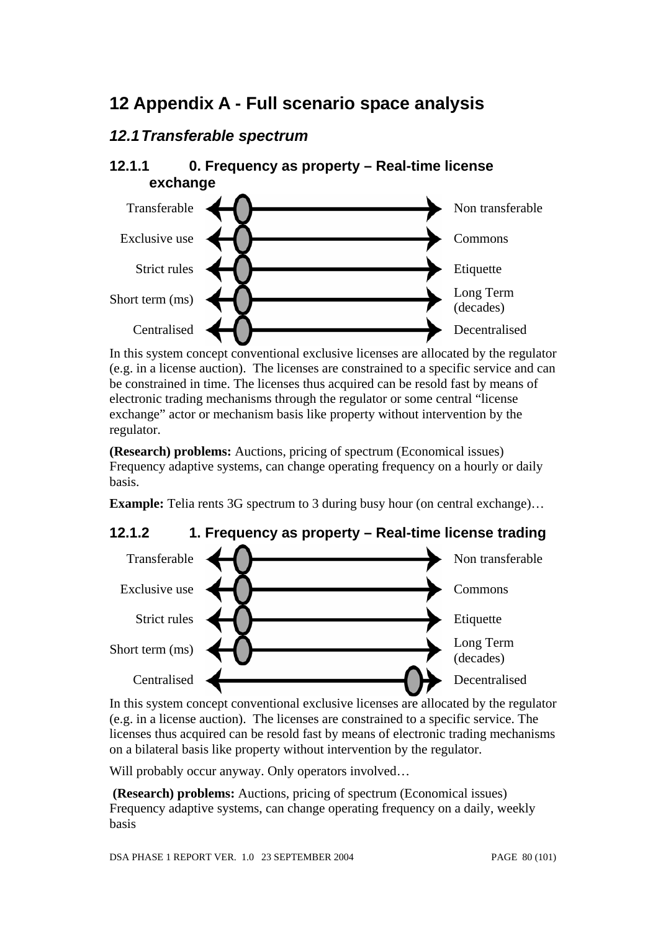# **12 Appendix A - Full scenario space analysis**

## *12.1 Transferable spectrum*





In this system concept conventional exclusive licenses are allocated by the regulator (e.g. in a license auction). The licenses are constrained to a specific service and can be constrained in time. The licenses thus acquired can be resold fast by means of electronic trading mechanisms through the regulator or some central "license exchange" actor or mechanism basis like property without intervention by the regulator.

**(Research) problems:** Auctions, pricing of spectrum (Economical issues) Frequency adaptive systems, can change operating frequency on a hourly or daily basis.

**Example:** Telia rents 3G spectrum to 3 during busy hour (on central exchange)...

#### **12.1.2 1. Frequency as property – Real-time license trading**



In this system concept conventional exclusive licenses are allocated by the regulator (e.g. in a license auction). The licenses are constrained to a specific service. The licenses thus acquired can be resold fast by means of electronic trading mechanisms on a bilateral basis like property without intervention by the regulator.

Will probably occur anyway. Only operators involved...

 **(Research) problems:** Auctions, pricing of spectrum (Economical issues) Frequency adaptive systems, can change operating frequency on a daily, weekly basis

DSA PHASE 1 REPORT VER. 1.0 23 SEPTEMBER 2004 PAGE 80 (101)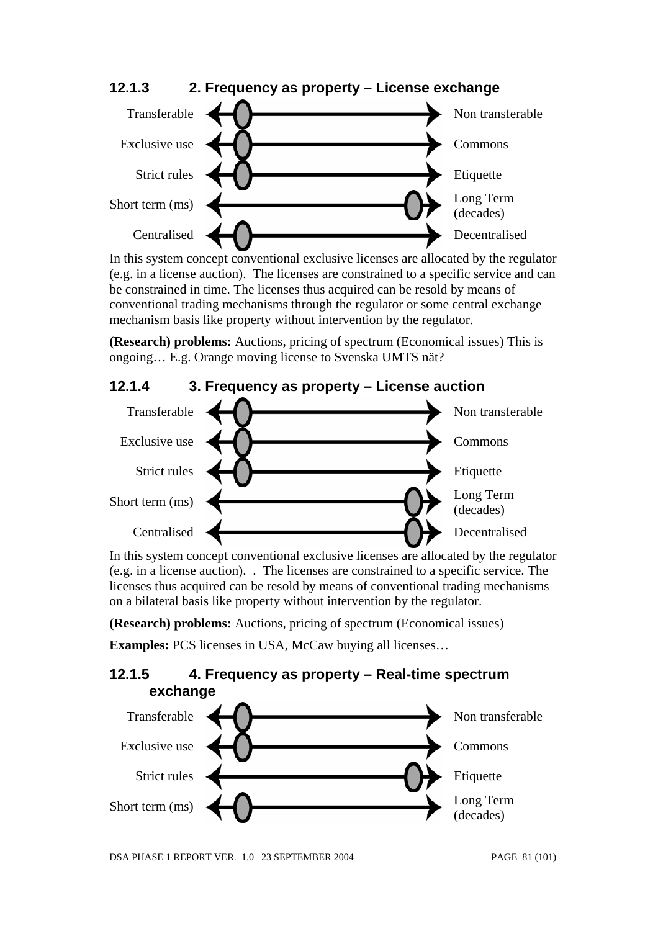

In this system concept conventional exclusive licenses are allocated by the regulator (e.g. in a license auction). The licenses are constrained to a specific service and can be constrained in time. The licenses thus acquired can be resold by means of conventional trading mechanisms through the regulator or some central exchange mechanism basis like property without intervention by the regulator.

**(Research) problems:** Auctions, pricing of spectrum (Economical issues) This is ongoing… E.g. Orange moving license to Svenska UMTS nät?



In this system concept conventional exclusive licenses are allocated by the regulator (e.g. in a license auction). . The licenses are constrained to a specific service. The licenses thus acquired can be resold by means of conventional trading mechanisms on a bilateral basis like property without intervention by the regulator.

**(Research) problems:** Auctions, pricing of spectrum (Economical issues)

**Examples:** PCS licenses in USA, McCaw buying all licenses…

#### **12.1.5 4. Frequency as property – Real-time spectrum exchange**

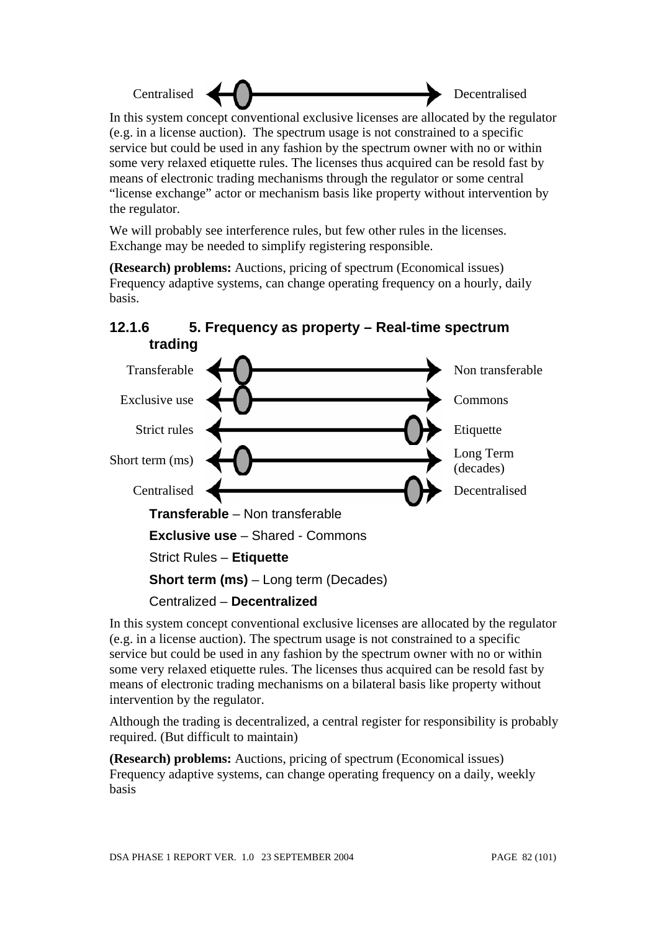Centralised Decentralised In this system concept conventional exclusive licenses are allocated by the regulator

(e.g. in a license auction). The spectrum usage is not constrained to a specific service but could be used in any fashion by the spectrum owner with no or within some very relaxed etiquette rules. The licenses thus acquired can be resold fast by means of electronic trading mechanisms through the regulator or some central "license exchange" actor or mechanism basis like property without intervention by the regulator.

We will probably see interference rules, but few other rules in the licenses. Exchange may be needed to simplify registering responsible.

**(Research) problems:** Auctions, pricing of spectrum (Economical issues) Frequency adaptive systems, can change operating frequency on a hourly, daily basis.



In this system concept conventional exclusive licenses are allocated by the regulator (e.g. in a license auction). The spectrum usage is not constrained to a specific service but could be used in any fashion by the spectrum owner with no or within some very relaxed etiquette rules. The licenses thus acquired can be resold fast by means of electronic trading mechanisms on a bilateral basis like property without intervention by the regulator.

Although the trading is decentralized, a central register for responsibility is probably required. (But difficult to maintain)

**(Research) problems:** Auctions, pricing of spectrum (Economical issues) Frequency adaptive systems, can change operating frequency on a daily, weekly basis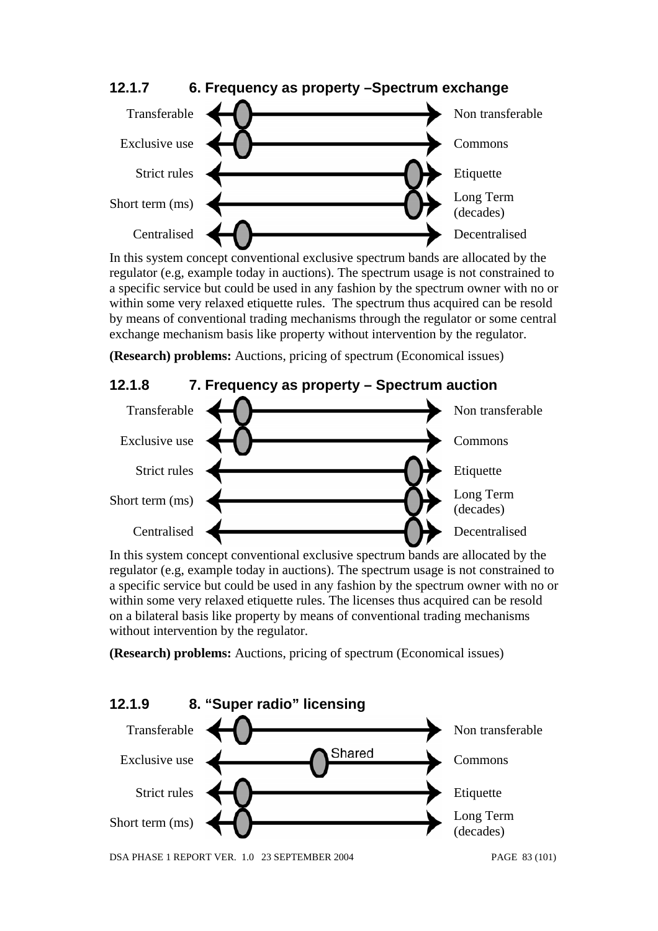

In this system concept conventional exclusive spectrum bands are allocated by the regulator (e.g, example today in auctions). The spectrum usage is not constrained to a specific service but could be used in any fashion by the spectrum owner with no or within some very relaxed etiquette rules. The spectrum thus acquired can be resold by means of conventional trading mechanisms through the regulator or some central exchange mechanism basis like property without intervention by the regulator.

**(Research) problems:** Auctions, pricing of spectrum (Economical issues)





In this system concept conventional exclusive spectrum bands are allocated by the regulator (e.g, example today in auctions). The spectrum usage is not constrained to a specific service but could be used in any fashion by the spectrum owner with no or within some very relaxed etiquette rules. The licenses thus acquired can be resold on a bilateral basis like property by means of conventional trading mechanisms without intervention by the regulator.

**(Research) problems:** Auctions, pricing of spectrum (Economical issues)

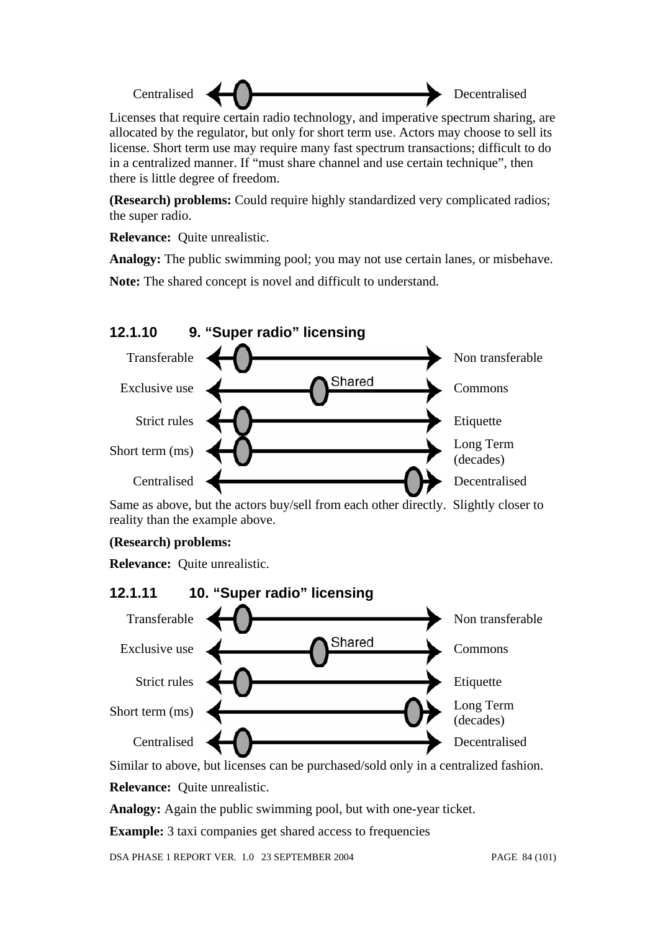Centralised **Decentralised** Decentralised Licenses that require certain radio technology, and imperative spectrum sharing, are

allocated by the regulator, but only for short term use. Actors may choose to sell its license. Short term use may require many fast spectrum transactions; difficult to do in a centralized manner. If "must share channel and use certain technique", then there is little degree of freedom.

**(Research) problems:** Could require highly standardized very complicated radios; the super radio.

**Relevance:** Quite unrealistic.

**Analogy:** The public swimming pool; you may not use certain lanes, or misbehave.

**Note:** The shared concept is novel and difficult to understand.



Same as above, but the actors buy/sell from each other directly. Slightly closer to reality than the example above.

#### **(Research) problems:**

**Relevance:** Quite unrealistic.



Similar to above, but licenses can be purchased/sold only in a centralized fashion. **Relevance:** Quite unrealistic.

**Analogy:** Again the public swimming pool, but with one-year ticket.

**Example:** 3 taxi companies get shared access to frequencies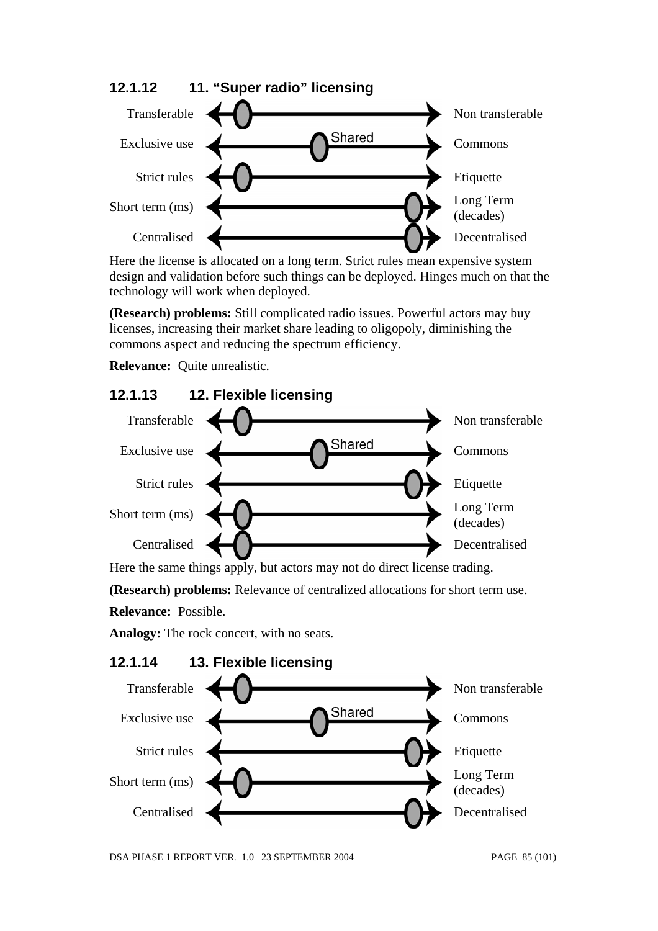

Here the license is allocated on a long term. Strict rules mean expensive system design and validation before such things can be deployed. Hinges much on that the technology will work when deployed.

**(Research) problems:** Still complicated radio issues. Powerful actors may buy licenses, increasing their market share leading to oligopoly, diminishing the commons aspect and reducing the spectrum efficiency.

**Relevance:** Quite unrealistic.



**(Research) problems:** Relevance of centralized allocations for short term use.

**Relevance:** Possible.

**Analogy:** The rock concert, with no seats.

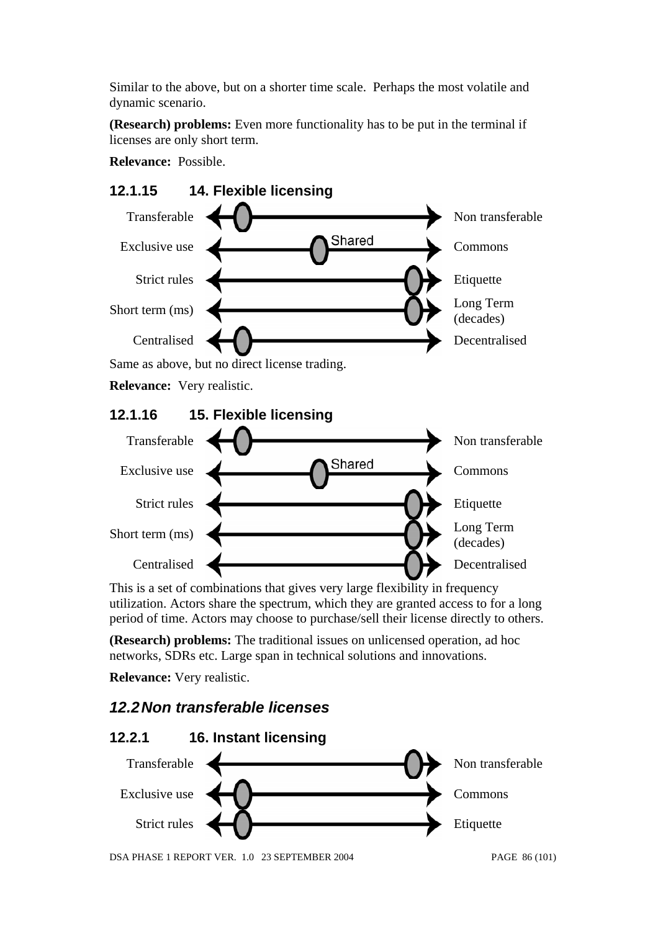Similar to the above, but on a shorter time scale. Perhaps the most volatile and dynamic scenario.

**(Research) problems:** Even more functionality has to be put in the terminal if licenses are only short term.

**Relevance:** Possible.



This is a set of combinations that gives very large flexibility in frequency utilization. Actors share the spectrum, which they are granted access to for a long period of time. Actors may choose to purchase/sell their license directly to others.

**(Research) problems:** The traditional issues on unlicensed operation, ad hoc networks, SDRs etc. Large span in technical solutions and innovations.

**Relevance:** Very realistic.

## *12.2 Non transferable licenses*



DSA PHASE 1 REPORT VER. 1.0 23 SEPTEMBER 2004 PAGE 86 (101)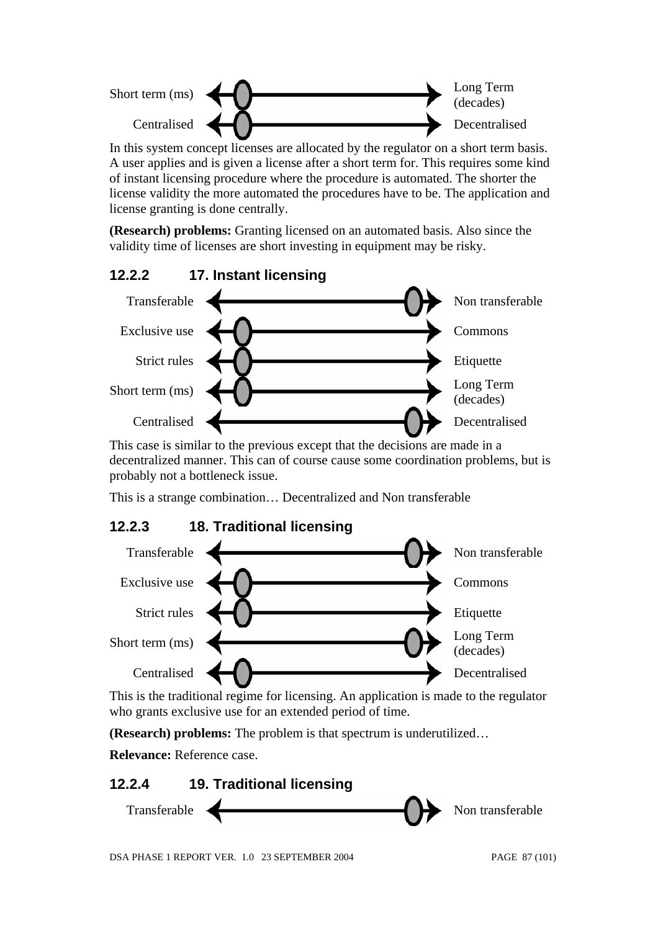

In this system concept licenses are allocated by the regulator on a short term basis. A user applies and is given a license after a short term for. This requires some kind of instant licensing procedure where the procedure is automated. The shorter the license validity the more automated the procedures have to be. The application and license granting is done centrally.

**(Research) problems:** Granting licensed on an automated basis. Also since the validity time of licenses are short investing in equipment may be risky.



This case is similar to the previous except that the decisions are made in a decentralized manner. This can of course cause some coordination problems, but is probably not a bottleneck issue.

This is a strange combination… Decentralized and Non transferable



This is the traditional regime for licensing. An application is made to the regulator who grants exclusive use for an extended period of time.

**(Research) problems:** The problem is that spectrum is underutilized…

**Relevance:** Reference case.

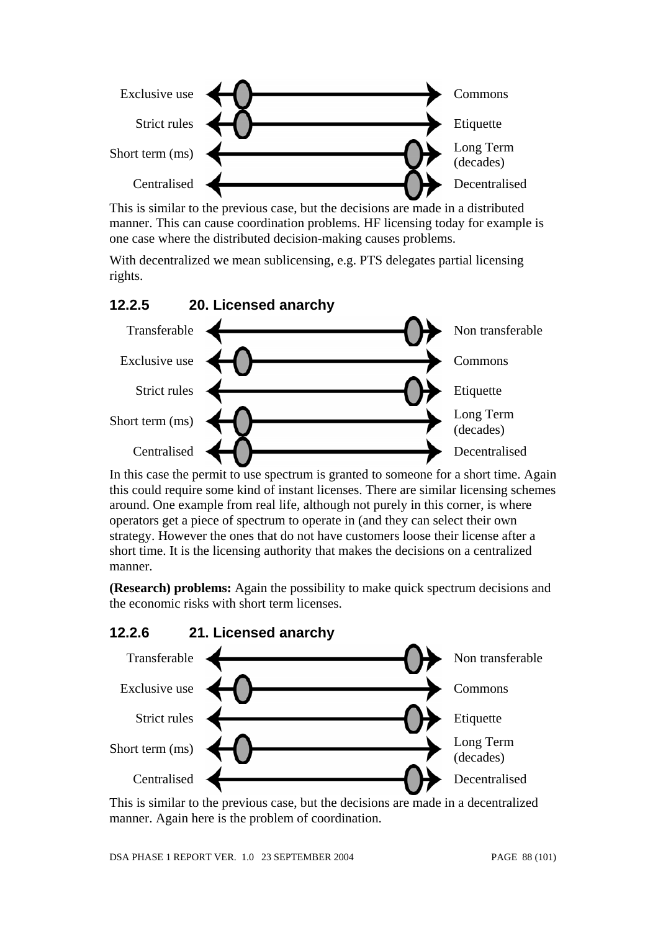

This is similar to the previous case, but the decisions are made in a distributed manner. This can cause coordination problems. HF licensing today for example is one case where the distributed decision-making causes problems.

With decentralized we mean sublicensing, e.g. PTS delegates partial licensing rights.



In this case the permit to use spectrum is granted to someone for a short time. Again this could require some kind of instant licenses. There are similar licensing schemes around. One example from real life, although not purely in this corner, is where operators get a piece of spectrum to operate in (and they can select their own strategy. However the ones that do not have customers loose their license after a short time. It is the licensing authority that makes the decisions on a centralized manner.

**(Research) problems:** Again the possibility to make quick spectrum decisions and the economic risks with short term licenses.



This is similar to the previous case, but the decisions are made in a decentralized manner. Again here is the problem of coordination.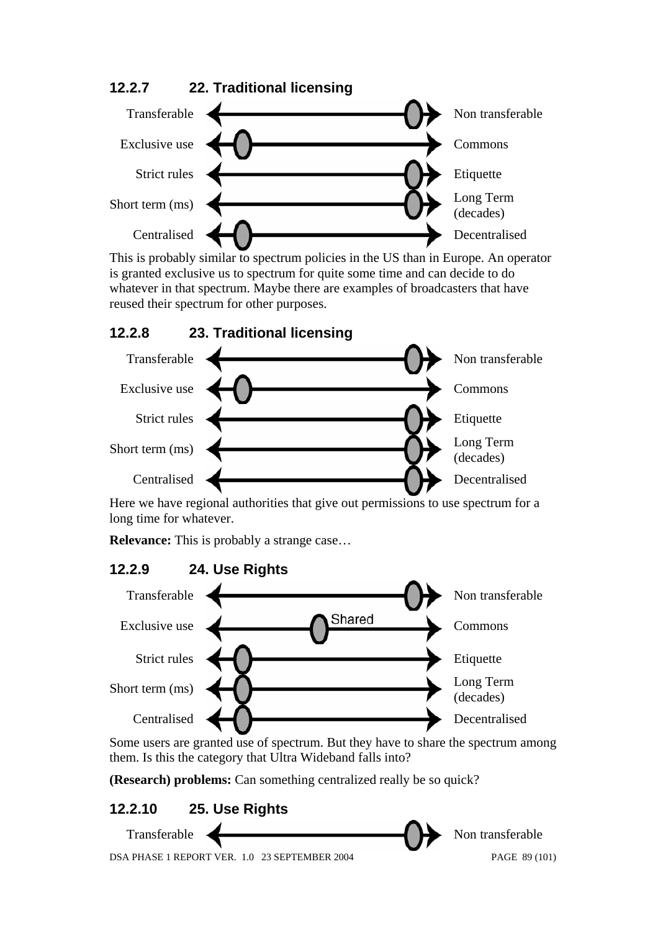

This is probably similar to spectrum policies in the US than in Europe. An operator is granted exclusive us to spectrum for quite some time and can decide to do whatever in that spectrum. Maybe there are examples of broadcasters that have reused their spectrum for other purposes.



Here we have regional authorities that give out permissions to use spectrum for a long time for whatever.

**Relevance:** This is probably a strange case…



Some users are granted use of spectrum. But they have to share the spectrum among them. Is this the category that Ultra Wideband falls into?

**(Research) problems:** Can something centralized really be so quick?

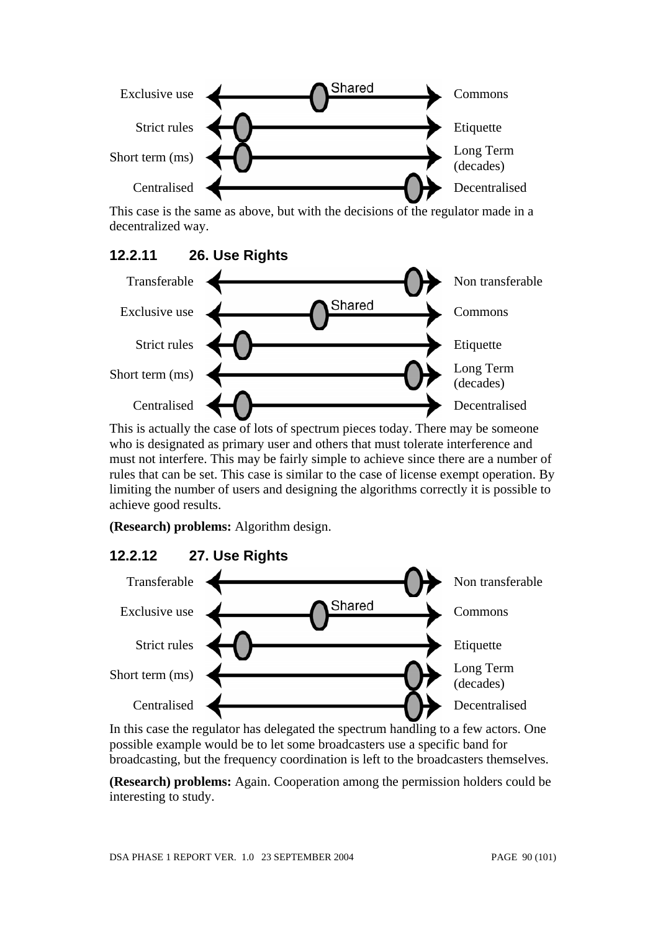

This case is the same as above, but with the decisions of the regulator made in a decentralized way.



This is actually the case of lots of spectrum pieces today. There may be someone who is designated as primary user and others that must tolerate interference and must not interfere. This may be fairly simple to achieve since there are a number of rules that can be set. This case is similar to the case of license exempt operation. By limiting the number of users and designing the algorithms correctly it is possible to achieve good results.

**(Research) problems:** Algorithm design.



In this case the regulator has delegated the spectrum handling to a few actors. One possible example would be to let some broadcasters use a specific band for broadcasting, but the frequency coordination is left to the broadcasters themselves.

**(Research) problems:** Again. Cooperation among the permission holders could be interesting to study.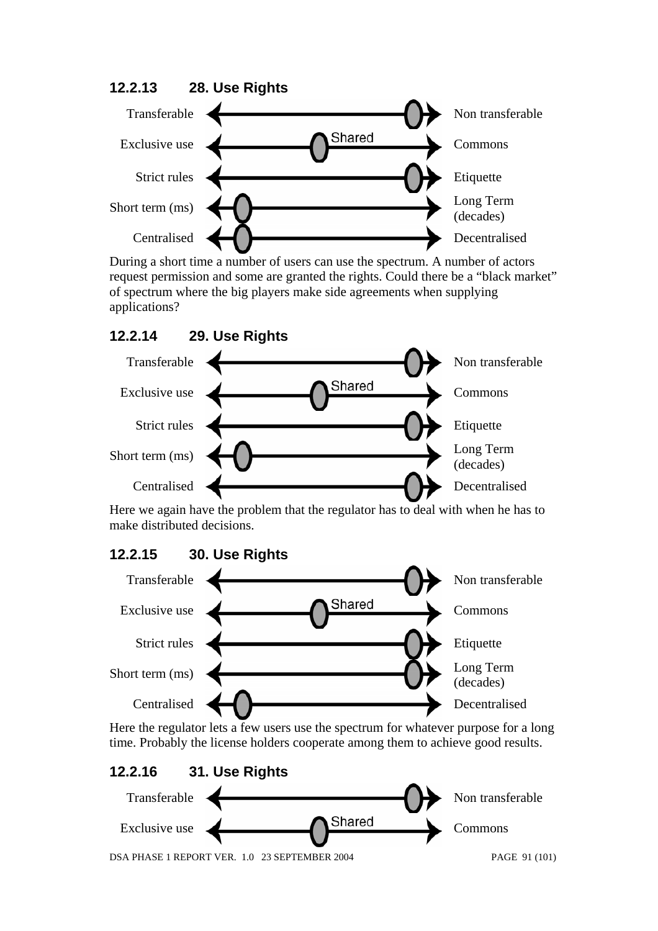

During a short time a number of users can use the spectrum. A number of actors request permission and some are granted the rights. Could there be a "black market" of spectrum where the big players make side agreements when supplying applications?



Here we again have the problem that the regulator has to deal with when he has to make distributed decisions.

#### **12.2.15 30. Use Rights**



Here the regulator lets a few users use the spectrum for whatever purpose for a long time. Probably the license holders cooperate among them to achieve good results.

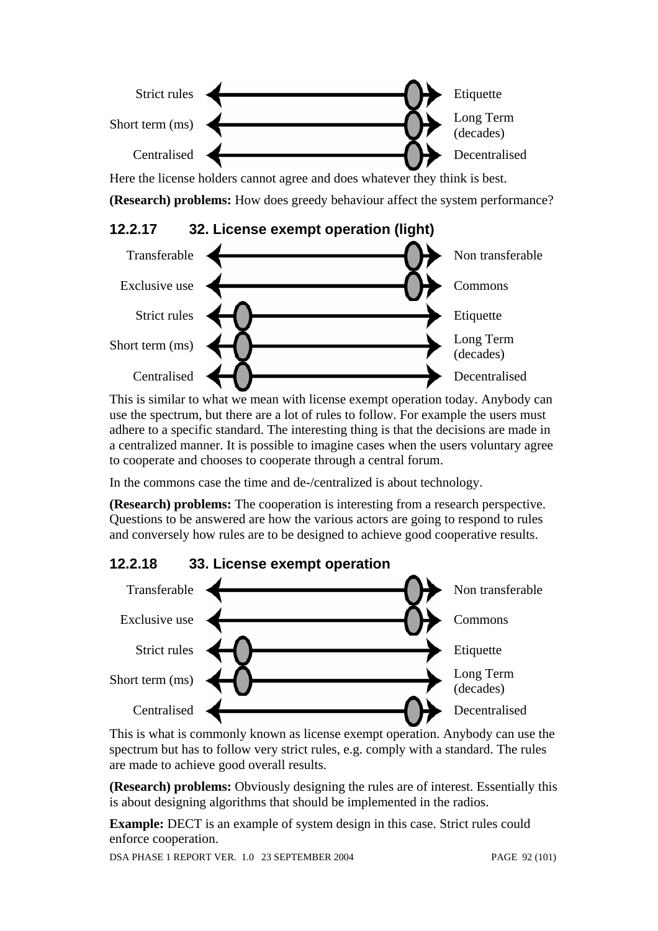





This is similar to what we mean with license exempt operation today. Anybody can use the spectrum, but there are a lot of rules to follow. For example the users must adhere to a specific standard. The interesting thing is that the decisions are made in a centralized manner. It is possible to imagine cases when the users voluntary agree to cooperate and chooses to cooperate through a central forum.

In the commons case the time and de-/centralized is about technology.

**(Research) problems:** The cooperation is interesting from a research perspective. Questions to be answered are how the various actors are going to respond to rules and conversely how rules are to be designed to achieve good cooperative results.



This is what is commonly known as license exempt operation. Anybody can use the spectrum but has to follow very strict rules, e.g. comply with a standard. The rules are made to achieve good overall results.

**(Research) problems:** Obviously designing the rules are of interest. Essentially this is about designing algorithms that should be implemented in the radios.

**Example:** DECT is an example of system design in this case. Strict rules could enforce cooperation.

DSA PHASE 1 REPORT VER. 1.0 23 SEPTEMBER 2004 PAGE 92 (101)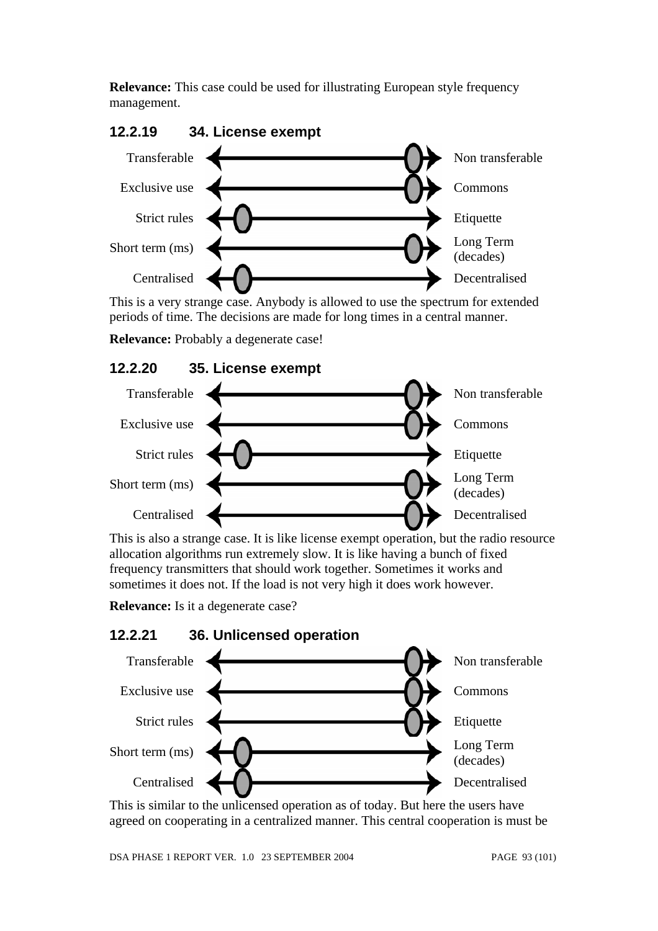**Relevance:** This case could be used for illustrating European style frequency management.



This is a very strange case. Anybody is allowed to use the spectrum for extended periods of time. The decisions are made for long times in a central manner.

**Relevance:** Probably a degenerate case!



This is also a strange case. It is like license exempt operation, but the radio resource allocation algorithms run extremely slow. It is like having a bunch of fixed frequency transmitters that should work together. Sometimes it works and sometimes it does not. If the load is not very high it does work however.

**Relevance:** Is it a degenerate case?



This is similar to the unlicensed operation as of today. But here the users have agreed on cooperating in a centralized manner. This central cooperation is must be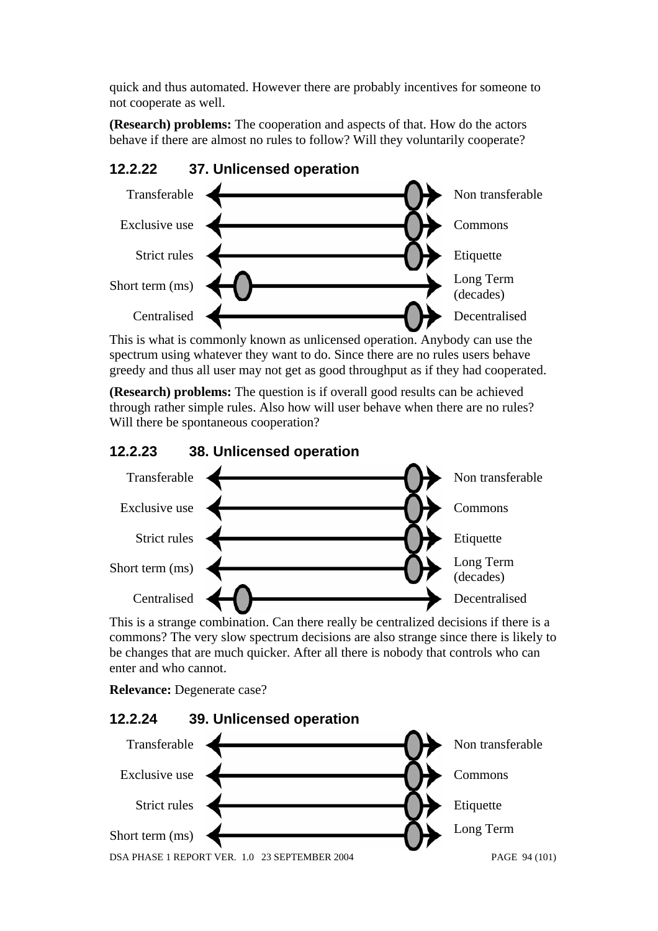quick and thus automated. However there are probably incentives for someone to not cooperate as well.

**(Research) problems:** The cooperation and aspects of that. How do the actors behave if there are almost no rules to follow? Will they voluntarily cooperate?



This is what is commonly known as unlicensed operation. Anybody can use the spectrum using whatever they want to do. Since there are no rules users behave greedy and thus all user may not get as good throughput as if they had cooperated.

**(Research) problems:** The question is if overall good results can be achieved through rather simple rules. Also how will user behave when there are no rules? Will there be spontaneous cooperation?



This is a strange combination. Can there really be centralized decisions if there is a commons? The very slow spectrum decisions are also strange since there is likely to be changes that are much quicker. After all there is nobody that controls who can enter and who cannot.

**Relevance:** Degenerate case?

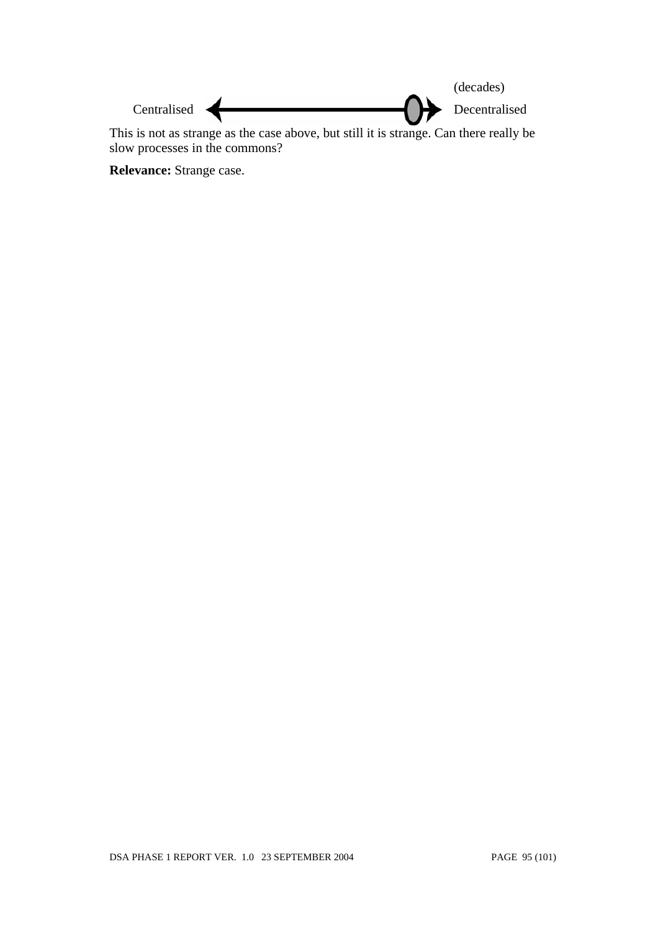

This is not as strange as the case above, but still it is strange. Can there really be slow processes in the commons?

**Relevance:** Strange case.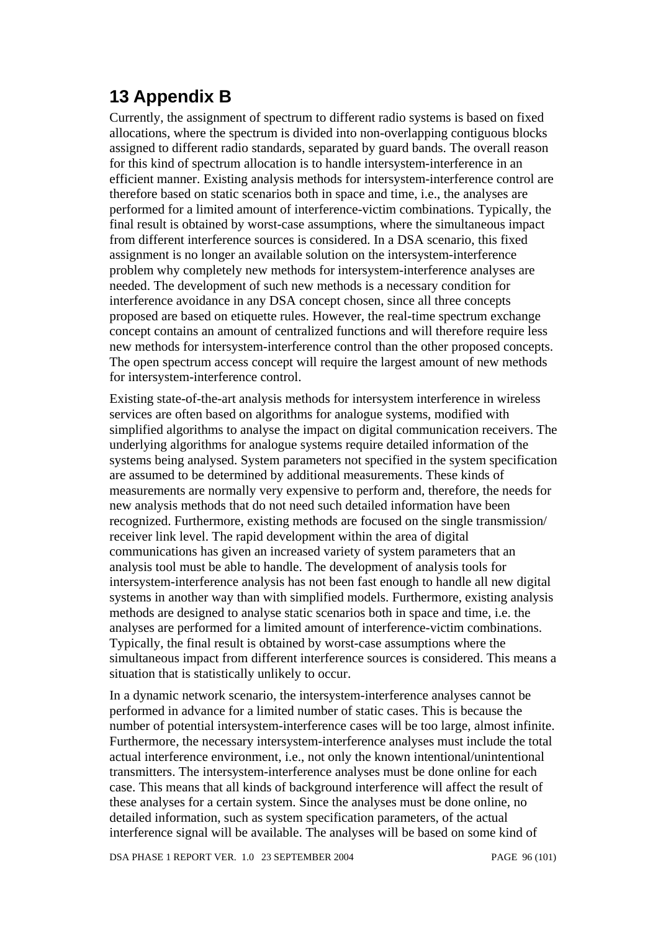# **13 Appendix B**

Currently, the assignment of spectrum to different radio systems is based on fixed allocations, where the spectrum is divided into non-overlapping contiguous blocks assigned to different radio standards, separated by guard bands. The overall reason for this kind of spectrum allocation is to handle intersystem-interference in an efficient manner. Existing analysis methods for intersystem-interference control are therefore based on static scenarios both in space and time, i.e., the analyses are performed for a limited amount of interference-victim combinations. Typically, the final result is obtained by worst-case assumptions, where the simultaneous impact from different interference sources is considered. In a DSA scenario, this fixed assignment is no longer an available solution on the intersystem-interference problem why completely new methods for intersystem-interference analyses are needed. The development of such new methods is a necessary condition for interference avoidance in any DSA concept chosen, since all three concepts proposed are based on etiquette rules. However, the real-time spectrum exchange concept contains an amount of centralized functions and will therefore require less new methods for intersystem-interference control than the other proposed concepts. The open spectrum access concept will require the largest amount of new methods for intersystem-interference control.

Existing state-of-the-art analysis methods for intersystem interference in wireless services are often based on algorithms for analogue systems, modified with simplified algorithms to analyse the impact on digital communication receivers. The underlying algorithms for analogue systems require detailed information of the systems being analysed. System parameters not specified in the system specification are assumed to be determined by additional measurements. These kinds of measurements are normally very expensive to perform and, therefore, the needs for new analysis methods that do not need such detailed information have been recognized. Furthermore, existing methods are focused on the single transmission/ receiver link level. The rapid development within the area of digital communications has given an increased variety of system parameters that an analysis tool must be able to handle. The development of analysis tools for intersystem-interference analysis has not been fast enough to handle all new digital systems in another way than with simplified models. Furthermore, existing analysis methods are designed to analyse static scenarios both in space and time, i.e. the analyses are performed for a limited amount of interference-victim combinations. Typically, the final result is obtained by worst-case assumptions where the simultaneous impact from different interference sources is considered. This means a situation that is statistically unlikely to occur.

In a dynamic network scenario, the intersystem-interference analyses cannot be performed in advance for a limited number of static cases. This is because the number of potential intersystem-interference cases will be too large, almost infinite. Furthermore, the necessary intersystem-interference analyses must include the total actual interference environment, i.e., not only the known intentional/unintentional transmitters. The intersystem-interference analyses must be done online for each case. This means that all kinds of background interference will affect the result of these analyses for a certain system. Since the analyses must be done online, no detailed information, such as system specification parameters, of the actual interference signal will be available. The analyses will be based on some kind of

DSA PHASE 1 REPORT VER. 1.0 23 SEPTEMBER 2004 PAGE 96 (101)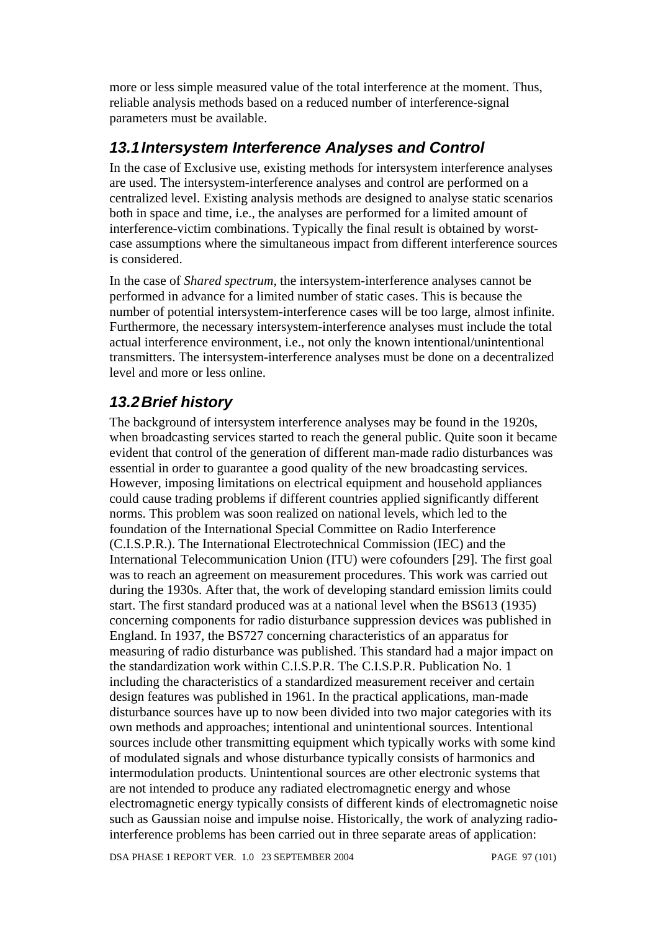more or less simple measured value of the total interference at the moment. Thus, reliable analysis methods based on a reduced number of interference-signal parameters must be available.

#### *13.1 Intersystem Interference Analyses and Control*

In the case of Exclusive use, existing methods for intersystem interference analyses are used. The intersystem-interference analyses and control are performed on a centralized level. Existing analysis methods are designed to analyse static scenarios both in space and time, i.e., the analyses are performed for a limited amount of interference-victim combinations. Typically the final result is obtained by worstcase assumptions where the simultaneous impact from different interference sources is considered.

In the case of *Shared spectrum,* the intersystem-interference analyses cannot be performed in advance for a limited number of static cases. This is because the number of potential intersystem-interference cases will be too large, almost infinite. Furthermore, the necessary intersystem-interference analyses must include the total actual interference environment, i.e., not only the known intentional/unintentional transmitters. The intersystem-interference analyses must be done on a decentralized level and more or less online.

## *13.2 Brief history*

The background of intersystem interference analyses may be found in the 1920s, when broadcasting services started to reach the general public. Quite soon it became evident that control of the generation of different man-made radio disturbances was essential in order to guarantee a good quality of the new broadcasting services. However, imposing limitations on electrical equipment and household appliances could cause trading problems if different countries applied significantly different norms. This problem was soon realized on national levels, which led to the foundation of the International Special Committee on Radio Interference (C.I.S.P.R.). The International Electrotechnical Commission (IEC) and the International Telecommunication Union (ITU) were cofounders [29]. The first goal was to reach an agreement on measurement procedures. This work was carried out during the 1930s. After that, the work of developing standard emission limits could start. The first standard produced was at a national level when the BS613 (1935) concerning components for radio disturbance suppression devices was published in England. In 1937, the BS727 concerning characteristics of an apparatus for measuring of radio disturbance was published. This standard had a major impact on the standardization work within C.I.S.P.R. The C.I.S.P.R. Publication No. 1 including the characteristics of a standardized measurement receiver and certain design features was published in 1961. In the practical applications, man-made disturbance sources have up to now been divided into two major categories with its own methods and approaches; intentional and unintentional sources. Intentional sources include other transmitting equipment which typically works with some kind of modulated signals and whose disturbance typically consists of harmonics and intermodulation products. Unintentional sources are other electronic systems that are not intended to produce any radiated electromagnetic energy and whose electromagnetic energy typically consists of different kinds of electromagnetic noise such as Gaussian noise and impulse noise. Historically, the work of analyzing radiointerference problems has been carried out in three separate areas of application:

DSA PHASE 1 REPORT VER. 1.0 23 SEPTEMBER 2004 PAGE 97 (101)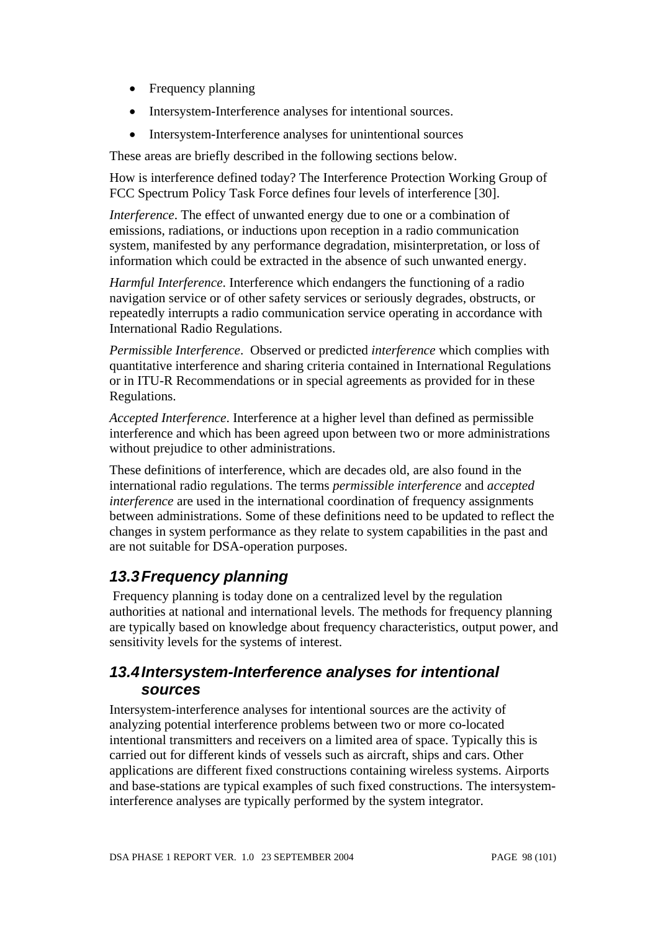- Frequency planning
- Intersystem-Interference analyses for intentional sources.
- Intersystem-Interference analyses for unintentional sources

These areas are briefly described in the following sections below.

How is interference defined today? The Interference Protection Working Group of FCC Spectrum Policy Task Force defines four levels of interference [30].

*Interference*. The effect of unwanted energy due to one or a combination of emissions, radiations, or inductions upon reception in a radio communication system, manifested by any performance degradation, misinterpretation, or loss of information which could be extracted in the absence of such unwanted energy.

*Harmful Interference*. Interference which endangers the functioning of a radio navigation service or of other safety services or seriously degrades, obstructs, or repeatedly interrupts a radio communication service operating in accordance with International Radio Regulations.

*Permissible Interference*.Observed or predicted *interference* which complies with quantitative interference and sharing criteria contained in International Regulations or in ITU-R Recommendations or in special agreements as provided for in these Regulations.

*Accepted Interference*. Interference at a higher level than defined as permissible interference and which has been agreed upon between two or more administrations without prejudice to other administrations.

These definitions of interference, which are decades old, are also found in the international radio regulations. The terms *permissible interference* and *accepted interference* are used in the international coordination of frequency assignments between administrations. Some of these definitions need to be updated to reflect the changes in system performance as they relate to system capabilities in the past and are not suitable for DSA-operation purposes.

## *13.3 Frequency planning*

 Frequency planning is today done on a centralized level by the regulation authorities at national and international levels. The methods for frequency planning are typically based on knowledge about frequency characteristics, output power, and sensitivity levels for the systems of interest.

## *13.4 Intersystem-Interference analyses for intentional sources*

Intersystem-interference analyses for intentional sources are the activity of analyzing potential interference problems between two or more co-located intentional transmitters and receivers on a limited area of space. Typically this is carried out for different kinds of vessels such as aircraft, ships and cars. Other applications are different fixed constructions containing wireless systems. Airports and base-stations are typical examples of such fixed constructions. The intersysteminterference analyses are typically performed by the system integrator.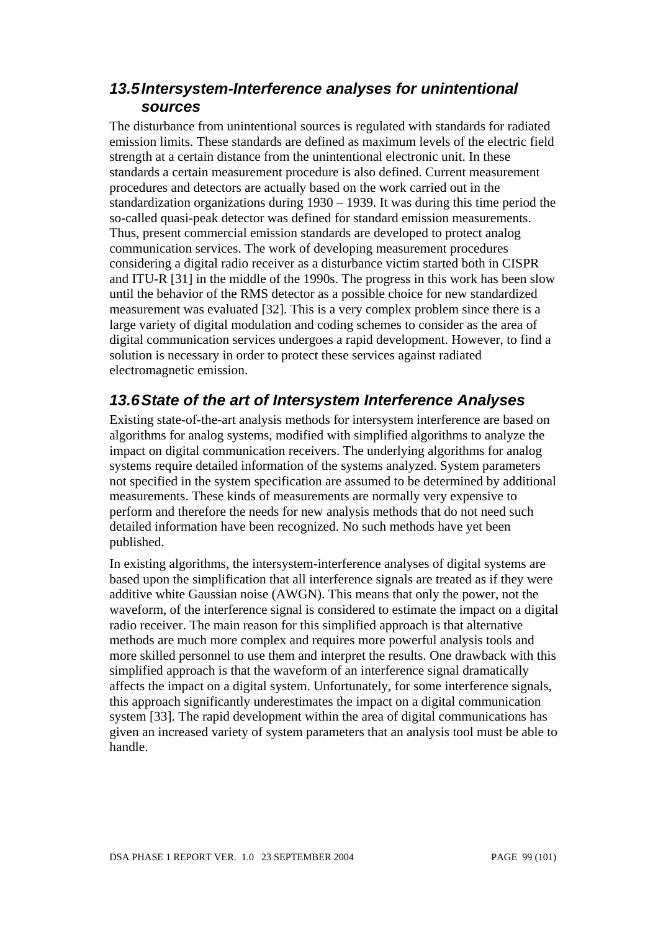## *13.5 Intersystem-Interference analyses for unintentional sources*

The disturbance from unintentional sources is regulated with standards for radiated emission limits. These standards are defined as maximum levels of the electric field strength at a certain distance from the unintentional electronic unit. In these standards a certain measurement procedure is also defined. Current measurement procedures and detectors are actually based on the work carried out in the standardization organizations during 1930 – 1939. It was during this time period the so-called quasi-peak detector was defined for standard emission measurements. Thus, present commercial emission standards are developed to protect analog communication services. The work of developing measurement procedures considering a digital radio receiver as a disturbance victim started both in CISPR and ITU-R [31] in the middle of the 1990s. The progress in this work has been slow until the behavior of the RMS detector as a possible choice for new standardized measurement was evaluated [32]. This is a very complex problem since there is a large variety of digital modulation and coding schemes to consider as the area of digital communication services undergoes a rapid development. However, to find a solution is necessary in order to protect these services against radiated electromagnetic emission.

## *13.6 State of the art of Intersystem Interference Analyses*

Existing state-of-the-art analysis methods for intersystem interference are based on algorithms for analog systems, modified with simplified algorithms to analyze the impact on digital communication receivers. The underlying algorithms for analog systems require detailed information of the systems analyzed. System parameters not specified in the system specification are assumed to be determined by additional measurements. These kinds of measurements are normally very expensive to perform and therefore the needs for new analysis methods that do not need such detailed information have been recognized. No such methods have yet been published.

In existing algorithms, the intersystem-interference analyses of digital systems are based upon the simplification that all interference signals are treated as if they were additive white Gaussian noise (AWGN). This means that only the power, not the waveform, of the interference signal is considered to estimate the impact on a digital radio receiver. The main reason for this simplified approach is that alternative methods are much more complex and requires more powerful analysis tools and more skilled personnel to use them and interpret the results. One drawback with this simplified approach is that the waveform of an interference signal dramatically affects the impact on a digital system. Unfortunately, for some interference signals, this approach significantly underestimates the impact on a digital communication system [33]. The rapid development within the area of digital communications has given an increased variety of system parameters that an analysis tool must be able to handle.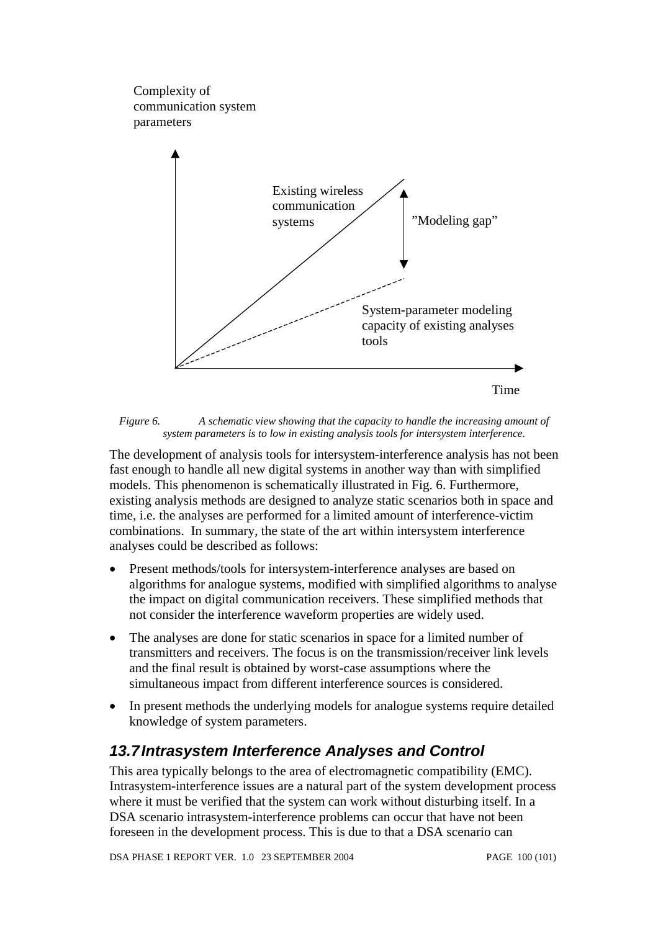Complexity of communication system parameters



*Figure 6. A schematic view showing that the capacity to handle the increasing amount of system parameters is to low in existing analysis tools for intersystem interference.* 

The development of analysis tools for intersystem-interference analysis has not been fast enough to handle all new digital systems in another way than with simplified models. This phenomenon is schematically illustrated in Fig. 6. Furthermore, existing analysis methods are designed to analyze static scenarios both in space and time, i.e. the analyses are performed for a limited amount of interference-victim combinations. In summary, the state of the art within intersystem interference analyses could be described as follows:

- Present methods/tools for intersystem-interference analyses are based on algorithms for analogue systems, modified with simplified algorithms to analyse the impact on digital communication receivers. These simplified methods that not consider the interference waveform properties are widely used.
- The analyses are done for static scenarios in space for a limited number of transmitters and receivers. The focus is on the transmission/receiver link levels and the final result is obtained by worst-case assumptions where the simultaneous impact from different interference sources is considered.
- In present methods the underlying models for analogue systems require detailed knowledge of system parameters.

# *13.7 Intrasystem Interference Analyses and Control*

This area typically belongs to the area of electromagnetic compatibility (EMC). Intrasystem-interference issues are a natural part of the system development process where it must be verified that the system can work without disturbing itself. In a DSA scenario intrasystem-interference problems can occur that have not been foreseen in the development process. This is due to that a DSA scenario can

DSA PHASE 1 REPORT VER. 1.0 23 SEPTEMBER 2004 PAGE 100 (101)